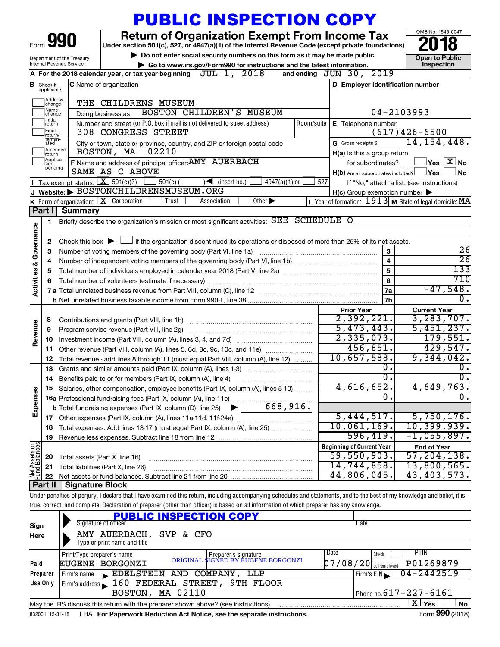|                                    |                                   |                                             | PUBLIC INSPECTION COPY                                                                                                                                                     |            |                                                     |                                                                |  |  |  |
|------------------------------------|-----------------------------------|---------------------------------------------|----------------------------------------------------------------------------------------------------------------------------------------------------------------------------|------------|-----------------------------------------------------|----------------------------------------------------------------|--|--|--|
|                                    |                                   | Form 990                                    | <b>Return of Organization Exempt From Income Tax</b><br>Under section 501(c), 527, or 4947(a)(1) of the Internal Revenue Code (except private foundations)                 |            |                                                     | OMB No. 1545-0047                                              |  |  |  |
|                                    |                                   | Department of the Treasury                  | Do not enter social security numbers on this form as it may be made public.                                                                                                |            |                                                     | <b>Open to Public</b>                                          |  |  |  |
|                                    |                                   | <b>Internal Revenue Service</b>             | Go to www.irs.gov/Form990 for instructions and the latest information.                                                                                                     |            |                                                     | Inspection                                                     |  |  |  |
|                                    |                                   |                                             | 2018<br>JUL 1<br>A For the 2018 calendar year, or tax year beginning                                                                                                       |            | 2019<br>and ending $JUN$ 30,                        |                                                                |  |  |  |
|                                    | <b>B</b> Check if applicable:     |                                             | <b>C</b> Name of organization                                                                                                                                              |            | D Employer identification number                    |                                                                |  |  |  |
|                                    | ]Address<br>]change               |                                             | THE CHILDRENS MUSEUM                                                                                                                                                       |            |                                                     |                                                                |  |  |  |
|                                    | Name<br> change                   |                                             | BOSTON CHILDREN'S MUSEUM<br>Doing business as                                                                                                                              |            |                                                     | 04-2103993                                                     |  |  |  |
|                                    | Initia <mark>l</mark><br>  return |                                             | Number and street (or P.O. box if mail is not delivered to street address)                                                                                                 | Room/suite | E Telephone number                                  |                                                                |  |  |  |
|                                    | Final<br> return/<br>termin-      |                                             | 308 CONGRESS STREET                                                                                                                                                        |            |                                                     | $(617)426-6500$                                                |  |  |  |
|                                    | ated<br>Amended                   |                                             | City or town, state or province, country, and ZIP or foreign postal code                                                                                                   |            | G Gross receipts \$                                 | 14, 154, 448.                                                  |  |  |  |
|                                    | Ireturn<br>Applica-               |                                             | 02210<br>BOSTON, MA                                                                                                                                                        |            | H(a) Is this a group return                         | $Yes$ $\boxed{\text{X}}$ No                                    |  |  |  |
|                                    | tion<br>pending                   |                                             | F Name and address of principal officer: AMY AUERBACH<br>SAME AS C ABOVE                                                                                                   |            | for subordinates?                                   |                                                                |  |  |  |
|                                    |                                   | <b>T</b> Tax-exempt status: $X \ 501(c)(3)$ | $501(c)$ (<br>$4947(a)(1)$ or<br>$\sqrt{\frac{1}{1}}$ (insert no.)                                                                                                         | 527        | $H(b)$ Are all subordinates included?               | <b>No</b><br>Yes<br>If "No," attach a list. (see instructions) |  |  |  |
|                                    |                                   |                                             | J Website: BOSTONCHILDRENSMUSEUM.ORG                                                                                                                                       |            | $H(c)$ Group exemption number $\blacktriangleright$ |                                                                |  |  |  |
|                                    |                                   |                                             | K Form of organization: $X$ Corporation<br>Association<br>Other $\blacktriangleright$<br>Trust                                                                             |            |                                                     | L Year of formation: $1913$ M State of legal domicile: MA      |  |  |  |
|                                    | Part I                            | Summary                                     |                                                                                                                                                                            |            |                                                     |                                                                |  |  |  |
|                                    | 1                                 |                                             | Briefly describe the organization's mission or most significant activities: SEE SCHEDULE O                                                                                 |            |                                                     |                                                                |  |  |  |
|                                    |                                   |                                             |                                                                                                                                                                            |            |                                                     |                                                                |  |  |  |
|                                    | 2                                 | Check this box $\blacktriangleright$ [      | if the organization discontinued its operations or disposed of more than 25% of its net assets.                                                                            |            |                                                     |                                                                |  |  |  |
|                                    | З                                 |                                             |                                                                                                                                                                            |            | 3                                                   | 26                                                             |  |  |  |
|                                    | 4                                 | $\overline{\mathbf{4}}$                     |                                                                                                                                                                            |            |                                                     |                                                                |  |  |  |
|                                    | 5                                 | 5                                           |                                                                                                                                                                            |            |                                                     |                                                                |  |  |  |
| <b>Activities &amp; Governance</b> | 6                                 | 6                                           | 710                                                                                                                                                                        |            |                                                     |                                                                |  |  |  |
|                                    |                                   |                                             |                                                                                                                                                                            |            | 7a                                                  | $-47,548$ .                                                    |  |  |  |
|                                    |                                   |                                             |                                                                                                                                                                            |            | 7b                                                  | Ο.                                                             |  |  |  |
|                                    |                                   |                                             |                                                                                                                                                                            |            | <b>Prior Year</b>                                   | <b>Current Year</b>                                            |  |  |  |
|                                    | 8                                 |                                             | Contributions and grants (Part VIII, line 1h)                                                                                                                              |            | 2,392,221.                                          | 3, 283, 707.                                                   |  |  |  |
| Revenue                            | 9                                 |                                             | Program service revenue (Part VIII, line 2g)                                                                                                                               |            | 5,473,443.                                          | 5,451,237.                                                     |  |  |  |
|                                    | 10                                |                                             |                                                                                                                                                                            |            | 2,335,073.                                          | 179,551.                                                       |  |  |  |
|                                    | 11                                |                                             | Other revenue (Part VIII, column (A), lines 5, 6d, 8c, 9c, 10c, and 11e)                                                                                                   |            | 456,851.                                            | 429,547.                                                       |  |  |  |
|                                    | 12                                |                                             | Total revenue - add lines 8 through 11 (must equal Part VIII, column (A), line 12)                                                                                         |            | 10,657,588.                                         | 9,344,042.                                                     |  |  |  |
|                                    | 13                                |                                             | Grants and similar amounts paid (Part IX, column (A), lines 1-3)                                                                                                           |            | ο.<br>$0$ .                                         | О.<br>0.                                                       |  |  |  |
|                                    | 14                                |                                             | Benefits paid to or for members (Part IX, column (A), line 4)                                                                                                              |            | 4,616,652.                                          | 4,649,763.                                                     |  |  |  |
| Expenses                           |                                   |                                             | 15 Salaries, other compensation, employee benefits (Part IX, column (A), lines 5-10)                                                                                       |            | 0.                                                  | 0.                                                             |  |  |  |
|                                    |                                   |                                             | 16a Professional fundraising fees (Part IX, column (A), line 11e)<br>668,916.                                                                                              |            |                                                     |                                                                |  |  |  |
|                                    |                                   |                                             | <b>b</b> Total fundraising expenses (Part IX, column (D), line 25)                                                                                                         |            | 5,444,517.                                          | 5,750,176.                                                     |  |  |  |
|                                    |                                   |                                             |                                                                                                                                                                            |            | 10,061,169.                                         | 10,399,939.                                                    |  |  |  |
|                                    | 18                                |                                             | Total expenses. Add lines 13-17 (must equal Part IX, column (A), line 25)                                                                                                  |            | 596, 419.                                           | $-1,055,897.$                                                  |  |  |  |
|                                    | 19                                |                                             |                                                                                                                                                                            |            | <b>Beginning of Current Year</b>                    | <b>End of Year</b>                                             |  |  |  |
|                                    | 20                                | Total assets (Part X, line 16)              |                                                                                                                                                                            |            | 59,550,903.                                         | 57, 204, 138.                                                  |  |  |  |
|                                    | 21                                |                                             | Total liabilities (Part X, line 26)                                                                                                                                        |            | 14,744,858.                                         | 13,800,565.                                                    |  |  |  |
| Net Assets or<br>Fund Balances     | 22                                |                                             |                                                                                                                                                                            |            | 44,806,045.                                         | 43,403,573.                                                    |  |  |  |
|                                    | Part II                           | <b>Signature Block</b>                      |                                                                                                                                                                            |            |                                                     |                                                                |  |  |  |
|                                    |                                   |                                             | Under penalties of perjury, I declare that I have examined this return, including accompanying schedules and statements, and to the best of my knowledge and belief, it is |            |                                                     |                                                                |  |  |  |
|                                    |                                   |                                             | true, correct, and complete. Declaration of preparer (other than officer) is based on all information of which preparer has any knowledge.                                 |            |                                                     |                                                                |  |  |  |
|                                    |                                   |                                             | <b>PUBLIC INSPECTION COPY</b>                                                                                                                                              |            |                                                     |                                                                |  |  |  |
|                                    |                                   |                                             |                                                                                                                                                                            |            |                                                     |                                                                |  |  |  |

|                 | PUBLIC INSPECTION COPY                                                                    |                                                    |
|-----------------|-------------------------------------------------------------------------------------------|----------------------------------------------------|
| Sign            | Signature of officer                                                                      | Date                                               |
| Here            | AMY AUERBACH,<br>SVP & CFO                                                                |                                                    |
|                 | Type or print name and title                                                              |                                                    |
|                 | Print/Type preparer's name<br>Preparer's signature<br>ORIGINAL \$IGNED BY EUGENE BORGONZI | Date<br>PTIN<br>Check                              |
| Paid            | EUGENE BORGONZI                                                                           | P01269879<br>$\left[07/08/20\right]$ self-employed |
| Preparer        | EDELSTEIN AND COMPANY,<br>LLP<br>Firm's name                                              | $04 - 2442519$<br>Firm's $EIN$                     |
| Use Only        | Firm's address 160 FEDERAL STREET,<br>9TH FLOOR                                           |                                                    |
|                 | BOSTON, MA 02110                                                                          | Phone no. $617 - 227 - 6161$                       |
|                 | May the IRS discuss this return with the preparer shown above? (see instructions)         | ΧI<br>Yes<br>No                                    |
| 832001 12-31-18 | LHA For Paperwork Reduction Act Notice, see the separate instructions.                    | Form 990 (2018)                                    |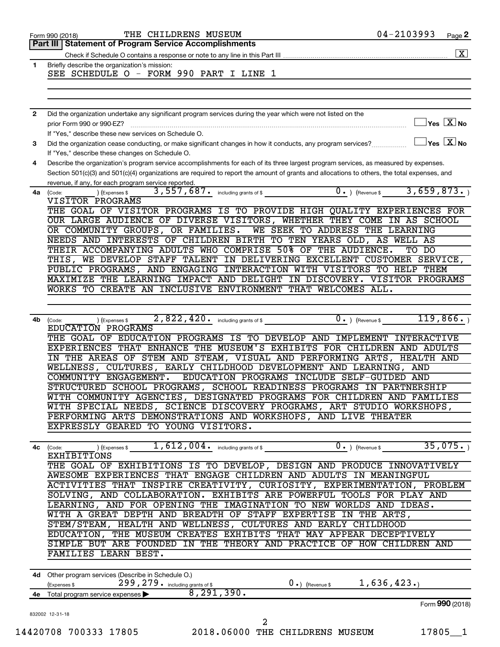|              | THE CHILDRENS MUSEUM<br>Form 990 (2018)                                                                                                      | 04-2103993             | Page 2                                    |
|--------------|----------------------------------------------------------------------------------------------------------------------------------------------|------------------------|-------------------------------------------|
|              | Part III   Statement of Program Service Accomplishments                                                                                      |                        | $\boxed{\textbf{X}}$                      |
|              |                                                                                                                                              |                        |                                           |
| 1            | Briefly describe the organization's mission:                                                                                                 |                        |                                           |
|              | SEE SCHEDULE O - FORM 990 PART I LINE 1                                                                                                      |                        |                                           |
|              |                                                                                                                                              |                        |                                           |
|              |                                                                                                                                              |                        |                                           |
|              |                                                                                                                                              |                        |                                           |
| $\mathbf{2}$ | Did the organization undertake any significant program services during the year which were not listed on the                                 |                        |                                           |
|              |                                                                                                                                              |                        | $\overline{\ }$ Yes $\overline{\rm X}$ No |
|              | If "Yes," describe these new services on Schedule O.                                                                                         |                        |                                           |
| 3            | Did the organization cease conducting, or make significant changes in how it conducts, any program services?                                 | $\Box$ Yes $\Box X$ No |                                           |
|              | If "Yes," describe these changes on Schedule O.                                                                                              |                        |                                           |
| 4            | Describe the organization's program service accomplishments for each of its three largest program services, as measured by expenses.         |                        |                                           |
|              | Section 501(c)(3) and 501(c)(4) organizations are required to report the amount of grants and allocations to others, the total expenses, and |                        |                                           |
|              | revenue, if any, for each program service reported.                                                                                          |                        |                                           |
| 4a           | $\overline{0 \cdot$ ) (Revenue \$<br>3,557,687. including grants of \$<br>) (Expenses \$<br>(Code:                                           | 3,659,873.             |                                           |
|              | VISITOR PROGRAMS                                                                                                                             |                        |                                           |
|              | THE GOAL OF VISITOR PROGRAMS IS TO PROVIDE HIGH QUALITY EXPERIENCES FOR                                                                      |                        |                                           |
|              | OUR LARGE AUDIENCE OF DIVERSE VISITORS, WHETHER THEY COME IN AS SCHOOL                                                                       |                        |                                           |
|              | WE SEEK TO ADDRESS THE LEARNING<br>OR COMMUNITY GROUPS, OR FAMILIES.                                                                         |                        |                                           |
|              | NEEDS AND INTERESTS OF CHILDREN BIRTH TO TEN YEARS OLD, AS WELL AS                                                                           |                        |                                           |
|              | THEIR ACCOMPANYING ADULTS WHO COMPRISE 50% OF THE AUDIENCE.                                                                                  | TO DO                  |                                           |
|              | THIS, WE DEVELOP STAFF TALENT IN DELIVERING EXCELLENT CUSTOMER SERVICE,                                                                      |                        |                                           |
|              | PUBLIC PROGRAMS, AND ENGAGING INTERACTION WITH VISITORS TO HELP THEM                                                                         |                        |                                           |
|              | MAXIMIZE THE LEARNING IMPACT AND DELIGHT IN DISCOVERY. VISITOR PROGRAMS                                                                      |                        |                                           |
|              | WORKS TO CREATE AN INCLUSIVE ENVIRONMENT THAT WELCOMES ALL.                                                                                  |                        |                                           |
|              |                                                                                                                                              |                        |                                           |
|              |                                                                                                                                              |                        |                                           |
| 4b           | 2,822,420. including grants of \$<br>$\overline{0.}$ ) (Revenue \$<br>) (Expenses \$<br>(Code:                                               | 119,866.               |                                           |
|              | EDUCATION PROGRAMS                                                                                                                           |                        |                                           |
|              | THE GOAL OF EDUCATION PROGRAMS IS TO DEVELOP AND IMPLEMENT INTERACTIVE                                                                       |                        |                                           |
|              | EXPERIENCES THAT ENHANCE THE MUSEUM'S EXHIBITS FOR CHILDREN AND ADULTS                                                                       |                        |                                           |
|              | IN THE AREAS OF STEM AND STEAM, VISUAL AND PERFORMING ARTS, HEALTH AND                                                                       |                        |                                           |
|              | WELLNESS, CULTURES, EARLY CHILDHOOD DEVELOPMENT AND LEARNING, AND                                                                            |                        |                                           |
|              | EDUCATION PROGRAMS INCLUDE SELF-GUIDED AND<br>COMMUNITY ENGAGEMENT.                                                                          |                        |                                           |
|              | STRUCTURED SCHOOL PROGRAMS, SCHOOL READINESS PROGRAMS IN PARTNERSHIP                                                                         |                        |                                           |
|              | WITH COMMUNITY AGENCIES, DESIGNATED PROGRAMS FOR CHILDREN AND FAMILIES                                                                       |                        |                                           |
|              | WITH SPECIAL NEEDS, SCIENCE DISCOVERY PROGRAMS, ART STUDIO WORKSHOPS,                                                                        |                        |                                           |
|              | PERFORMING ARTS DEMONSTRATIONS AND WORKSHOPS, AND LIVE THEATER                                                                               |                        |                                           |
|              | EXPRESSLY GEARED TO YOUNG VISITORS.                                                                                                          |                        |                                           |
|              |                                                                                                                                              |                        |                                           |
|              | $4c$ (Code:                                                                                                                                  |                        |                                           |
|              | <b>EXHIBITIONS</b>                                                                                                                           |                        |                                           |
|              | THE GOAL OF EXHIBITIONS IS TO DEVELOP, DESIGN AND PRODUCE INNOVATIVELY                                                                       |                        |                                           |
|              | AWESOME EXPERIENCES THAT ENGAGE CHILDREN AND ADULTS IN MEANINGFUL                                                                            |                        |                                           |
|              | ACTIVITIES THAT INSPIRE CREATIVITY, CURIOSITY, EXPERIMENTATION, PROBLEM                                                                      |                        |                                           |
|              | SOLVING, AND COLLABORATION. EXHIBITS ARE POWERFUL TOOLS FOR PLAY AND                                                                         |                        |                                           |
|              | LEARNING, AND FOR OPENING THE IMAGINATION TO NEW WORLDS AND IDEAS.                                                                           |                        |                                           |
|              | WITH A GREAT DEPTH AND BREADTH OF STAFF EXPERTISE IN THE ARTS,                                                                               |                        |                                           |
|              | STEM/STEAM, HEALTH AND WELLNESS, CULTURES AND EARLY CHILDHOOD                                                                                |                        |                                           |
|              | EDUCATION, THE MUSEUM CREATES EXHIBITS THAT MAY APPEAR DECEPTIVELY                                                                           |                        |                                           |
|              | SIMPLE BUT ARE FOUNDED IN THE THEORY AND PRACTICE OF HOW CHILDREN AND                                                                        |                        |                                           |
|              | FAMILIES LEARN BEST.                                                                                                                         |                        |                                           |
|              |                                                                                                                                              |                        |                                           |
|              | 4d Other program services (Describe in Schedule O.)                                                                                          |                        |                                           |
|              | $0.$ ) (Revenue \$1,636,423.)<br>299, 279. including grants of \$<br>(Expenses \$                                                            |                        |                                           |
|              | $\frac{1}{8,291,390}$ .<br>4e Total program service expenses                                                                                 |                        |                                           |
|              |                                                                                                                                              | Form 990 (2018)        |                                           |
|              | 832002 12-31-18                                                                                                                              |                        |                                           |
|              | 2                                                                                                                                            |                        |                                           |
|              | 14420708 700333 17805 2018.06000 THE CHILDRENS MUSEUM                                                                                        | 17805_1                |                                           |
|              |                                                                                                                                              |                        |                                           |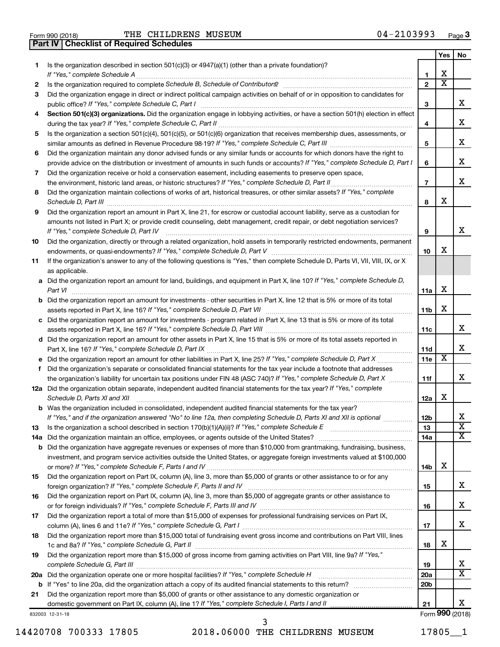Form 990 (2018) Page THE CHILDRENS MUSEUM 04-2103993 **Part IV Checklist of Required Schedules**

| Is the organization described in section 501(c)(3) or 4947(a)(1) (other than a private foundation)?<br>1.<br>x<br>If "Yes," complete Schedule A<br>1<br>X<br>$\mathbf{2}$<br>2<br>Did the organization engage in direct or indirect political campaign activities on behalf of or in opposition to candidates for<br>3<br>х<br>public office? If "Yes," complete Schedule C, Part I<br>З<br>Section 501(c)(3) organizations. Did the organization engage in lobbying activities, or have a section 501(h) election in effect<br>4<br>х<br>4<br>Is the organization a section 501(c)(4), 501(c)(5), or 501(c)(6) organization that receives membership dues, assessments, or<br>5<br>х<br>5<br>Did the organization maintain any donor advised funds or any similar funds or accounts for which donors have the right to<br>6<br>х<br>provide advice on the distribution or investment of amounts in such funds or accounts? If "Yes," complete Schedule D, Part I<br>6<br>Did the organization receive or hold a conservation easement, including easements to preserve open space,<br>7<br>х<br>$\overline{7}$<br>Did the organization maintain collections of works of art, historical treasures, or other similar assets? If "Yes," complete<br>8<br>х<br>8<br>Did the organization report an amount in Part X, line 21, for escrow or custodial account liability, serve as a custodian for<br>9<br>amounts not listed in Part X; or provide credit counseling, debt management, credit repair, or debt negotiation services?<br>x<br>If "Yes," complete Schedule D, Part IV<br>9<br>Did the organization, directly or through a related organization, hold assets in temporarily restricted endowments, permanent<br>10<br>x<br>10<br>If the organization's answer to any of the following questions is "Yes," then complete Schedule D, Parts VI, VII, VIII, IX, or X<br>11<br>as applicable.<br>a Did the organization report an amount for land, buildings, and equipment in Part X, line 10? If "Yes," complete Schedule D,<br>X<br>11a<br><b>b</b> Did the organization report an amount for investments - other securities in Part X, line 12 that is 5% or more of its total<br>х<br>11 <sub>b</sub><br>c Did the organization report an amount for investments - program related in Part X, line 13 that is 5% or more of its total<br>x<br>11c<br>d Did the organization report an amount for other assets in Part X, line 15 that is 5% or more of its total assets reported in<br>x<br>11d<br>X<br>11e<br>Did the organization's separate or consolidated financial statements for the tax year include a footnote that addresses<br>f<br>x<br>the organization's liability for uncertain tax positions under FIN 48 (ASC 740)? If "Yes," complete Schedule D, Part X<br>11f<br>12a Did the organization obtain separate, independent audited financial statements for the tax year? If "Yes," complete<br>х<br>Schedule D, Parts XI and XII<br>12a<br><b>b</b> Was the organization included in consolidated, independent audited financial statements for the tax year?<br>х<br>12 <sub>b</sub><br>If "Yes," and if the organization answered "No" to line 12a, then completing Schedule D, Parts XI and XII is optional<br>$\overline{\textbf{x}}$<br>13<br>13<br>х<br>14a<br>14a<br>Did the organization have aggregate revenues or expenses of more than \$10,000 from grantmaking, fundraising, business,<br>b<br>investment, and program service activities outside the United States, or aggregate foreign investments valued at \$100,000<br>х<br>14b<br>Did the organization report on Part IX, column (A), line 3, more than \$5,000 of grants or other assistance to or for any<br>15<br>х<br>15<br>Did the organization report on Part IX, column (A), line 3, more than \$5,000 of aggregate grants or other assistance to<br>16<br>х<br>16<br>Did the organization report a total of more than \$15,000 of expenses for professional fundraising services on Part IX,<br>17<br>х<br>17<br>Did the organization report more than \$15,000 total of fundraising event gross income and contributions on Part VIII, lines<br>18<br>х<br>18<br>Did the organization report more than \$15,000 of gross income from gaming activities on Part VIII, line 9a? If "Yes,"<br>19<br>x<br>19<br>х<br>Did the organization operate one or more hospital facilities? If "Yes," complete Schedule H<br>20a<br>20a<br>20 <sub>b</sub><br>b<br>Did the organization report more than \$5,000 of grants or other assistance to any domestic organization or<br>21<br>х<br>21<br>Form 990 (2018)<br>832003 12-31-18 |  |  | Yes | No |
|-----------------------------------------------------------------------------------------------------------------------------------------------------------------------------------------------------------------------------------------------------------------------------------------------------------------------------------------------------------------------------------------------------------------------------------------------------------------------------------------------------------------------------------------------------------------------------------------------------------------------------------------------------------------------------------------------------------------------------------------------------------------------------------------------------------------------------------------------------------------------------------------------------------------------------------------------------------------------------------------------------------------------------------------------------------------------------------------------------------------------------------------------------------------------------------------------------------------------------------------------------------------------------------------------------------------------------------------------------------------------------------------------------------------------------------------------------------------------------------------------------------------------------------------------------------------------------------------------------------------------------------------------------------------------------------------------------------------------------------------------------------------------------------------------------------------------------------------------------------------------------------------------------------------------------------------------------------------------------------------------------------------------------------------------------------------------------------------------------------------------------------------------------------------------------------------------------------------------------------------------------------------------------------------------------------------------------------------------------------------------------------------------------------------------------------------------------------------------------------------------------------------------------------------------------------------------------------------------------------------------------------------------------------------------------------------------------------------------------------------------------------------------------------------------------------------------------------------------------------------------------------------------------------------------------------------------------------------------------------------------------------------------------------------------------------------------------------------------------------------------------------------------------------------------------------------------------------------------------------------------------------------------------------------------------------------------------------------------------------------------------------------------------------------------------------------------------------------------------------------------------------------------------------------------------------------------------------------------------------------------------------------------------------------------------------------------------------------------------------------------------------------------------------------------------------------------------------------------------------------------------------------------------------------------------------------------------------------------------------------------------------------------------------------------------------------------------------------------------------------------------------------------------------------------------------------------------------------------------------------------------------------------------------------------------------------------------------------------------------------------------------------------------------------------------------------------------------------------------------------------------------------------------------------------------------------------------------------------------------------------------------|--|--|-----|----|
|                                                                                                                                                                                                                                                                                                                                                                                                                                                                                                                                                                                                                                                                                                                                                                                                                                                                                                                                                                                                                                                                                                                                                                                                                                                                                                                                                                                                                                                                                                                                                                                                                                                                                                                                                                                                                                                                                                                                                                                                                                                                                                                                                                                                                                                                                                                                                                                                                                                                                                                                                                                                                                                                                                                                                                                                                                                                                                                                                                                                                                                                                                                                                                                                                                                                                                                                                                                                                                                                                                                                                                                                                                                                                                                                                                                                                                                                                                                                                                                                                                                                                                                                                                                                                                                                                                                                                                                                                                                                                                                                                                                                                                   |  |  |     |    |
|                                                                                                                                                                                                                                                                                                                                                                                                                                                                                                                                                                                                                                                                                                                                                                                                                                                                                                                                                                                                                                                                                                                                                                                                                                                                                                                                                                                                                                                                                                                                                                                                                                                                                                                                                                                                                                                                                                                                                                                                                                                                                                                                                                                                                                                                                                                                                                                                                                                                                                                                                                                                                                                                                                                                                                                                                                                                                                                                                                                                                                                                                                                                                                                                                                                                                                                                                                                                                                                                                                                                                                                                                                                                                                                                                                                                                                                                                                                                                                                                                                                                                                                                                                                                                                                                                                                                                                                                                                                                                                                                                                                                                                   |  |  |     |    |
|                                                                                                                                                                                                                                                                                                                                                                                                                                                                                                                                                                                                                                                                                                                                                                                                                                                                                                                                                                                                                                                                                                                                                                                                                                                                                                                                                                                                                                                                                                                                                                                                                                                                                                                                                                                                                                                                                                                                                                                                                                                                                                                                                                                                                                                                                                                                                                                                                                                                                                                                                                                                                                                                                                                                                                                                                                                                                                                                                                                                                                                                                                                                                                                                                                                                                                                                                                                                                                                                                                                                                                                                                                                                                                                                                                                                                                                                                                                                                                                                                                                                                                                                                                                                                                                                                                                                                                                                                                                                                                                                                                                                                                   |  |  |     |    |
|                                                                                                                                                                                                                                                                                                                                                                                                                                                                                                                                                                                                                                                                                                                                                                                                                                                                                                                                                                                                                                                                                                                                                                                                                                                                                                                                                                                                                                                                                                                                                                                                                                                                                                                                                                                                                                                                                                                                                                                                                                                                                                                                                                                                                                                                                                                                                                                                                                                                                                                                                                                                                                                                                                                                                                                                                                                                                                                                                                                                                                                                                                                                                                                                                                                                                                                                                                                                                                                                                                                                                                                                                                                                                                                                                                                                                                                                                                                                                                                                                                                                                                                                                                                                                                                                                                                                                                                                                                                                                                                                                                                                                                   |  |  |     |    |
|                                                                                                                                                                                                                                                                                                                                                                                                                                                                                                                                                                                                                                                                                                                                                                                                                                                                                                                                                                                                                                                                                                                                                                                                                                                                                                                                                                                                                                                                                                                                                                                                                                                                                                                                                                                                                                                                                                                                                                                                                                                                                                                                                                                                                                                                                                                                                                                                                                                                                                                                                                                                                                                                                                                                                                                                                                                                                                                                                                                                                                                                                                                                                                                                                                                                                                                                                                                                                                                                                                                                                                                                                                                                                                                                                                                                                                                                                                                                                                                                                                                                                                                                                                                                                                                                                                                                                                                                                                                                                                                                                                                                                                   |  |  |     |    |
|                                                                                                                                                                                                                                                                                                                                                                                                                                                                                                                                                                                                                                                                                                                                                                                                                                                                                                                                                                                                                                                                                                                                                                                                                                                                                                                                                                                                                                                                                                                                                                                                                                                                                                                                                                                                                                                                                                                                                                                                                                                                                                                                                                                                                                                                                                                                                                                                                                                                                                                                                                                                                                                                                                                                                                                                                                                                                                                                                                                                                                                                                                                                                                                                                                                                                                                                                                                                                                                                                                                                                                                                                                                                                                                                                                                                                                                                                                                                                                                                                                                                                                                                                                                                                                                                                                                                                                                                                                                                                                                                                                                                                                   |  |  |     |    |
|                                                                                                                                                                                                                                                                                                                                                                                                                                                                                                                                                                                                                                                                                                                                                                                                                                                                                                                                                                                                                                                                                                                                                                                                                                                                                                                                                                                                                                                                                                                                                                                                                                                                                                                                                                                                                                                                                                                                                                                                                                                                                                                                                                                                                                                                                                                                                                                                                                                                                                                                                                                                                                                                                                                                                                                                                                                                                                                                                                                                                                                                                                                                                                                                                                                                                                                                                                                                                                                                                                                                                                                                                                                                                                                                                                                                                                                                                                                                                                                                                                                                                                                                                                                                                                                                                                                                                                                                                                                                                                                                                                                                                                   |  |  |     |    |
|                                                                                                                                                                                                                                                                                                                                                                                                                                                                                                                                                                                                                                                                                                                                                                                                                                                                                                                                                                                                                                                                                                                                                                                                                                                                                                                                                                                                                                                                                                                                                                                                                                                                                                                                                                                                                                                                                                                                                                                                                                                                                                                                                                                                                                                                                                                                                                                                                                                                                                                                                                                                                                                                                                                                                                                                                                                                                                                                                                                                                                                                                                                                                                                                                                                                                                                                                                                                                                                                                                                                                                                                                                                                                                                                                                                                                                                                                                                                                                                                                                                                                                                                                                                                                                                                                                                                                                                                                                                                                                                                                                                                                                   |  |  |     |    |
|                                                                                                                                                                                                                                                                                                                                                                                                                                                                                                                                                                                                                                                                                                                                                                                                                                                                                                                                                                                                                                                                                                                                                                                                                                                                                                                                                                                                                                                                                                                                                                                                                                                                                                                                                                                                                                                                                                                                                                                                                                                                                                                                                                                                                                                                                                                                                                                                                                                                                                                                                                                                                                                                                                                                                                                                                                                                                                                                                                                                                                                                                                                                                                                                                                                                                                                                                                                                                                                                                                                                                                                                                                                                                                                                                                                                                                                                                                                                                                                                                                                                                                                                                                                                                                                                                                                                                                                                                                                                                                                                                                                                                                   |  |  |     |    |
|                                                                                                                                                                                                                                                                                                                                                                                                                                                                                                                                                                                                                                                                                                                                                                                                                                                                                                                                                                                                                                                                                                                                                                                                                                                                                                                                                                                                                                                                                                                                                                                                                                                                                                                                                                                                                                                                                                                                                                                                                                                                                                                                                                                                                                                                                                                                                                                                                                                                                                                                                                                                                                                                                                                                                                                                                                                                                                                                                                                                                                                                                                                                                                                                                                                                                                                                                                                                                                                                                                                                                                                                                                                                                                                                                                                                                                                                                                                                                                                                                                                                                                                                                                                                                                                                                                                                                                                                                                                                                                                                                                                                                                   |  |  |     |    |
|                                                                                                                                                                                                                                                                                                                                                                                                                                                                                                                                                                                                                                                                                                                                                                                                                                                                                                                                                                                                                                                                                                                                                                                                                                                                                                                                                                                                                                                                                                                                                                                                                                                                                                                                                                                                                                                                                                                                                                                                                                                                                                                                                                                                                                                                                                                                                                                                                                                                                                                                                                                                                                                                                                                                                                                                                                                                                                                                                                                                                                                                                                                                                                                                                                                                                                                                                                                                                                                                                                                                                                                                                                                                                                                                                                                                                                                                                                                                                                                                                                                                                                                                                                                                                                                                                                                                                                                                                                                                                                                                                                                                                                   |  |  |     |    |
|                                                                                                                                                                                                                                                                                                                                                                                                                                                                                                                                                                                                                                                                                                                                                                                                                                                                                                                                                                                                                                                                                                                                                                                                                                                                                                                                                                                                                                                                                                                                                                                                                                                                                                                                                                                                                                                                                                                                                                                                                                                                                                                                                                                                                                                                                                                                                                                                                                                                                                                                                                                                                                                                                                                                                                                                                                                                                                                                                                                                                                                                                                                                                                                                                                                                                                                                                                                                                                                                                                                                                                                                                                                                                                                                                                                                                                                                                                                                                                                                                                                                                                                                                                                                                                                                                                                                                                                                                                                                                                                                                                                                                                   |  |  |     |    |
|                                                                                                                                                                                                                                                                                                                                                                                                                                                                                                                                                                                                                                                                                                                                                                                                                                                                                                                                                                                                                                                                                                                                                                                                                                                                                                                                                                                                                                                                                                                                                                                                                                                                                                                                                                                                                                                                                                                                                                                                                                                                                                                                                                                                                                                                                                                                                                                                                                                                                                                                                                                                                                                                                                                                                                                                                                                                                                                                                                                                                                                                                                                                                                                                                                                                                                                                                                                                                                                                                                                                                                                                                                                                                                                                                                                                                                                                                                                                                                                                                                                                                                                                                                                                                                                                                                                                                                                                                                                                                                                                                                                                                                   |  |  |     |    |
|                                                                                                                                                                                                                                                                                                                                                                                                                                                                                                                                                                                                                                                                                                                                                                                                                                                                                                                                                                                                                                                                                                                                                                                                                                                                                                                                                                                                                                                                                                                                                                                                                                                                                                                                                                                                                                                                                                                                                                                                                                                                                                                                                                                                                                                                                                                                                                                                                                                                                                                                                                                                                                                                                                                                                                                                                                                                                                                                                                                                                                                                                                                                                                                                                                                                                                                                                                                                                                                                                                                                                                                                                                                                                                                                                                                                                                                                                                                                                                                                                                                                                                                                                                                                                                                                                                                                                                                                                                                                                                                                                                                                                                   |  |  |     |    |
|                                                                                                                                                                                                                                                                                                                                                                                                                                                                                                                                                                                                                                                                                                                                                                                                                                                                                                                                                                                                                                                                                                                                                                                                                                                                                                                                                                                                                                                                                                                                                                                                                                                                                                                                                                                                                                                                                                                                                                                                                                                                                                                                                                                                                                                                                                                                                                                                                                                                                                                                                                                                                                                                                                                                                                                                                                                                                                                                                                                                                                                                                                                                                                                                                                                                                                                                                                                                                                                                                                                                                                                                                                                                                                                                                                                                                                                                                                                                                                                                                                                                                                                                                                                                                                                                                                                                                                                                                                                                                                                                                                                                                                   |  |  |     |    |
|                                                                                                                                                                                                                                                                                                                                                                                                                                                                                                                                                                                                                                                                                                                                                                                                                                                                                                                                                                                                                                                                                                                                                                                                                                                                                                                                                                                                                                                                                                                                                                                                                                                                                                                                                                                                                                                                                                                                                                                                                                                                                                                                                                                                                                                                                                                                                                                                                                                                                                                                                                                                                                                                                                                                                                                                                                                                                                                                                                                                                                                                                                                                                                                                                                                                                                                                                                                                                                                                                                                                                                                                                                                                                                                                                                                                                                                                                                                                                                                                                                                                                                                                                                                                                                                                                                                                                                                                                                                                                                                                                                                                                                   |  |  |     |    |
|                                                                                                                                                                                                                                                                                                                                                                                                                                                                                                                                                                                                                                                                                                                                                                                                                                                                                                                                                                                                                                                                                                                                                                                                                                                                                                                                                                                                                                                                                                                                                                                                                                                                                                                                                                                                                                                                                                                                                                                                                                                                                                                                                                                                                                                                                                                                                                                                                                                                                                                                                                                                                                                                                                                                                                                                                                                                                                                                                                                                                                                                                                                                                                                                                                                                                                                                                                                                                                                                                                                                                                                                                                                                                                                                                                                                                                                                                                                                                                                                                                                                                                                                                                                                                                                                                                                                                                                                                                                                                                                                                                                                                                   |  |  |     |    |
|                                                                                                                                                                                                                                                                                                                                                                                                                                                                                                                                                                                                                                                                                                                                                                                                                                                                                                                                                                                                                                                                                                                                                                                                                                                                                                                                                                                                                                                                                                                                                                                                                                                                                                                                                                                                                                                                                                                                                                                                                                                                                                                                                                                                                                                                                                                                                                                                                                                                                                                                                                                                                                                                                                                                                                                                                                                                                                                                                                                                                                                                                                                                                                                                                                                                                                                                                                                                                                                                                                                                                                                                                                                                                                                                                                                                                                                                                                                                                                                                                                                                                                                                                                                                                                                                                                                                                                                                                                                                                                                                                                                                                                   |  |  |     |    |
|                                                                                                                                                                                                                                                                                                                                                                                                                                                                                                                                                                                                                                                                                                                                                                                                                                                                                                                                                                                                                                                                                                                                                                                                                                                                                                                                                                                                                                                                                                                                                                                                                                                                                                                                                                                                                                                                                                                                                                                                                                                                                                                                                                                                                                                                                                                                                                                                                                                                                                                                                                                                                                                                                                                                                                                                                                                                                                                                                                                                                                                                                                                                                                                                                                                                                                                                                                                                                                                                                                                                                                                                                                                                                                                                                                                                                                                                                                                                                                                                                                                                                                                                                                                                                                                                                                                                                                                                                                                                                                                                                                                                                                   |  |  |     |    |
|                                                                                                                                                                                                                                                                                                                                                                                                                                                                                                                                                                                                                                                                                                                                                                                                                                                                                                                                                                                                                                                                                                                                                                                                                                                                                                                                                                                                                                                                                                                                                                                                                                                                                                                                                                                                                                                                                                                                                                                                                                                                                                                                                                                                                                                                                                                                                                                                                                                                                                                                                                                                                                                                                                                                                                                                                                                                                                                                                                                                                                                                                                                                                                                                                                                                                                                                                                                                                                                                                                                                                                                                                                                                                                                                                                                                                                                                                                                                                                                                                                                                                                                                                                                                                                                                                                                                                                                                                                                                                                                                                                                                                                   |  |  |     |    |
|                                                                                                                                                                                                                                                                                                                                                                                                                                                                                                                                                                                                                                                                                                                                                                                                                                                                                                                                                                                                                                                                                                                                                                                                                                                                                                                                                                                                                                                                                                                                                                                                                                                                                                                                                                                                                                                                                                                                                                                                                                                                                                                                                                                                                                                                                                                                                                                                                                                                                                                                                                                                                                                                                                                                                                                                                                                                                                                                                                                                                                                                                                                                                                                                                                                                                                                                                                                                                                                                                                                                                                                                                                                                                                                                                                                                                                                                                                                                                                                                                                                                                                                                                                                                                                                                                                                                                                                                                                                                                                                                                                                                                                   |  |  |     |    |
|                                                                                                                                                                                                                                                                                                                                                                                                                                                                                                                                                                                                                                                                                                                                                                                                                                                                                                                                                                                                                                                                                                                                                                                                                                                                                                                                                                                                                                                                                                                                                                                                                                                                                                                                                                                                                                                                                                                                                                                                                                                                                                                                                                                                                                                                                                                                                                                                                                                                                                                                                                                                                                                                                                                                                                                                                                                                                                                                                                                                                                                                                                                                                                                                                                                                                                                                                                                                                                                                                                                                                                                                                                                                                                                                                                                                                                                                                                                                                                                                                                                                                                                                                                                                                                                                                                                                                                                                                                                                                                                                                                                                                                   |  |  |     |    |
|                                                                                                                                                                                                                                                                                                                                                                                                                                                                                                                                                                                                                                                                                                                                                                                                                                                                                                                                                                                                                                                                                                                                                                                                                                                                                                                                                                                                                                                                                                                                                                                                                                                                                                                                                                                                                                                                                                                                                                                                                                                                                                                                                                                                                                                                                                                                                                                                                                                                                                                                                                                                                                                                                                                                                                                                                                                                                                                                                                                                                                                                                                                                                                                                                                                                                                                                                                                                                                                                                                                                                                                                                                                                                                                                                                                                                                                                                                                                                                                                                                                                                                                                                                                                                                                                                                                                                                                                                                                                                                                                                                                                                                   |  |  |     |    |
|                                                                                                                                                                                                                                                                                                                                                                                                                                                                                                                                                                                                                                                                                                                                                                                                                                                                                                                                                                                                                                                                                                                                                                                                                                                                                                                                                                                                                                                                                                                                                                                                                                                                                                                                                                                                                                                                                                                                                                                                                                                                                                                                                                                                                                                                                                                                                                                                                                                                                                                                                                                                                                                                                                                                                                                                                                                                                                                                                                                                                                                                                                                                                                                                                                                                                                                                                                                                                                                                                                                                                                                                                                                                                                                                                                                                                                                                                                                                                                                                                                                                                                                                                                                                                                                                                                                                                                                                                                                                                                                                                                                                                                   |  |  |     |    |
|                                                                                                                                                                                                                                                                                                                                                                                                                                                                                                                                                                                                                                                                                                                                                                                                                                                                                                                                                                                                                                                                                                                                                                                                                                                                                                                                                                                                                                                                                                                                                                                                                                                                                                                                                                                                                                                                                                                                                                                                                                                                                                                                                                                                                                                                                                                                                                                                                                                                                                                                                                                                                                                                                                                                                                                                                                                                                                                                                                                                                                                                                                                                                                                                                                                                                                                                                                                                                                                                                                                                                                                                                                                                                                                                                                                                                                                                                                                                                                                                                                                                                                                                                                                                                                                                                                                                                                                                                                                                                                                                                                                                                                   |  |  |     |    |
|                                                                                                                                                                                                                                                                                                                                                                                                                                                                                                                                                                                                                                                                                                                                                                                                                                                                                                                                                                                                                                                                                                                                                                                                                                                                                                                                                                                                                                                                                                                                                                                                                                                                                                                                                                                                                                                                                                                                                                                                                                                                                                                                                                                                                                                                                                                                                                                                                                                                                                                                                                                                                                                                                                                                                                                                                                                                                                                                                                                                                                                                                                                                                                                                                                                                                                                                                                                                                                                                                                                                                                                                                                                                                                                                                                                                                                                                                                                                                                                                                                                                                                                                                                                                                                                                                                                                                                                                                                                                                                                                                                                                                                   |  |  |     |    |
|                                                                                                                                                                                                                                                                                                                                                                                                                                                                                                                                                                                                                                                                                                                                                                                                                                                                                                                                                                                                                                                                                                                                                                                                                                                                                                                                                                                                                                                                                                                                                                                                                                                                                                                                                                                                                                                                                                                                                                                                                                                                                                                                                                                                                                                                                                                                                                                                                                                                                                                                                                                                                                                                                                                                                                                                                                                                                                                                                                                                                                                                                                                                                                                                                                                                                                                                                                                                                                                                                                                                                                                                                                                                                                                                                                                                                                                                                                                                                                                                                                                                                                                                                                                                                                                                                                                                                                                                                                                                                                                                                                                                                                   |  |  |     |    |
|                                                                                                                                                                                                                                                                                                                                                                                                                                                                                                                                                                                                                                                                                                                                                                                                                                                                                                                                                                                                                                                                                                                                                                                                                                                                                                                                                                                                                                                                                                                                                                                                                                                                                                                                                                                                                                                                                                                                                                                                                                                                                                                                                                                                                                                                                                                                                                                                                                                                                                                                                                                                                                                                                                                                                                                                                                                                                                                                                                                                                                                                                                                                                                                                                                                                                                                                                                                                                                                                                                                                                                                                                                                                                                                                                                                                                                                                                                                                                                                                                                                                                                                                                                                                                                                                                                                                                                                                                                                                                                                                                                                                                                   |  |  |     |    |
|                                                                                                                                                                                                                                                                                                                                                                                                                                                                                                                                                                                                                                                                                                                                                                                                                                                                                                                                                                                                                                                                                                                                                                                                                                                                                                                                                                                                                                                                                                                                                                                                                                                                                                                                                                                                                                                                                                                                                                                                                                                                                                                                                                                                                                                                                                                                                                                                                                                                                                                                                                                                                                                                                                                                                                                                                                                                                                                                                                                                                                                                                                                                                                                                                                                                                                                                                                                                                                                                                                                                                                                                                                                                                                                                                                                                                                                                                                                                                                                                                                                                                                                                                                                                                                                                                                                                                                                                                                                                                                                                                                                                                                   |  |  |     |    |
|                                                                                                                                                                                                                                                                                                                                                                                                                                                                                                                                                                                                                                                                                                                                                                                                                                                                                                                                                                                                                                                                                                                                                                                                                                                                                                                                                                                                                                                                                                                                                                                                                                                                                                                                                                                                                                                                                                                                                                                                                                                                                                                                                                                                                                                                                                                                                                                                                                                                                                                                                                                                                                                                                                                                                                                                                                                                                                                                                                                                                                                                                                                                                                                                                                                                                                                                                                                                                                                                                                                                                                                                                                                                                                                                                                                                                                                                                                                                                                                                                                                                                                                                                                                                                                                                                                                                                                                                                                                                                                                                                                                                                                   |  |  |     |    |
|                                                                                                                                                                                                                                                                                                                                                                                                                                                                                                                                                                                                                                                                                                                                                                                                                                                                                                                                                                                                                                                                                                                                                                                                                                                                                                                                                                                                                                                                                                                                                                                                                                                                                                                                                                                                                                                                                                                                                                                                                                                                                                                                                                                                                                                                                                                                                                                                                                                                                                                                                                                                                                                                                                                                                                                                                                                                                                                                                                                                                                                                                                                                                                                                                                                                                                                                                                                                                                                                                                                                                                                                                                                                                                                                                                                                                                                                                                                                                                                                                                                                                                                                                                                                                                                                                                                                                                                                                                                                                                                                                                                                                                   |  |  |     |    |
|                                                                                                                                                                                                                                                                                                                                                                                                                                                                                                                                                                                                                                                                                                                                                                                                                                                                                                                                                                                                                                                                                                                                                                                                                                                                                                                                                                                                                                                                                                                                                                                                                                                                                                                                                                                                                                                                                                                                                                                                                                                                                                                                                                                                                                                                                                                                                                                                                                                                                                                                                                                                                                                                                                                                                                                                                                                                                                                                                                                                                                                                                                                                                                                                                                                                                                                                                                                                                                                                                                                                                                                                                                                                                                                                                                                                                                                                                                                                                                                                                                                                                                                                                                                                                                                                                                                                                                                                                                                                                                                                                                                                                                   |  |  |     |    |
|                                                                                                                                                                                                                                                                                                                                                                                                                                                                                                                                                                                                                                                                                                                                                                                                                                                                                                                                                                                                                                                                                                                                                                                                                                                                                                                                                                                                                                                                                                                                                                                                                                                                                                                                                                                                                                                                                                                                                                                                                                                                                                                                                                                                                                                                                                                                                                                                                                                                                                                                                                                                                                                                                                                                                                                                                                                                                                                                                                                                                                                                                                                                                                                                                                                                                                                                                                                                                                                                                                                                                                                                                                                                                                                                                                                                                                                                                                                                                                                                                                                                                                                                                                                                                                                                                                                                                                                                                                                                                                                                                                                                                                   |  |  |     |    |
|                                                                                                                                                                                                                                                                                                                                                                                                                                                                                                                                                                                                                                                                                                                                                                                                                                                                                                                                                                                                                                                                                                                                                                                                                                                                                                                                                                                                                                                                                                                                                                                                                                                                                                                                                                                                                                                                                                                                                                                                                                                                                                                                                                                                                                                                                                                                                                                                                                                                                                                                                                                                                                                                                                                                                                                                                                                                                                                                                                                                                                                                                                                                                                                                                                                                                                                                                                                                                                                                                                                                                                                                                                                                                                                                                                                                                                                                                                                                                                                                                                                                                                                                                                                                                                                                                                                                                                                                                                                                                                                                                                                                                                   |  |  |     |    |
|                                                                                                                                                                                                                                                                                                                                                                                                                                                                                                                                                                                                                                                                                                                                                                                                                                                                                                                                                                                                                                                                                                                                                                                                                                                                                                                                                                                                                                                                                                                                                                                                                                                                                                                                                                                                                                                                                                                                                                                                                                                                                                                                                                                                                                                                                                                                                                                                                                                                                                                                                                                                                                                                                                                                                                                                                                                                                                                                                                                                                                                                                                                                                                                                                                                                                                                                                                                                                                                                                                                                                                                                                                                                                                                                                                                                                                                                                                                                                                                                                                                                                                                                                                                                                                                                                                                                                                                                                                                                                                                                                                                                                                   |  |  |     |    |
|                                                                                                                                                                                                                                                                                                                                                                                                                                                                                                                                                                                                                                                                                                                                                                                                                                                                                                                                                                                                                                                                                                                                                                                                                                                                                                                                                                                                                                                                                                                                                                                                                                                                                                                                                                                                                                                                                                                                                                                                                                                                                                                                                                                                                                                                                                                                                                                                                                                                                                                                                                                                                                                                                                                                                                                                                                                                                                                                                                                                                                                                                                                                                                                                                                                                                                                                                                                                                                                                                                                                                                                                                                                                                                                                                                                                                                                                                                                                                                                                                                                                                                                                                                                                                                                                                                                                                                                                                                                                                                                                                                                                                                   |  |  |     |    |
|                                                                                                                                                                                                                                                                                                                                                                                                                                                                                                                                                                                                                                                                                                                                                                                                                                                                                                                                                                                                                                                                                                                                                                                                                                                                                                                                                                                                                                                                                                                                                                                                                                                                                                                                                                                                                                                                                                                                                                                                                                                                                                                                                                                                                                                                                                                                                                                                                                                                                                                                                                                                                                                                                                                                                                                                                                                                                                                                                                                                                                                                                                                                                                                                                                                                                                                                                                                                                                                                                                                                                                                                                                                                                                                                                                                                                                                                                                                                                                                                                                                                                                                                                                                                                                                                                                                                                                                                                                                                                                                                                                                                                                   |  |  |     |    |
|                                                                                                                                                                                                                                                                                                                                                                                                                                                                                                                                                                                                                                                                                                                                                                                                                                                                                                                                                                                                                                                                                                                                                                                                                                                                                                                                                                                                                                                                                                                                                                                                                                                                                                                                                                                                                                                                                                                                                                                                                                                                                                                                                                                                                                                                                                                                                                                                                                                                                                                                                                                                                                                                                                                                                                                                                                                                                                                                                                                                                                                                                                                                                                                                                                                                                                                                                                                                                                                                                                                                                                                                                                                                                                                                                                                                                                                                                                                                                                                                                                                                                                                                                                                                                                                                                                                                                                                                                                                                                                                                                                                                                                   |  |  |     |    |
|                                                                                                                                                                                                                                                                                                                                                                                                                                                                                                                                                                                                                                                                                                                                                                                                                                                                                                                                                                                                                                                                                                                                                                                                                                                                                                                                                                                                                                                                                                                                                                                                                                                                                                                                                                                                                                                                                                                                                                                                                                                                                                                                                                                                                                                                                                                                                                                                                                                                                                                                                                                                                                                                                                                                                                                                                                                                                                                                                                                                                                                                                                                                                                                                                                                                                                                                                                                                                                                                                                                                                                                                                                                                                                                                                                                                                                                                                                                                                                                                                                                                                                                                                                                                                                                                                                                                                                                                                                                                                                                                                                                                                                   |  |  |     |    |
|                                                                                                                                                                                                                                                                                                                                                                                                                                                                                                                                                                                                                                                                                                                                                                                                                                                                                                                                                                                                                                                                                                                                                                                                                                                                                                                                                                                                                                                                                                                                                                                                                                                                                                                                                                                                                                                                                                                                                                                                                                                                                                                                                                                                                                                                                                                                                                                                                                                                                                                                                                                                                                                                                                                                                                                                                                                                                                                                                                                                                                                                                                                                                                                                                                                                                                                                                                                                                                                                                                                                                                                                                                                                                                                                                                                                                                                                                                                                                                                                                                                                                                                                                                                                                                                                                                                                                                                                                                                                                                                                                                                                                                   |  |  |     |    |
|                                                                                                                                                                                                                                                                                                                                                                                                                                                                                                                                                                                                                                                                                                                                                                                                                                                                                                                                                                                                                                                                                                                                                                                                                                                                                                                                                                                                                                                                                                                                                                                                                                                                                                                                                                                                                                                                                                                                                                                                                                                                                                                                                                                                                                                                                                                                                                                                                                                                                                                                                                                                                                                                                                                                                                                                                                                                                                                                                                                                                                                                                                                                                                                                                                                                                                                                                                                                                                                                                                                                                                                                                                                                                                                                                                                                                                                                                                                                                                                                                                                                                                                                                                                                                                                                                                                                                                                                                                                                                                                                                                                                                                   |  |  |     |    |
|                                                                                                                                                                                                                                                                                                                                                                                                                                                                                                                                                                                                                                                                                                                                                                                                                                                                                                                                                                                                                                                                                                                                                                                                                                                                                                                                                                                                                                                                                                                                                                                                                                                                                                                                                                                                                                                                                                                                                                                                                                                                                                                                                                                                                                                                                                                                                                                                                                                                                                                                                                                                                                                                                                                                                                                                                                                                                                                                                                                                                                                                                                                                                                                                                                                                                                                                                                                                                                                                                                                                                                                                                                                                                                                                                                                                                                                                                                                                                                                                                                                                                                                                                                                                                                                                                                                                                                                                                                                                                                                                                                                                                                   |  |  |     |    |
|                                                                                                                                                                                                                                                                                                                                                                                                                                                                                                                                                                                                                                                                                                                                                                                                                                                                                                                                                                                                                                                                                                                                                                                                                                                                                                                                                                                                                                                                                                                                                                                                                                                                                                                                                                                                                                                                                                                                                                                                                                                                                                                                                                                                                                                                                                                                                                                                                                                                                                                                                                                                                                                                                                                                                                                                                                                                                                                                                                                                                                                                                                                                                                                                                                                                                                                                                                                                                                                                                                                                                                                                                                                                                                                                                                                                                                                                                                                                                                                                                                                                                                                                                                                                                                                                                                                                                                                                                                                                                                                                                                                                                                   |  |  |     |    |
|                                                                                                                                                                                                                                                                                                                                                                                                                                                                                                                                                                                                                                                                                                                                                                                                                                                                                                                                                                                                                                                                                                                                                                                                                                                                                                                                                                                                                                                                                                                                                                                                                                                                                                                                                                                                                                                                                                                                                                                                                                                                                                                                                                                                                                                                                                                                                                                                                                                                                                                                                                                                                                                                                                                                                                                                                                                                                                                                                                                                                                                                                                                                                                                                                                                                                                                                                                                                                                                                                                                                                                                                                                                                                                                                                                                                                                                                                                                                                                                                                                                                                                                                                                                                                                                                                                                                                                                                                                                                                                                                                                                                                                   |  |  |     |    |
|                                                                                                                                                                                                                                                                                                                                                                                                                                                                                                                                                                                                                                                                                                                                                                                                                                                                                                                                                                                                                                                                                                                                                                                                                                                                                                                                                                                                                                                                                                                                                                                                                                                                                                                                                                                                                                                                                                                                                                                                                                                                                                                                                                                                                                                                                                                                                                                                                                                                                                                                                                                                                                                                                                                                                                                                                                                                                                                                                                                                                                                                                                                                                                                                                                                                                                                                                                                                                                                                                                                                                                                                                                                                                                                                                                                                                                                                                                                                                                                                                                                                                                                                                                                                                                                                                                                                                                                                                                                                                                                                                                                                                                   |  |  |     |    |
|                                                                                                                                                                                                                                                                                                                                                                                                                                                                                                                                                                                                                                                                                                                                                                                                                                                                                                                                                                                                                                                                                                                                                                                                                                                                                                                                                                                                                                                                                                                                                                                                                                                                                                                                                                                                                                                                                                                                                                                                                                                                                                                                                                                                                                                                                                                                                                                                                                                                                                                                                                                                                                                                                                                                                                                                                                                                                                                                                                                                                                                                                                                                                                                                                                                                                                                                                                                                                                                                                                                                                                                                                                                                                                                                                                                                                                                                                                                                                                                                                                                                                                                                                                                                                                                                                                                                                                                                                                                                                                                                                                                                                                   |  |  |     |    |
|                                                                                                                                                                                                                                                                                                                                                                                                                                                                                                                                                                                                                                                                                                                                                                                                                                                                                                                                                                                                                                                                                                                                                                                                                                                                                                                                                                                                                                                                                                                                                                                                                                                                                                                                                                                                                                                                                                                                                                                                                                                                                                                                                                                                                                                                                                                                                                                                                                                                                                                                                                                                                                                                                                                                                                                                                                                                                                                                                                                                                                                                                                                                                                                                                                                                                                                                                                                                                                                                                                                                                                                                                                                                                                                                                                                                                                                                                                                                                                                                                                                                                                                                                                                                                                                                                                                                                                                                                                                                                                                                                                                                                                   |  |  |     |    |
|                                                                                                                                                                                                                                                                                                                                                                                                                                                                                                                                                                                                                                                                                                                                                                                                                                                                                                                                                                                                                                                                                                                                                                                                                                                                                                                                                                                                                                                                                                                                                                                                                                                                                                                                                                                                                                                                                                                                                                                                                                                                                                                                                                                                                                                                                                                                                                                                                                                                                                                                                                                                                                                                                                                                                                                                                                                                                                                                                                                                                                                                                                                                                                                                                                                                                                                                                                                                                                                                                                                                                                                                                                                                                                                                                                                                                                                                                                                                                                                                                                                                                                                                                                                                                                                                                                                                                                                                                                                                                                                                                                                                                                   |  |  |     |    |
|                                                                                                                                                                                                                                                                                                                                                                                                                                                                                                                                                                                                                                                                                                                                                                                                                                                                                                                                                                                                                                                                                                                                                                                                                                                                                                                                                                                                                                                                                                                                                                                                                                                                                                                                                                                                                                                                                                                                                                                                                                                                                                                                                                                                                                                                                                                                                                                                                                                                                                                                                                                                                                                                                                                                                                                                                                                                                                                                                                                                                                                                                                                                                                                                                                                                                                                                                                                                                                                                                                                                                                                                                                                                                                                                                                                                                                                                                                                                                                                                                                                                                                                                                                                                                                                                                                                                                                                                                                                                                                                                                                                                                                   |  |  |     |    |
|                                                                                                                                                                                                                                                                                                                                                                                                                                                                                                                                                                                                                                                                                                                                                                                                                                                                                                                                                                                                                                                                                                                                                                                                                                                                                                                                                                                                                                                                                                                                                                                                                                                                                                                                                                                                                                                                                                                                                                                                                                                                                                                                                                                                                                                                                                                                                                                                                                                                                                                                                                                                                                                                                                                                                                                                                                                                                                                                                                                                                                                                                                                                                                                                                                                                                                                                                                                                                                                                                                                                                                                                                                                                                                                                                                                                                                                                                                                                                                                                                                                                                                                                                                                                                                                                                                                                                                                                                                                                                                                                                                                                                                   |  |  |     |    |
|                                                                                                                                                                                                                                                                                                                                                                                                                                                                                                                                                                                                                                                                                                                                                                                                                                                                                                                                                                                                                                                                                                                                                                                                                                                                                                                                                                                                                                                                                                                                                                                                                                                                                                                                                                                                                                                                                                                                                                                                                                                                                                                                                                                                                                                                                                                                                                                                                                                                                                                                                                                                                                                                                                                                                                                                                                                                                                                                                                                                                                                                                                                                                                                                                                                                                                                                                                                                                                                                                                                                                                                                                                                                                                                                                                                                                                                                                                                                                                                                                                                                                                                                                                                                                                                                                                                                                                                                                                                                                                                                                                                                                                   |  |  |     |    |
|                                                                                                                                                                                                                                                                                                                                                                                                                                                                                                                                                                                                                                                                                                                                                                                                                                                                                                                                                                                                                                                                                                                                                                                                                                                                                                                                                                                                                                                                                                                                                                                                                                                                                                                                                                                                                                                                                                                                                                                                                                                                                                                                                                                                                                                                                                                                                                                                                                                                                                                                                                                                                                                                                                                                                                                                                                                                                                                                                                                                                                                                                                                                                                                                                                                                                                                                                                                                                                                                                                                                                                                                                                                                                                                                                                                                                                                                                                                                                                                                                                                                                                                                                                                                                                                                                                                                                                                                                                                                                                                                                                                                                                   |  |  |     |    |
|                                                                                                                                                                                                                                                                                                                                                                                                                                                                                                                                                                                                                                                                                                                                                                                                                                                                                                                                                                                                                                                                                                                                                                                                                                                                                                                                                                                                                                                                                                                                                                                                                                                                                                                                                                                                                                                                                                                                                                                                                                                                                                                                                                                                                                                                                                                                                                                                                                                                                                                                                                                                                                                                                                                                                                                                                                                                                                                                                                                                                                                                                                                                                                                                                                                                                                                                                                                                                                                                                                                                                                                                                                                                                                                                                                                                                                                                                                                                                                                                                                                                                                                                                                                                                                                                                                                                                                                                                                                                                                                                                                                                                                   |  |  |     |    |
|                                                                                                                                                                                                                                                                                                                                                                                                                                                                                                                                                                                                                                                                                                                                                                                                                                                                                                                                                                                                                                                                                                                                                                                                                                                                                                                                                                                                                                                                                                                                                                                                                                                                                                                                                                                                                                                                                                                                                                                                                                                                                                                                                                                                                                                                                                                                                                                                                                                                                                                                                                                                                                                                                                                                                                                                                                                                                                                                                                                                                                                                                                                                                                                                                                                                                                                                                                                                                                                                                                                                                                                                                                                                                                                                                                                                                                                                                                                                                                                                                                                                                                                                                                                                                                                                                                                                                                                                                                                                                                                                                                                                                                   |  |  |     |    |

14420708 700333 17805 2018.06000 THE CHILDRENS MUSEUM 17805\_\_1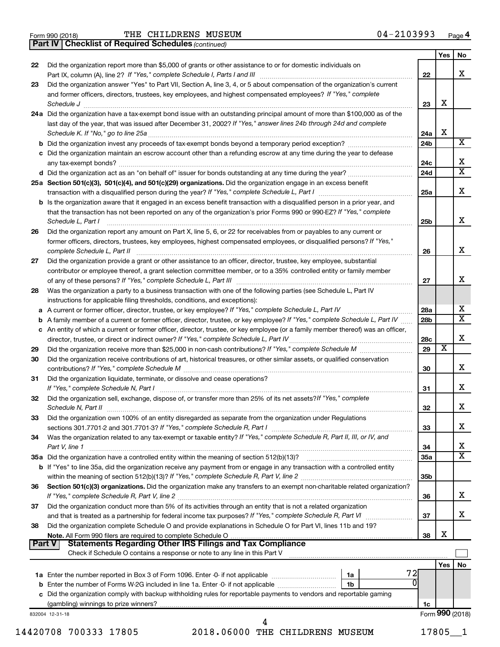|  | Form 990 (2018) |  |
|--|-----------------|--|
|  |                 |  |

*(continued)* **Part IV Checklist of Required Schedules**

|        |                                                                                                                                                                                                                                                                                    |                 | Yes                     | No |
|--------|------------------------------------------------------------------------------------------------------------------------------------------------------------------------------------------------------------------------------------------------------------------------------------|-----------------|-------------------------|----|
| 22     | Did the organization report more than \$5,000 of grants or other assistance to or for domestic individuals on                                                                                                                                                                      | 22              |                         | x  |
| 23     | Did the organization answer "Yes" to Part VII, Section A, line 3, 4, or 5 about compensation of the organization's current                                                                                                                                                         |                 |                         |    |
|        | and former officers, directors, trustees, key employees, and highest compensated employees? If "Yes," complete<br>Schedule J <b>Execute Schedule J Execute Schedule J</b>                                                                                                          | 23              | X                       |    |
|        | 24a Did the organization have a tax-exempt bond issue with an outstanding principal amount of more than \$100,000 as of the                                                                                                                                                        |                 |                         |    |
|        | last day of the year, that was issued after December 31, 2002? If "Yes," answer lines 24b through 24d and complete                                                                                                                                                                 | 24a             | X                       |    |
|        |                                                                                                                                                                                                                                                                                    | 24 <sub>b</sub> |                         |    |
|        | c Did the organization maintain an escrow account other than a refunding escrow at any time during the year to defease                                                                                                                                                             |                 |                         |    |
|        |                                                                                                                                                                                                                                                                                    | 24с             |                         |    |
|        |                                                                                                                                                                                                                                                                                    | 24d             |                         |    |
|        | 25a Section 501(c)(3), 501(c)(4), and 501(c)(29) organizations. Did the organization engage in an excess benefit                                                                                                                                                                   |                 |                         |    |
|        |                                                                                                                                                                                                                                                                                    | 25a             |                         |    |
|        |                                                                                                                                                                                                                                                                                    |                 |                         |    |
|        | <b>b</b> Is the organization aware that it engaged in an excess benefit transaction with a disqualified person in a prior year, and<br>that the transaction has not been reported on any of the organization's prior Forms 990 or 990-EZ? If "Yes," complete<br>Schedule L, Part I | 25b             |                         |    |
| 26     | Did the organization report any amount on Part X, line 5, 6, or 22 for receivables from or payables to any current or                                                                                                                                                              |                 |                         |    |
|        | former officers, directors, trustees, key employees, highest compensated employees, or disqualified persons? If "Yes,"                                                                                                                                                             | 26              |                         |    |
| 27     | Did the organization provide a grant or other assistance to an officer, director, trustee, key employee, substantial                                                                                                                                                               |                 |                         |    |
|        | contributor or employee thereof, a grant selection committee member, or to a 35% controlled entity or family member                                                                                                                                                                | 27              |                         |    |
| 28     | Was the organization a party to a business transaction with one of the following parties (see Schedule L, Part IV<br>instructions for applicable filing thresholds, conditions, and exceptions):                                                                                   |                 |                         |    |
|        | a A current or former officer, director, trustee, or key employee? If "Yes," complete Schedule L, Part IV                                                                                                                                                                          | 28a             |                         |    |
|        | <b>b</b> A family member of a current or former officer, director, trustee, or key employee? If "Yes," complete Schedule L, Part IV                                                                                                                                                | 28 <sub>b</sub> |                         |    |
|        | c An entity of which a current or former officer, director, trustee, or key employee (or a family member thereof) was an officer,                                                                                                                                                  |                 |                         |    |
|        |                                                                                                                                                                                                                                                                                    | 28c             |                         |    |
| 29     |                                                                                                                                                                                                                                                                                    | 29              | $\overline{\mathbf{X}}$ |    |
| 30     | Did the organization receive contributions of art, historical treasures, or other similar assets, or qualified conservation                                                                                                                                                        | 30              |                         |    |
| 31     | Did the organization liquidate, terminate, or dissolve and cease operations?                                                                                                                                                                                                       | 31              |                         |    |
| 32     | Did the organization sell, exchange, dispose of, or transfer more than 25% of its net assets? If "Yes," complete                                                                                                                                                                   | 32              |                         |    |
| 33     | Did the organization own 100% of an entity disregarded as separate from the organization under Regulations                                                                                                                                                                         |                 |                         |    |
|        |                                                                                                                                                                                                                                                                                    | 33              |                         |    |
| 34     | Was the organization related to any tax-exempt or taxable entity? If "Yes," complete Schedule R, Part II, III, or IV, and<br>Part V, line 1                                                                                                                                        | 34              |                         |    |
|        |                                                                                                                                                                                                                                                                                    | <b>35a</b>      |                         |    |
|        | b If "Yes" to line 35a, did the organization receive any payment from or engage in any transaction with a controlled entity                                                                                                                                                        | 35b             |                         |    |
| 36     | Section 501(c)(3) organizations. Did the organization make any transfers to an exempt non-charitable related organization?                                                                                                                                                         |                 |                         |    |
|        |                                                                                                                                                                                                                                                                                    | 36              |                         |    |
| 37     | Did the organization conduct more than 5% of its activities through an entity that is not a related organization                                                                                                                                                                   | 37              |                         |    |
| 38     | Did the organization complete Schedule O and provide explanations in Schedule O for Part VI, lines 11b and 19?                                                                                                                                                                     | 38              | X                       |    |
| Part V | Check if Schedule O contains a response or note to any line in this Part V                                                                                                                                                                                                         |                 |                         |    |
|        |                                                                                                                                                                                                                                                                                    |                 | Yes                     |    |
|        | 72                                                                                                                                                                                                                                                                                 |                 |                         |    |
|        |                                                                                                                                                                                                                                                                                    |                 |                         |    |
|        | 1b                                                                                                                                                                                                                                                                                 |                 |                         |    |
|        | c Did the organization comply with backup withholding rules for reportable payments to vendors and reportable gaming                                                                                                                                                               |                 |                         |    |
|        |                                                                                                                                                                                                                                                                                    | 1c              |                         |    |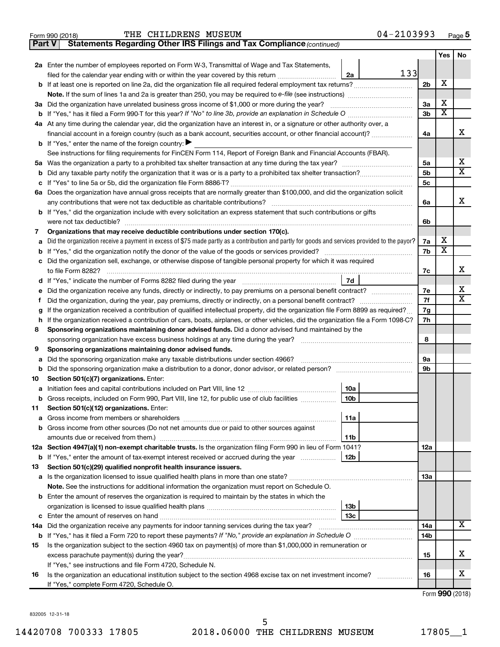| orm 990 (2018) |                                                                              | THE CHILDRENS MUSEUM |  | 04-2103993 |
|----------------|------------------------------------------------------------------------------|----------------------|--|------------|
|                | Part V Statements Regarding Other IRS Filings and Tax Compliance (continued) |                      |  |            |

|                                                                                                                     |                                                                                                                                                              |                 | <b>Yes</b>              | No                      |  |  |  |  |  |
|---------------------------------------------------------------------------------------------------------------------|--------------------------------------------------------------------------------------------------------------------------------------------------------------|-----------------|-------------------------|-------------------------|--|--|--|--|--|
|                                                                                                                     | 2a Enter the number of employees reported on Form W-3, Transmittal of Wage and Tax Statements,                                                               |                 |                         |                         |  |  |  |  |  |
|                                                                                                                     | 133<br>filed for the calendar year ending with or within the year covered by this return<br>2a                                                               |                 |                         |                         |  |  |  |  |  |
|                                                                                                                     |                                                                                                                                                              | 2 <sub>b</sub>  | х                       |                         |  |  |  |  |  |
|                                                                                                                     |                                                                                                                                                              |                 |                         |                         |  |  |  |  |  |
|                                                                                                                     | 3a Did the organization have unrelated business gross income of \$1,000 or more during the year?                                                             |                 |                         |                         |  |  |  |  |  |
|                                                                                                                     |                                                                                                                                                              | 3b              | $\overline{\textbf{x}}$ |                         |  |  |  |  |  |
|                                                                                                                     | 4a At any time during the calendar year, did the organization have an interest in, or a signature or other authority over, a                                 |                 |                         |                         |  |  |  |  |  |
|                                                                                                                     | financial account in a foreign country (such as a bank account, securities account, or other financial account)?                                             | 4a              |                         | x                       |  |  |  |  |  |
|                                                                                                                     | <b>b</b> If "Yes," enter the name of the foreign country:                                                                                                    |                 |                         |                         |  |  |  |  |  |
|                                                                                                                     | See instructions for filing requirements for FinCEN Form 114, Report of Foreign Bank and Financial Accounts (FBAR).                                          |                 |                         |                         |  |  |  |  |  |
|                                                                                                                     |                                                                                                                                                              | 5a              |                         | x                       |  |  |  |  |  |
|                                                                                                                     |                                                                                                                                                              | 5b              |                         | $\overline{\textbf{x}}$ |  |  |  |  |  |
|                                                                                                                     |                                                                                                                                                              | 5c              |                         |                         |  |  |  |  |  |
|                                                                                                                     | 6a Does the organization have annual gross receipts that are normally greater than \$100,000, and did the organization solicit                               |                 |                         |                         |  |  |  |  |  |
|                                                                                                                     | any contributions that were not tax deductible as charitable contributions?                                                                                  | 6a              |                         | x                       |  |  |  |  |  |
|                                                                                                                     | b If "Yes," did the organization include with every solicitation an express statement that such contributions or gifts                                       |                 |                         |                         |  |  |  |  |  |
|                                                                                                                     | were not tax deductible?                                                                                                                                     | 6b              |                         |                         |  |  |  |  |  |
| 7                                                                                                                   | Organizations that may receive deductible contributions under section 170(c).                                                                                |                 |                         |                         |  |  |  |  |  |
|                                                                                                                     | Did the organization receive a payment in excess of \$75 made partly as a contribution and partly for goods and services provided to the payor?              | 7a              | х                       |                         |  |  |  |  |  |
|                                                                                                                     |                                                                                                                                                              | 7b              | $\overline{\textbf{x}}$ |                         |  |  |  |  |  |
|                                                                                                                     | c Did the organization sell, exchange, or otherwise dispose of tangible personal property for which it was required                                          |                 |                         |                         |  |  |  |  |  |
|                                                                                                                     | to file Form 8282?                                                                                                                                           | 7c              |                         | x                       |  |  |  |  |  |
|                                                                                                                     | 7d                                                                                                                                                           | 7e              |                         | х                       |  |  |  |  |  |
|                                                                                                                     | Did the organization receive any funds, directly or indirectly, to pay premiums on a personal benefit contract?                                              |                 |                         |                         |  |  |  |  |  |
|                                                                                                                     | Ť.                                                                                                                                                           |                 |                         |                         |  |  |  |  |  |
|                                                                                                                     | If the organization received a contribution of qualified intellectual property, did the organization file Form 8899 as required?<br>g                        |                 |                         |                         |  |  |  |  |  |
| 8                                                                                                                   | If the organization received a contribution of cars, boats, airplanes, or other vehicles, did the organization file a Form 1098-C?<br>h.                     |                 |                         |                         |  |  |  |  |  |
|                                                                                                                     | Sponsoring organizations maintaining donor advised funds. Did a donor advised fund maintained by the                                                         |                 |                         |                         |  |  |  |  |  |
| 9                                                                                                                   | sponsoring organization have excess business holdings at any time during the year?                                                                           |                 |                         |                         |  |  |  |  |  |
| a                                                                                                                   | Sponsoring organizations maintaining donor advised funds.<br>Did the sponsoring organization make any taxable distributions under section 4966?              |                 |                         |                         |  |  |  |  |  |
| b                                                                                                                   |                                                                                                                                                              | <b>9a</b><br>9b |                         |                         |  |  |  |  |  |
| 10                                                                                                                  | Section 501(c)(7) organizations. Enter:                                                                                                                      |                 |                         |                         |  |  |  |  |  |
| а                                                                                                                   | 10a                                                                                                                                                          |                 |                         |                         |  |  |  |  |  |
| b                                                                                                                   | 10 <sub>b</sub><br>Gross receipts, included on Form 990, Part VIII, line 12, for public use of club facilities                                               |                 |                         |                         |  |  |  |  |  |
| 11                                                                                                                  | Section 501(c)(12) organizations. Enter:                                                                                                                     |                 |                         |                         |  |  |  |  |  |
|                                                                                                                     | I.I<br>11a                                                                                                                                                   |                 |                         |                         |  |  |  |  |  |
|                                                                                                                     | <b>b</b> Gross income from other sources (Do not net amounts due or paid to other sources against                                                            |                 |                         |                         |  |  |  |  |  |
|                                                                                                                     | amounts due or received from them.)<br>11b                                                                                                                   |                 |                         |                         |  |  |  |  |  |
|                                                                                                                     | 12a Section 4947(a)(1) non-exempt charitable trusts. Is the organization filing Form 990 in lieu of Form 1041?                                               | 12a             |                         |                         |  |  |  |  |  |
|                                                                                                                     | <b>b</b> If "Yes," enter the amount of tax-exempt interest received or accrued during the year<br>12b                                                        |                 |                         |                         |  |  |  |  |  |
| 13                                                                                                                  | Section 501(c)(29) qualified nonprofit health insurance issuers.                                                                                             |                 |                         |                         |  |  |  |  |  |
|                                                                                                                     |                                                                                                                                                              | 1За             |                         |                         |  |  |  |  |  |
|                                                                                                                     | Note. See the instructions for additional information the organization must report on Schedule O.                                                            |                 |                         |                         |  |  |  |  |  |
|                                                                                                                     | <b>b</b> Enter the amount of reserves the organization is required to maintain by the states in which the                                                    |                 |                         |                         |  |  |  |  |  |
|                                                                                                                     | 13b                                                                                                                                                          |                 |                         |                         |  |  |  |  |  |
|                                                                                                                     | 13c                                                                                                                                                          | 14a             |                         | x                       |  |  |  |  |  |
| 14a Did the organization receive any payments for indoor tanning services during the tax year?                      |                                                                                                                                                              |                 |                         |                         |  |  |  |  |  |
|                                                                                                                     |                                                                                                                                                              |                 |                         |                         |  |  |  |  |  |
| Is the organization subject to the section 4960 tax on payment(s) of more than \$1,000,000 in remuneration or<br>15 |                                                                                                                                                              |                 |                         |                         |  |  |  |  |  |
|                                                                                                                     |                                                                                                                                                              | 15              |                         | x                       |  |  |  |  |  |
|                                                                                                                     | If "Yes," see instructions and file Form 4720, Schedule N.                                                                                                   |                 |                         | х                       |  |  |  |  |  |
| 16                                                                                                                  | Is the organization an educational institution subject to the section 4968 excise tax on net investment income?<br>If "Yes," complete Form 4720, Schedule O. | 16              |                         |                         |  |  |  |  |  |
|                                                                                                                     |                                                                                                                                                              |                 |                         |                         |  |  |  |  |  |

Form (2018) **990**

832005 12-31-18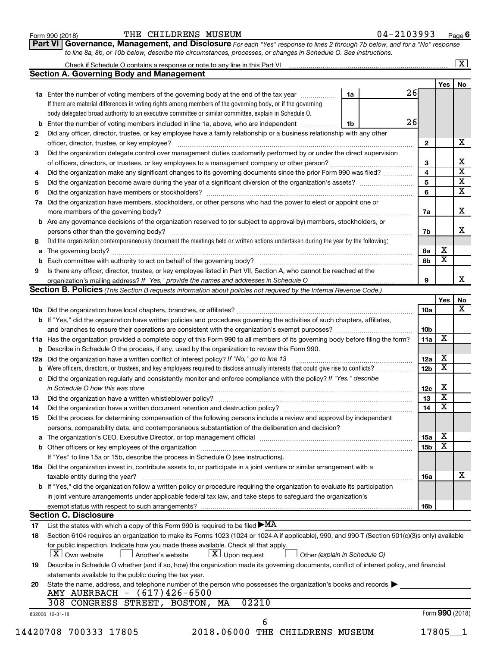| Form 990 (2018) |  |  |
|-----------------|--|--|
|-----------------|--|--|

#### Form 990 (2018) Page THE CHILDRENS MUSEUM 04-2103993

**Part VI** Governance, Management, and Disclosure For each "Yes" response to lines 2 through 7b below, and for a "No" response *to line 8a, 8b, or 10b below, describe the circumstances, processes, or changes in Schedule O. See instructions.*

| Yes<br>26<br>1a Enter the number of voting members of the governing body at the end of the tax year<br>1a<br>If there are material differences in voting rights among members of the governing body, or if the governing<br>body delegated broad authority to an executive committee or similar committee, explain in Schedule O.<br>26<br>Enter the number of voting members included in line 1a, above, who are independent <i>manumum</i><br>1b<br>b<br>Did any officer, director, trustee, or key employee have a family relationship or a business relationship with any other<br>$\mathbf{2}$<br>officer, director, trustee, or key employee?<br>Did the organization delegate control over management duties customarily performed by or under the direct supervision<br>3<br>4<br>Did the organization make any significant changes to its governing documents since the prior Form 990 was filed?<br>5<br>6<br>Did the organization have members, stockholders, or other persons who had the power to elect or appoint one or<br>7a<br>Are any governance decisions of the organization reserved to (or subject to approval by) members, stockholders, or<br>b<br>7b<br>Did the organization contemporaneously document the meetings held or written actions undertaken during the year by the following:<br>х<br>8а<br>а<br>$\overline{\textbf{x}}$<br>8b<br>b<br>Is there any officer, director, trustee, or key employee listed in Part VII, Section A, who cannot be reached at the<br>9<br>9<br><b>Section B. Policies</b> (This Section B requests information about policies not required by the Internal Revenue Code.)<br>Yes<br>10a<br><b>b</b> If "Yes," did the organization have written policies and procedures governing the activities of such chapters, affiliates,<br>10b<br>X<br>11a<br>11a Has the organization provided a complete copy of this Form 990 to all members of its governing body before filing the form?<br><b>b</b> Describe in Schedule O the process, if any, used by the organization to review this Form 990.<br>х<br>12a<br>Did the organization have a written conflict of interest policy? If "No," go to line 13<br>$\overline{\mathbf{X}}$<br>Were officers, directors, or trustees, and key employees required to disclose annually interests that could give rise to conflicts?<br>12 <sub>b</sub><br>b<br>Did the organization regularly and consistently monitor and enforce compliance with the policy? If "Yes," describe<br>с<br>Х<br>12c<br>$\overline{\mathbf{X}}$<br>13<br>$\overline{\mathbf{X}}$<br>14<br>Did the organization have a written document retention and destruction policy? [11] manufaction manufaction in<br>Did the process for determining compensation of the following persons include a review and approval by independent<br>persons, comparability data, and contemporaneous substantiation of the deliberation and decision?<br>х<br>The organization's CEO, Executive Director, or top management official [111] [11] manument content of the organization's CEO, Executive Director, or top management official [11] manument content of the organization of the<br>15a<br>а<br>$\overline{\textbf{x}}$<br>15 <sub>b</sub><br>If "Yes" to line 15a or 15b, describe the process in Schedule O (see instructions).<br>16a Did the organization invest in, contribute assets to, or participate in a joint venture or similar arrangement with a<br>taxable entity during the year?<br>16a<br>b If "Yes," did the organization follow a written policy or procedure requiring the organization to evaluate its participation<br>in joint venture arrangements under applicable federal tax law, and take steps to safeguard the organization's<br>exempt status with respect to such arrangements?<br>16b<br><b>Section C. Disclosure</b><br>List the states with which a copy of this Form 990 is required to be filed $\blacktriangleright$ MA<br>17<br>Section 6104 requires an organization to make its Forms 1023 (1024 or 1024 A if applicable), 990, and 990-T (Section 501(c)(3)s only) available<br>18<br>for public inspection. Indicate how you made these available. Check all that apply.<br>$\lfloor x \rfloor$ Upon request<br><b>X</b> Own website<br>Another's website<br>Other (explain in Schedule O)<br>Describe in Schedule O whether (and if so, how) the organization made its governing documents, conflict of interest policy, and financial<br>19<br>statements available to the public during the tax year.<br>State the name, address, and telephone number of the person who possesses the organization's books and records<br>AMY AUERBACH - (617)426-6500<br>02210<br>308 CONGRESS STREET, BOSTON, MA<br>Form 990 (2018)<br>832006 12-31-18<br>6<br>14420708 700333 17805<br>2018.06000 THE CHILDRENS MUSEUM<br>17805_1 |     | Check if Schedule O contains a response or note to any line in this Part VI [1] [1] [1] [1] [1] [1] [1] [1] [1 |  |  | $\mathbf{X}$ |
|------------------------------------------------------------------------------------------------------------------------------------------------------------------------------------------------------------------------------------------------------------------------------------------------------------------------------------------------------------------------------------------------------------------------------------------------------------------------------------------------------------------------------------------------------------------------------------------------------------------------------------------------------------------------------------------------------------------------------------------------------------------------------------------------------------------------------------------------------------------------------------------------------------------------------------------------------------------------------------------------------------------------------------------------------------------------------------------------------------------------------------------------------------------------------------------------------------------------------------------------------------------------------------------------------------------------------------------------------------------------------------------------------------------------------------------------------------------------------------------------------------------------------------------------------------------------------------------------------------------------------------------------------------------------------------------------------------------------------------------------------------------------------------------------------------------------------------------------------------------------------------------------------------------------------------------------------------------------------------------------------------------------------------------------------------------------------------------------------------------------------------------------------------------------------------------------------------------------------------------------------------------------------------------------------------------------------------------------------------------------------------------------------------------------------------------------------------------------------------------------------------------------------------------------------------------------------------------------------------------------------------------------------------------------------------------------------------------------------------------------------------------------------------------------------------------------------------------------------------------------------------------------------------------------------------------------------------------------------------------------------------------------------------------------------------------------------------------------------------------------------------------------------------------------------------------------------------------------------------------------------------------------------------------------------------------------------------------------------------------------------------------------------------------------------------------------------------------------------------------------------------------------------------------------------------------------------------------------------------------------------------------------------------------------------------------------------------------------------------------------------------------------------------------------------------------------------------------------------------------------------------------------------------------------------------------------------------------------------------------------------------------------------------------------------------------------------------------------------------------------------------------------------------------------------------------------------------------------------------------------------------------------------------------------------------------------------------------------------------------------------------------------------------------------------------------------------------------------------------------------------------------------------------------------------------------------------------------------------------------------------------------------------------------------------------------------------------------------------------------------------------------------------------------------------------------------------------------------|-----|----------------------------------------------------------------------------------------------------------------|--|--|--------------|
|                                                                                                                                                                                                                                                                                                                                                                                                                                                                                                                                                                                                                                                                                                                                                                                                                                                                                                                                                                                                                                                                                                                                                                                                                                                                                                                                                                                                                                                                                                                                                                                                                                                                                                                                                                                                                                                                                                                                                                                                                                                                                                                                                                                                                                                                                                                                                                                                                                                                                                                                                                                                                                                                                                                                                                                                                                                                                                                                                                                                                                                                                                                                                                                                                                                                                                                                                                                                                                                                                                                                                                                                                                                                                                                                                                                                                                                                                                                                                                                                                                                                                                                                                                                                                                                                                                                                                                                                                                                                                                                                                                                                                                                                                                                                                                                                                                                |     | <b>Section A. Governing Body and Management</b>                                                                |  |  |              |
|                                                                                                                                                                                                                                                                                                                                                                                                                                                                                                                                                                                                                                                                                                                                                                                                                                                                                                                                                                                                                                                                                                                                                                                                                                                                                                                                                                                                                                                                                                                                                                                                                                                                                                                                                                                                                                                                                                                                                                                                                                                                                                                                                                                                                                                                                                                                                                                                                                                                                                                                                                                                                                                                                                                                                                                                                                                                                                                                                                                                                                                                                                                                                                                                                                                                                                                                                                                                                                                                                                                                                                                                                                                                                                                                                                                                                                                                                                                                                                                                                                                                                                                                                                                                                                                                                                                                                                                                                                                                                                                                                                                                                                                                                                                                                                                                                                                |     |                                                                                                                |  |  | No           |
|                                                                                                                                                                                                                                                                                                                                                                                                                                                                                                                                                                                                                                                                                                                                                                                                                                                                                                                                                                                                                                                                                                                                                                                                                                                                                                                                                                                                                                                                                                                                                                                                                                                                                                                                                                                                                                                                                                                                                                                                                                                                                                                                                                                                                                                                                                                                                                                                                                                                                                                                                                                                                                                                                                                                                                                                                                                                                                                                                                                                                                                                                                                                                                                                                                                                                                                                                                                                                                                                                                                                                                                                                                                                                                                                                                                                                                                                                                                                                                                                                                                                                                                                                                                                                                                                                                                                                                                                                                                                                                                                                                                                                                                                                                                                                                                                                                                |     |                                                                                                                |  |  |              |
|                                                                                                                                                                                                                                                                                                                                                                                                                                                                                                                                                                                                                                                                                                                                                                                                                                                                                                                                                                                                                                                                                                                                                                                                                                                                                                                                                                                                                                                                                                                                                                                                                                                                                                                                                                                                                                                                                                                                                                                                                                                                                                                                                                                                                                                                                                                                                                                                                                                                                                                                                                                                                                                                                                                                                                                                                                                                                                                                                                                                                                                                                                                                                                                                                                                                                                                                                                                                                                                                                                                                                                                                                                                                                                                                                                                                                                                                                                                                                                                                                                                                                                                                                                                                                                                                                                                                                                                                                                                                                                                                                                                                                                                                                                                                                                                                                                                |     |                                                                                                                |  |  |              |
|                                                                                                                                                                                                                                                                                                                                                                                                                                                                                                                                                                                                                                                                                                                                                                                                                                                                                                                                                                                                                                                                                                                                                                                                                                                                                                                                                                                                                                                                                                                                                                                                                                                                                                                                                                                                                                                                                                                                                                                                                                                                                                                                                                                                                                                                                                                                                                                                                                                                                                                                                                                                                                                                                                                                                                                                                                                                                                                                                                                                                                                                                                                                                                                                                                                                                                                                                                                                                                                                                                                                                                                                                                                                                                                                                                                                                                                                                                                                                                                                                                                                                                                                                                                                                                                                                                                                                                                                                                                                                                                                                                                                                                                                                                                                                                                                                                                |     |                                                                                                                |  |  |              |
|                                                                                                                                                                                                                                                                                                                                                                                                                                                                                                                                                                                                                                                                                                                                                                                                                                                                                                                                                                                                                                                                                                                                                                                                                                                                                                                                                                                                                                                                                                                                                                                                                                                                                                                                                                                                                                                                                                                                                                                                                                                                                                                                                                                                                                                                                                                                                                                                                                                                                                                                                                                                                                                                                                                                                                                                                                                                                                                                                                                                                                                                                                                                                                                                                                                                                                                                                                                                                                                                                                                                                                                                                                                                                                                                                                                                                                                                                                                                                                                                                                                                                                                                                                                                                                                                                                                                                                                                                                                                                                                                                                                                                                                                                                                                                                                                                                                |     |                                                                                                                |  |  |              |
|                                                                                                                                                                                                                                                                                                                                                                                                                                                                                                                                                                                                                                                                                                                                                                                                                                                                                                                                                                                                                                                                                                                                                                                                                                                                                                                                                                                                                                                                                                                                                                                                                                                                                                                                                                                                                                                                                                                                                                                                                                                                                                                                                                                                                                                                                                                                                                                                                                                                                                                                                                                                                                                                                                                                                                                                                                                                                                                                                                                                                                                                                                                                                                                                                                                                                                                                                                                                                                                                                                                                                                                                                                                                                                                                                                                                                                                                                                                                                                                                                                                                                                                                                                                                                                                                                                                                                                                                                                                                                                                                                                                                                                                                                                                                                                                                                                                | 2   |                                                                                                                |  |  |              |
|                                                                                                                                                                                                                                                                                                                                                                                                                                                                                                                                                                                                                                                                                                                                                                                                                                                                                                                                                                                                                                                                                                                                                                                                                                                                                                                                                                                                                                                                                                                                                                                                                                                                                                                                                                                                                                                                                                                                                                                                                                                                                                                                                                                                                                                                                                                                                                                                                                                                                                                                                                                                                                                                                                                                                                                                                                                                                                                                                                                                                                                                                                                                                                                                                                                                                                                                                                                                                                                                                                                                                                                                                                                                                                                                                                                                                                                                                                                                                                                                                                                                                                                                                                                                                                                                                                                                                                                                                                                                                                                                                                                                                                                                                                                                                                                                                                                |     |                                                                                                                |  |  |              |
|                                                                                                                                                                                                                                                                                                                                                                                                                                                                                                                                                                                                                                                                                                                                                                                                                                                                                                                                                                                                                                                                                                                                                                                                                                                                                                                                                                                                                                                                                                                                                                                                                                                                                                                                                                                                                                                                                                                                                                                                                                                                                                                                                                                                                                                                                                                                                                                                                                                                                                                                                                                                                                                                                                                                                                                                                                                                                                                                                                                                                                                                                                                                                                                                                                                                                                                                                                                                                                                                                                                                                                                                                                                                                                                                                                                                                                                                                                                                                                                                                                                                                                                                                                                                                                                                                                                                                                                                                                                                                                                                                                                                                                                                                                                                                                                                                                                | 3   |                                                                                                                |  |  |              |
|                                                                                                                                                                                                                                                                                                                                                                                                                                                                                                                                                                                                                                                                                                                                                                                                                                                                                                                                                                                                                                                                                                                                                                                                                                                                                                                                                                                                                                                                                                                                                                                                                                                                                                                                                                                                                                                                                                                                                                                                                                                                                                                                                                                                                                                                                                                                                                                                                                                                                                                                                                                                                                                                                                                                                                                                                                                                                                                                                                                                                                                                                                                                                                                                                                                                                                                                                                                                                                                                                                                                                                                                                                                                                                                                                                                                                                                                                                                                                                                                                                                                                                                                                                                                                                                                                                                                                                                                                                                                                                                                                                                                                                                                                                                                                                                                                                                |     |                                                                                                                |  |  |              |
|                                                                                                                                                                                                                                                                                                                                                                                                                                                                                                                                                                                                                                                                                                                                                                                                                                                                                                                                                                                                                                                                                                                                                                                                                                                                                                                                                                                                                                                                                                                                                                                                                                                                                                                                                                                                                                                                                                                                                                                                                                                                                                                                                                                                                                                                                                                                                                                                                                                                                                                                                                                                                                                                                                                                                                                                                                                                                                                                                                                                                                                                                                                                                                                                                                                                                                                                                                                                                                                                                                                                                                                                                                                                                                                                                                                                                                                                                                                                                                                                                                                                                                                                                                                                                                                                                                                                                                                                                                                                                                                                                                                                                                                                                                                                                                                                                                                | 4   |                                                                                                                |  |  |              |
|                                                                                                                                                                                                                                                                                                                                                                                                                                                                                                                                                                                                                                                                                                                                                                                                                                                                                                                                                                                                                                                                                                                                                                                                                                                                                                                                                                                                                                                                                                                                                                                                                                                                                                                                                                                                                                                                                                                                                                                                                                                                                                                                                                                                                                                                                                                                                                                                                                                                                                                                                                                                                                                                                                                                                                                                                                                                                                                                                                                                                                                                                                                                                                                                                                                                                                                                                                                                                                                                                                                                                                                                                                                                                                                                                                                                                                                                                                                                                                                                                                                                                                                                                                                                                                                                                                                                                                                                                                                                                                                                                                                                                                                                                                                                                                                                                                                | 5   |                                                                                                                |  |  |              |
|                                                                                                                                                                                                                                                                                                                                                                                                                                                                                                                                                                                                                                                                                                                                                                                                                                                                                                                                                                                                                                                                                                                                                                                                                                                                                                                                                                                                                                                                                                                                                                                                                                                                                                                                                                                                                                                                                                                                                                                                                                                                                                                                                                                                                                                                                                                                                                                                                                                                                                                                                                                                                                                                                                                                                                                                                                                                                                                                                                                                                                                                                                                                                                                                                                                                                                                                                                                                                                                                                                                                                                                                                                                                                                                                                                                                                                                                                                                                                                                                                                                                                                                                                                                                                                                                                                                                                                                                                                                                                                                                                                                                                                                                                                                                                                                                                                                | 6   |                                                                                                                |  |  |              |
|                                                                                                                                                                                                                                                                                                                                                                                                                                                                                                                                                                                                                                                                                                                                                                                                                                                                                                                                                                                                                                                                                                                                                                                                                                                                                                                                                                                                                                                                                                                                                                                                                                                                                                                                                                                                                                                                                                                                                                                                                                                                                                                                                                                                                                                                                                                                                                                                                                                                                                                                                                                                                                                                                                                                                                                                                                                                                                                                                                                                                                                                                                                                                                                                                                                                                                                                                                                                                                                                                                                                                                                                                                                                                                                                                                                                                                                                                                                                                                                                                                                                                                                                                                                                                                                                                                                                                                                                                                                                                                                                                                                                                                                                                                                                                                                                                                                | 7a  |                                                                                                                |  |  |              |
|                                                                                                                                                                                                                                                                                                                                                                                                                                                                                                                                                                                                                                                                                                                                                                                                                                                                                                                                                                                                                                                                                                                                                                                                                                                                                                                                                                                                                                                                                                                                                                                                                                                                                                                                                                                                                                                                                                                                                                                                                                                                                                                                                                                                                                                                                                                                                                                                                                                                                                                                                                                                                                                                                                                                                                                                                                                                                                                                                                                                                                                                                                                                                                                                                                                                                                                                                                                                                                                                                                                                                                                                                                                                                                                                                                                                                                                                                                                                                                                                                                                                                                                                                                                                                                                                                                                                                                                                                                                                                                                                                                                                                                                                                                                                                                                                                                                |     |                                                                                                                |  |  |              |
|                                                                                                                                                                                                                                                                                                                                                                                                                                                                                                                                                                                                                                                                                                                                                                                                                                                                                                                                                                                                                                                                                                                                                                                                                                                                                                                                                                                                                                                                                                                                                                                                                                                                                                                                                                                                                                                                                                                                                                                                                                                                                                                                                                                                                                                                                                                                                                                                                                                                                                                                                                                                                                                                                                                                                                                                                                                                                                                                                                                                                                                                                                                                                                                                                                                                                                                                                                                                                                                                                                                                                                                                                                                                                                                                                                                                                                                                                                                                                                                                                                                                                                                                                                                                                                                                                                                                                                                                                                                                                                                                                                                                                                                                                                                                                                                                                                                |     |                                                                                                                |  |  |              |
|                                                                                                                                                                                                                                                                                                                                                                                                                                                                                                                                                                                                                                                                                                                                                                                                                                                                                                                                                                                                                                                                                                                                                                                                                                                                                                                                                                                                                                                                                                                                                                                                                                                                                                                                                                                                                                                                                                                                                                                                                                                                                                                                                                                                                                                                                                                                                                                                                                                                                                                                                                                                                                                                                                                                                                                                                                                                                                                                                                                                                                                                                                                                                                                                                                                                                                                                                                                                                                                                                                                                                                                                                                                                                                                                                                                                                                                                                                                                                                                                                                                                                                                                                                                                                                                                                                                                                                                                                                                                                                                                                                                                                                                                                                                                                                                                                                                |     |                                                                                                                |  |  |              |
|                                                                                                                                                                                                                                                                                                                                                                                                                                                                                                                                                                                                                                                                                                                                                                                                                                                                                                                                                                                                                                                                                                                                                                                                                                                                                                                                                                                                                                                                                                                                                                                                                                                                                                                                                                                                                                                                                                                                                                                                                                                                                                                                                                                                                                                                                                                                                                                                                                                                                                                                                                                                                                                                                                                                                                                                                                                                                                                                                                                                                                                                                                                                                                                                                                                                                                                                                                                                                                                                                                                                                                                                                                                                                                                                                                                                                                                                                                                                                                                                                                                                                                                                                                                                                                                                                                                                                                                                                                                                                                                                                                                                                                                                                                                                                                                                                                                | 8   |                                                                                                                |  |  |              |
|                                                                                                                                                                                                                                                                                                                                                                                                                                                                                                                                                                                                                                                                                                                                                                                                                                                                                                                                                                                                                                                                                                                                                                                                                                                                                                                                                                                                                                                                                                                                                                                                                                                                                                                                                                                                                                                                                                                                                                                                                                                                                                                                                                                                                                                                                                                                                                                                                                                                                                                                                                                                                                                                                                                                                                                                                                                                                                                                                                                                                                                                                                                                                                                                                                                                                                                                                                                                                                                                                                                                                                                                                                                                                                                                                                                                                                                                                                                                                                                                                                                                                                                                                                                                                                                                                                                                                                                                                                                                                                                                                                                                                                                                                                                                                                                                                                                |     |                                                                                                                |  |  |              |
|                                                                                                                                                                                                                                                                                                                                                                                                                                                                                                                                                                                                                                                                                                                                                                                                                                                                                                                                                                                                                                                                                                                                                                                                                                                                                                                                                                                                                                                                                                                                                                                                                                                                                                                                                                                                                                                                                                                                                                                                                                                                                                                                                                                                                                                                                                                                                                                                                                                                                                                                                                                                                                                                                                                                                                                                                                                                                                                                                                                                                                                                                                                                                                                                                                                                                                                                                                                                                                                                                                                                                                                                                                                                                                                                                                                                                                                                                                                                                                                                                                                                                                                                                                                                                                                                                                                                                                                                                                                                                                                                                                                                                                                                                                                                                                                                                                                |     |                                                                                                                |  |  |              |
|                                                                                                                                                                                                                                                                                                                                                                                                                                                                                                                                                                                                                                                                                                                                                                                                                                                                                                                                                                                                                                                                                                                                                                                                                                                                                                                                                                                                                                                                                                                                                                                                                                                                                                                                                                                                                                                                                                                                                                                                                                                                                                                                                                                                                                                                                                                                                                                                                                                                                                                                                                                                                                                                                                                                                                                                                                                                                                                                                                                                                                                                                                                                                                                                                                                                                                                                                                                                                                                                                                                                                                                                                                                                                                                                                                                                                                                                                                                                                                                                                                                                                                                                                                                                                                                                                                                                                                                                                                                                                                                                                                                                                                                                                                                                                                                                                                                |     |                                                                                                                |  |  |              |
|                                                                                                                                                                                                                                                                                                                                                                                                                                                                                                                                                                                                                                                                                                                                                                                                                                                                                                                                                                                                                                                                                                                                                                                                                                                                                                                                                                                                                                                                                                                                                                                                                                                                                                                                                                                                                                                                                                                                                                                                                                                                                                                                                                                                                                                                                                                                                                                                                                                                                                                                                                                                                                                                                                                                                                                                                                                                                                                                                                                                                                                                                                                                                                                                                                                                                                                                                                                                                                                                                                                                                                                                                                                                                                                                                                                                                                                                                                                                                                                                                                                                                                                                                                                                                                                                                                                                                                                                                                                                                                                                                                                                                                                                                                                                                                                                                                                |     |                                                                                                                |  |  |              |
|                                                                                                                                                                                                                                                                                                                                                                                                                                                                                                                                                                                                                                                                                                                                                                                                                                                                                                                                                                                                                                                                                                                                                                                                                                                                                                                                                                                                                                                                                                                                                                                                                                                                                                                                                                                                                                                                                                                                                                                                                                                                                                                                                                                                                                                                                                                                                                                                                                                                                                                                                                                                                                                                                                                                                                                                                                                                                                                                                                                                                                                                                                                                                                                                                                                                                                                                                                                                                                                                                                                                                                                                                                                                                                                                                                                                                                                                                                                                                                                                                                                                                                                                                                                                                                                                                                                                                                                                                                                                                                                                                                                                                                                                                                                                                                                                                                                |     |                                                                                                                |  |  |              |
|                                                                                                                                                                                                                                                                                                                                                                                                                                                                                                                                                                                                                                                                                                                                                                                                                                                                                                                                                                                                                                                                                                                                                                                                                                                                                                                                                                                                                                                                                                                                                                                                                                                                                                                                                                                                                                                                                                                                                                                                                                                                                                                                                                                                                                                                                                                                                                                                                                                                                                                                                                                                                                                                                                                                                                                                                                                                                                                                                                                                                                                                                                                                                                                                                                                                                                                                                                                                                                                                                                                                                                                                                                                                                                                                                                                                                                                                                                                                                                                                                                                                                                                                                                                                                                                                                                                                                                                                                                                                                                                                                                                                                                                                                                                                                                                                                                                |     |                                                                                                                |  |  |              |
|                                                                                                                                                                                                                                                                                                                                                                                                                                                                                                                                                                                                                                                                                                                                                                                                                                                                                                                                                                                                                                                                                                                                                                                                                                                                                                                                                                                                                                                                                                                                                                                                                                                                                                                                                                                                                                                                                                                                                                                                                                                                                                                                                                                                                                                                                                                                                                                                                                                                                                                                                                                                                                                                                                                                                                                                                                                                                                                                                                                                                                                                                                                                                                                                                                                                                                                                                                                                                                                                                                                                                                                                                                                                                                                                                                                                                                                                                                                                                                                                                                                                                                                                                                                                                                                                                                                                                                                                                                                                                                                                                                                                                                                                                                                                                                                                                                                |     |                                                                                                                |  |  |              |
|                                                                                                                                                                                                                                                                                                                                                                                                                                                                                                                                                                                                                                                                                                                                                                                                                                                                                                                                                                                                                                                                                                                                                                                                                                                                                                                                                                                                                                                                                                                                                                                                                                                                                                                                                                                                                                                                                                                                                                                                                                                                                                                                                                                                                                                                                                                                                                                                                                                                                                                                                                                                                                                                                                                                                                                                                                                                                                                                                                                                                                                                                                                                                                                                                                                                                                                                                                                                                                                                                                                                                                                                                                                                                                                                                                                                                                                                                                                                                                                                                                                                                                                                                                                                                                                                                                                                                                                                                                                                                                                                                                                                                                                                                                                                                                                                                                                |     |                                                                                                                |  |  |              |
|                                                                                                                                                                                                                                                                                                                                                                                                                                                                                                                                                                                                                                                                                                                                                                                                                                                                                                                                                                                                                                                                                                                                                                                                                                                                                                                                                                                                                                                                                                                                                                                                                                                                                                                                                                                                                                                                                                                                                                                                                                                                                                                                                                                                                                                                                                                                                                                                                                                                                                                                                                                                                                                                                                                                                                                                                                                                                                                                                                                                                                                                                                                                                                                                                                                                                                                                                                                                                                                                                                                                                                                                                                                                                                                                                                                                                                                                                                                                                                                                                                                                                                                                                                                                                                                                                                                                                                                                                                                                                                                                                                                                                                                                                                                                                                                                                                                |     |                                                                                                                |  |  |              |
|                                                                                                                                                                                                                                                                                                                                                                                                                                                                                                                                                                                                                                                                                                                                                                                                                                                                                                                                                                                                                                                                                                                                                                                                                                                                                                                                                                                                                                                                                                                                                                                                                                                                                                                                                                                                                                                                                                                                                                                                                                                                                                                                                                                                                                                                                                                                                                                                                                                                                                                                                                                                                                                                                                                                                                                                                                                                                                                                                                                                                                                                                                                                                                                                                                                                                                                                                                                                                                                                                                                                                                                                                                                                                                                                                                                                                                                                                                                                                                                                                                                                                                                                                                                                                                                                                                                                                                                                                                                                                                                                                                                                                                                                                                                                                                                                                                                |     |                                                                                                                |  |  |              |
|                                                                                                                                                                                                                                                                                                                                                                                                                                                                                                                                                                                                                                                                                                                                                                                                                                                                                                                                                                                                                                                                                                                                                                                                                                                                                                                                                                                                                                                                                                                                                                                                                                                                                                                                                                                                                                                                                                                                                                                                                                                                                                                                                                                                                                                                                                                                                                                                                                                                                                                                                                                                                                                                                                                                                                                                                                                                                                                                                                                                                                                                                                                                                                                                                                                                                                                                                                                                                                                                                                                                                                                                                                                                                                                                                                                                                                                                                                                                                                                                                                                                                                                                                                                                                                                                                                                                                                                                                                                                                                                                                                                                                                                                                                                                                                                                                                                |     |                                                                                                                |  |  |              |
|                                                                                                                                                                                                                                                                                                                                                                                                                                                                                                                                                                                                                                                                                                                                                                                                                                                                                                                                                                                                                                                                                                                                                                                                                                                                                                                                                                                                                                                                                                                                                                                                                                                                                                                                                                                                                                                                                                                                                                                                                                                                                                                                                                                                                                                                                                                                                                                                                                                                                                                                                                                                                                                                                                                                                                                                                                                                                                                                                                                                                                                                                                                                                                                                                                                                                                                                                                                                                                                                                                                                                                                                                                                                                                                                                                                                                                                                                                                                                                                                                                                                                                                                                                                                                                                                                                                                                                                                                                                                                                                                                                                                                                                                                                                                                                                                                                                |     |                                                                                                                |  |  |              |
|                                                                                                                                                                                                                                                                                                                                                                                                                                                                                                                                                                                                                                                                                                                                                                                                                                                                                                                                                                                                                                                                                                                                                                                                                                                                                                                                                                                                                                                                                                                                                                                                                                                                                                                                                                                                                                                                                                                                                                                                                                                                                                                                                                                                                                                                                                                                                                                                                                                                                                                                                                                                                                                                                                                                                                                                                                                                                                                                                                                                                                                                                                                                                                                                                                                                                                                                                                                                                                                                                                                                                                                                                                                                                                                                                                                                                                                                                                                                                                                                                                                                                                                                                                                                                                                                                                                                                                                                                                                                                                                                                                                                                                                                                                                                                                                                                                                | 12a |                                                                                                                |  |  |              |
|                                                                                                                                                                                                                                                                                                                                                                                                                                                                                                                                                                                                                                                                                                                                                                                                                                                                                                                                                                                                                                                                                                                                                                                                                                                                                                                                                                                                                                                                                                                                                                                                                                                                                                                                                                                                                                                                                                                                                                                                                                                                                                                                                                                                                                                                                                                                                                                                                                                                                                                                                                                                                                                                                                                                                                                                                                                                                                                                                                                                                                                                                                                                                                                                                                                                                                                                                                                                                                                                                                                                                                                                                                                                                                                                                                                                                                                                                                                                                                                                                                                                                                                                                                                                                                                                                                                                                                                                                                                                                                                                                                                                                                                                                                                                                                                                                                                |     |                                                                                                                |  |  |              |
|                                                                                                                                                                                                                                                                                                                                                                                                                                                                                                                                                                                                                                                                                                                                                                                                                                                                                                                                                                                                                                                                                                                                                                                                                                                                                                                                                                                                                                                                                                                                                                                                                                                                                                                                                                                                                                                                                                                                                                                                                                                                                                                                                                                                                                                                                                                                                                                                                                                                                                                                                                                                                                                                                                                                                                                                                                                                                                                                                                                                                                                                                                                                                                                                                                                                                                                                                                                                                                                                                                                                                                                                                                                                                                                                                                                                                                                                                                                                                                                                                                                                                                                                                                                                                                                                                                                                                                                                                                                                                                                                                                                                                                                                                                                                                                                                                                                |     |                                                                                                                |  |  |              |
|                                                                                                                                                                                                                                                                                                                                                                                                                                                                                                                                                                                                                                                                                                                                                                                                                                                                                                                                                                                                                                                                                                                                                                                                                                                                                                                                                                                                                                                                                                                                                                                                                                                                                                                                                                                                                                                                                                                                                                                                                                                                                                                                                                                                                                                                                                                                                                                                                                                                                                                                                                                                                                                                                                                                                                                                                                                                                                                                                                                                                                                                                                                                                                                                                                                                                                                                                                                                                                                                                                                                                                                                                                                                                                                                                                                                                                                                                                                                                                                                                                                                                                                                                                                                                                                                                                                                                                                                                                                                                                                                                                                                                                                                                                                                                                                                                                                |     |                                                                                                                |  |  |              |
|                                                                                                                                                                                                                                                                                                                                                                                                                                                                                                                                                                                                                                                                                                                                                                                                                                                                                                                                                                                                                                                                                                                                                                                                                                                                                                                                                                                                                                                                                                                                                                                                                                                                                                                                                                                                                                                                                                                                                                                                                                                                                                                                                                                                                                                                                                                                                                                                                                                                                                                                                                                                                                                                                                                                                                                                                                                                                                                                                                                                                                                                                                                                                                                                                                                                                                                                                                                                                                                                                                                                                                                                                                                                                                                                                                                                                                                                                                                                                                                                                                                                                                                                                                                                                                                                                                                                                                                                                                                                                                                                                                                                                                                                                                                                                                                                                                                | 13  |                                                                                                                |  |  |              |
|                                                                                                                                                                                                                                                                                                                                                                                                                                                                                                                                                                                                                                                                                                                                                                                                                                                                                                                                                                                                                                                                                                                                                                                                                                                                                                                                                                                                                                                                                                                                                                                                                                                                                                                                                                                                                                                                                                                                                                                                                                                                                                                                                                                                                                                                                                                                                                                                                                                                                                                                                                                                                                                                                                                                                                                                                                                                                                                                                                                                                                                                                                                                                                                                                                                                                                                                                                                                                                                                                                                                                                                                                                                                                                                                                                                                                                                                                                                                                                                                                                                                                                                                                                                                                                                                                                                                                                                                                                                                                                                                                                                                                                                                                                                                                                                                                                                | 14  |                                                                                                                |  |  |              |
|                                                                                                                                                                                                                                                                                                                                                                                                                                                                                                                                                                                                                                                                                                                                                                                                                                                                                                                                                                                                                                                                                                                                                                                                                                                                                                                                                                                                                                                                                                                                                                                                                                                                                                                                                                                                                                                                                                                                                                                                                                                                                                                                                                                                                                                                                                                                                                                                                                                                                                                                                                                                                                                                                                                                                                                                                                                                                                                                                                                                                                                                                                                                                                                                                                                                                                                                                                                                                                                                                                                                                                                                                                                                                                                                                                                                                                                                                                                                                                                                                                                                                                                                                                                                                                                                                                                                                                                                                                                                                                                                                                                                                                                                                                                                                                                                                                                | 15  |                                                                                                                |  |  |              |
|                                                                                                                                                                                                                                                                                                                                                                                                                                                                                                                                                                                                                                                                                                                                                                                                                                                                                                                                                                                                                                                                                                                                                                                                                                                                                                                                                                                                                                                                                                                                                                                                                                                                                                                                                                                                                                                                                                                                                                                                                                                                                                                                                                                                                                                                                                                                                                                                                                                                                                                                                                                                                                                                                                                                                                                                                                                                                                                                                                                                                                                                                                                                                                                                                                                                                                                                                                                                                                                                                                                                                                                                                                                                                                                                                                                                                                                                                                                                                                                                                                                                                                                                                                                                                                                                                                                                                                                                                                                                                                                                                                                                                                                                                                                                                                                                                                                |     |                                                                                                                |  |  |              |
|                                                                                                                                                                                                                                                                                                                                                                                                                                                                                                                                                                                                                                                                                                                                                                                                                                                                                                                                                                                                                                                                                                                                                                                                                                                                                                                                                                                                                                                                                                                                                                                                                                                                                                                                                                                                                                                                                                                                                                                                                                                                                                                                                                                                                                                                                                                                                                                                                                                                                                                                                                                                                                                                                                                                                                                                                                                                                                                                                                                                                                                                                                                                                                                                                                                                                                                                                                                                                                                                                                                                                                                                                                                                                                                                                                                                                                                                                                                                                                                                                                                                                                                                                                                                                                                                                                                                                                                                                                                                                                                                                                                                                                                                                                                                                                                                                                                |     |                                                                                                                |  |  |              |
|                                                                                                                                                                                                                                                                                                                                                                                                                                                                                                                                                                                                                                                                                                                                                                                                                                                                                                                                                                                                                                                                                                                                                                                                                                                                                                                                                                                                                                                                                                                                                                                                                                                                                                                                                                                                                                                                                                                                                                                                                                                                                                                                                                                                                                                                                                                                                                                                                                                                                                                                                                                                                                                                                                                                                                                                                                                                                                                                                                                                                                                                                                                                                                                                                                                                                                                                                                                                                                                                                                                                                                                                                                                                                                                                                                                                                                                                                                                                                                                                                                                                                                                                                                                                                                                                                                                                                                                                                                                                                                                                                                                                                                                                                                                                                                                                                                                |     |                                                                                                                |  |  |              |
|                                                                                                                                                                                                                                                                                                                                                                                                                                                                                                                                                                                                                                                                                                                                                                                                                                                                                                                                                                                                                                                                                                                                                                                                                                                                                                                                                                                                                                                                                                                                                                                                                                                                                                                                                                                                                                                                                                                                                                                                                                                                                                                                                                                                                                                                                                                                                                                                                                                                                                                                                                                                                                                                                                                                                                                                                                                                                                                                                                                                                                                                                                                                                                                                                                                                                                                                                                                                                                                                                                                                                                                                                                                                                                                                                                                                                                                                                                                                                                                                                                                                                                                                                                                                                                                                                                                                                                                                                                                                                                                                                                                                                                                                                                                                                                                                                                                |     |                                                                                                                |  |  |              |
|                                                                                                                                                                                                                                                                                                                                                                                                                                                                                                                                                                                                                                                                                                                                                                                                                                                                                                                                                                                                                                                                                                                                                                                                                                                                                                                                                                                                                                                                                                                                                                                                                                                                                                                                                                                                                                                                                                                                                                                                                                                                                                                                                                                                                                                                                                                                                                                                                                                                                                                                                                                                                                                                                                                                                                                                                                                                                                                                                                                                                                                                                                                                                                                                                                                                                                                                                                                                                                                                                                                                                                                                                                                                                                                                                                                                                                                                                                                                                                                                                                                                                                                                                                                                                                                                                                                                                                                                                                                                                                                                                                                                                                                                                                                                                                                                                                                |     |                                                                                                                |  |  |              |
|                                                                                                                                                                                                                                                                                                                                                                                                                                                                                                                                                                                                                                                                                                                                                                                                                                                                                                                                                                                                                                                                                                                                                                                                                                                                                                                                                                                                                                                                                                                                                                                                                                                                                                                                                                                                                                                                                                                                                                                                                                                                                                                                                                                                                                                                                                                                                                                                                                                                                                                                                                                                                                                                                                                                                                                                                                                                                                                                                                                                                                                                                                                                                                                                                                                                                                                                                                                                                                                                                                                                                                                                                                                                                                                                                                                                                                                                                                                                                                                                                                                                                                                                                                                                                                                                                                                                                                                                                                                                                                                                                                                                                                                                                                                                                                                                                                                |     |                                                                                                                |  |  |              |
|                                                                                                                                                                                                                                                                                                                                                                                                                                                                                                                                                                                                                                                                                                                                                                                                                                                                                                                                                                                                                                                                                                                                                                                                                                                                                                                                                                                                                                                                                                                                                                                                                                                                                                                                                                                                                                                                                                                                                                                                                                                                                                                                                                                                                                                                                                                                                                                                                                                                                                                                                                                                                                                                                                                                                                                                                                                                                                                                                                                                                                                                                                                                                                                                                                                                                                                                                                                                                                                                                                                                                                                                                                                                                                                                                                                                                                                                                                                                                                                                                                                                                                                                                                                                                                                                                                                                                                                                                                                                                                                                                                                                                                                                                                                                                                                                                                                |     |                                                                                                                |  |  |              |
|                                                                                                                                                                                                                                                                                                                                                                                                                                                                                                                                                                                                                                                                                                                                                                                                                                                                                                                                                                                                                                                                                                                                                                                                                                                                                                                                                                                                                                                                                                                                                                                                                                                                                                                                                                                                                                                                                                                                                                                                                                                                                                                                                                                                                                                                                                                                                                                                                                                                                                                                                                                                                                                                                                                                                                                                                                                                                                                                                                                                                                                                                                                                                                                                                                                                                                                                                                                                                                                                                                                                                                                                                                                                                                                                                                                                                                                                                                                                                                                                                                                                                                                                                                                                                                                                                                                                                                                                                                                                                                                                                                                                                                                                                                                                                                                                                                                |     |                                                                                                                |  |  |              |
|                                                                                                                                                                                                                                                                                                                                                                                                                                                                                                                                                                                                                                                                                                                                                                                                                                                                                                                                                                                                                                                                                                                                                                                                                                                                                                                                                                                                                                                                                                                                                                                                                                                                                                                                                                                                                                                                                                                                                                                                                                                                                                                                                                                                                                                                                                                                                                                                                                                                                                                                                                                                                                                                                                                                                                                                                                                                                                                                                                                                                                                                                                                                                                                                                                                                                                                                                                                                                                                                                                                                                                                                                                                                                                                                                                                                                                                                                                                                                                                                                                                                                                                                                                                                                                                                                                                                                                                                                                                                                                                                                                                                                                                                                                                                                                                                                                                |     |                                                                                                                |  |  |              |
|                                                                                                                                                                                                                                                                                                                                                                                                                                                                                                                                                                                                                                                                                                                                                                                                                                                                                                                                                                                                                                                                                                                                                                                                                                                                                                                                                                                                                                                                                                                                                                                                                                                                                                                                                                                                                                                                                                                                                                                                                                                                                                                                                                                                                                                                                                                                                                                                                                                                                                                                                                                                                                                                                                                                                                                                                                                                                                                                                                                                                                                                                                                                                                                                                                                                                                                                                                                                                                                                                                                                                                                                                                                                                                                                                                                                                                                                                                                                                                                                                                                                                                                                                                                                                                                                                                                                                                                                                                                                                                                                                                                                                                                                                                                                                                                                                                                |     |                                                                                                                |  |  |              |
|                                                                                                                                                                                                                                                                                                                                                                                                                                                                                                                                                                                                                                                                                                                                                                                                                                                                                                                                                                                                                                                                                                                                                                                                                                                                                                                                                                                                                                                                                                                                                                                                                                                                                                                                                                                                                                                                                                                                                                                                                                                                                                                                                                                                                                                                                                                                                                                                                                                                                                                                                                                                                                                                                                                                                                                                                                                                                                                                                                                                                                                                                                                                                                                                                                                                                                                                                                                                                                                                                                                                                                                                                                                                                                                                                                                                                                                                                                                                                                                                                                                                                                                                                                                                                                                                                                                                                                                                                                                                                                                                                                                                                                                                                                                                                                                                                                                |     |                                                                                                                |  |  |              |
|                                                                                                                                                                                                                                                                                                                                                                                                                                                                                                                                                                                                                                                                                                                                                                                                                                                                                                                                                                                                                                                                                                                                                                                                                                                                                                                                                                                                                                                                                                                                                                                                                                                                                                                                                                                                                                                                                                                                                                                                                                                                                                                                                                                                                                                                                                                                                                                                                                                                                                                                                                                                                                                                                                                                                                                                                                                                                                                                                                                                                                                                                                                                                                                                                                                                                                                                                                                                                                                                                                                                                                                                                                                                                                                                                                                                                                                                                                                                                                                                                                                                                                                                                                                                                                                                                                                                                                                                                                                                                                                                                                                                                                                                                                                                                                                                                                                |     |                                                                                                                |  |  |              |
|                                                                                                                                                                                                                                                                                                                                                                                                                                                                                                                                                                                                                                                                                                                                                                                                                                                                                                                                                                                                                                                                                                                                                                                                                                                                                                                                                                                                                                                                                                                                                                                                                                                                                                                                                                                                                                                                                                                                                                                                                                                                                                                                                                                                                                                                                                                                                                                                                                                                                                                                                                                                                                                                                                                                                                                                                                                                                                                                                                                                                                                                                                                                                                                                                                                                                                                                                                                                                                                                                                                                                                                                                                                                                                                                                                                                                                                                                                                                                                                                                                                                                                                                                                                                                                                                                                                                                                                                                                                                                                                                                                                                                                                                                                                                                                                                                                                |     |                                                                                                                |  |  |              |
|                                                                                                                                                                                                                                                                                                                                                                                                                                                                                                                                                                                                                                                                                                                                                                                                                                                                                                                                                                                                                                                                                                                                                                                                                                                                                                                                                                                                                                                                                                                                                                                                                                                                                                                                                                                                                                                                                                                                                                                                                                                                                                                                                                                                                                                                                                                                                                                                                                                                                                                                                                                                                                                                                                                                                                                                                                                                                                                                                                                                                                                                                                                                                                                                                                                                                                                                                                                                                                                                                                                                                                                                                                                                                                                                                                                                                                                                                                                                                                                                                                                                                                                                                                                                                                                                                                                                                                                                                                                                                                                                                                                                                                                                                                                                                                                                                                                |     |                                                                                                                |  |  |              |
|                                                                                                                                                                                                                                                                                                                                                                                                                                                                                                                                                                                                                                                                                                                                                                                                                                                                                                                                                                                                                                                                                                                                                                                                                                                                                                                                                                                                                                                                                                                                                                                                                                                                                                                                                                                                                                                                                                                                                                                                                                                                                                                                                                                                                                                                                                                                                                                                                                                                                                                                                                                                                                                                                                                                                                                                                                                                                                                                                                                                                                                                                                                                                                                                                                                                                                                                                                                                                                                                                                                                                                                                                                                                                                                                                                                                                                                                                                                                                                                                                                                                                                                                                                                                                                                                                                                                                                                                                                                                                                                                                                                                                                                                                                                                                                                                                                                |     |                                                                                                                |  |  |              |
|                                                                                                                                                                                                                                                                                                                                                                                                                                                                                                                                                                                                                                                                                                                                                                                                                                                                                                                                                                                                                                                                                                                                                                                                                                                                                                                                                                                                                                                                                                                                                                                                                                                                                                                                                                                                                                                                                                                                                                                                                                                                                                                                                                                                                                                                                                                                                                                                                                                                                                                                                                                                                                                                                                                                                                                                                                                                                                                                                                                                                                                                                                                                                                                                                                                                                                                                                                                                                                                                                                                                                                                                                                                                                                                                                                                                                                                                                                                                                                                                                                                                                                                                                                                                                                                                                                                                                                                                                                                                                                                                                                                                                                                                                                                                                                                                                                                |     |                                                                                                                |  |  |              |
|                                                                                                                                                                                                                                                                                                                                                                                                                                                                                                                                                                                                                                                                                                                                                                                                                                                                                                                                                                                                                                                                                                                                                                                                                                                                                                                                                                                                                                                                                                                                                                                                                                                                                                                                                                                                                                                                                                                                                                                                                                                                                                                                                                                                                                                                                                                                                                                                                                                                                                                                                                                                                                                                                                                                                                                                                                                                                                                                                                                                                                                                                                                                                                                                                                                                                                                                                                                                                                                                                                                                                                                                                                                                                                                                                                                                                                                                                                                                                                                                                                                                                                                                                                                                                                                                                                                                                                                                                                                                                                                                                                                                                                                                                                                                                                                                                                                |     |                                                                                                                |  |  |              |
|                                                                                                                                                                                                                                                                                                                                                                                                                                                                                                                                                                                                                                                                                                                                                                                                                                                                                                                                                                                                                                                                                                                                                                                                                                                                                                                                                                                                                                                                                                                                                                                                                                                                                                                                                                                                                                                                                                                                                                                                                                                                                                                                                                                                                                                                                                                                                                                                                                                                                                                                                                                                                                                                                                                                                                                                                                                                                                                                                                                                                                                                                                                                                                                                                                                                                                                                                                                                                                                                                                                                                                                                                                                                                                                                                                                                                                                                                                                                                                                                                                                                                                                                                                                                                                                                                                                                                                                                                                                                                                                                                                                                                                                                                                                                                                                                                                                | 20  |                                                                                                                |  |  |              |
|                                                                                                                                                                                                                                                                                                                                                                                                                                                                                                                                                                                                                                                                                                                                                                                                                                                                                                                                                                                                                                                                                                                                                                                                                                                                                                                                                                                                                                                                                                                                                                                                                                                                                                                                                                                                                                                                                                                                                                                                                                                                                                                                                                                                                                                                                                                                                                                                                                                                                                                                                                                                                                                                                                                                                                                                                                                                                                                                                                                                                                                                                                                                                                                                                                                                                                                                                                                                                                                                                                                                                                                                                                                                                                                                                                                                                                                                                                                                                                                                                                                                                                                                                                                                                                                                                                                                                                                                                                                                                                                                                                                                                                                                                                                                                                                                                                                |     |                                                                                                                |  |  |              |
|                                                                                                                                                                                                                                                                                                                                                                                                                                                                                                                                                                                                                                                                                                                                                                                                                                                                                                                                                                                                                                                                                                                                                                                                                                                                                                                                                                                                                                                                                                                                                                                                                                                                                                                                                                                                                                                                                                                                                                                                                                                                                                                                                                                                                                                                                                                                                                                                                                                                                                                                                                                                                                                                                                                                                                                                                                                                                                                                                                                                                                                                                                                                                                                                                                                                                                                                                                                                                                                                                                                                                                                                                                                                                                                                                                                                                                                                                                                                                                                                                                                                                                                                                                                                                                                                                                                                                                                                                                                                                                                                                                                                                                                                                                                                                                                                                                                |     |                                                                                                                |  |  |              |
|                                                                                                                                                                                                                                                                                                                                                                                                                                                                                                                                                                                                                                                                                                                                                                                                                                                                                                                                                                                                                                                                                                                                                                                                                                                                                                                                                                                                                                                                                                                                                                                                                                                                                                                                                                                                                                                                                                                                                                                                                                                                                                                                                                                                                                                                                                                                                                                                                                                                                                                                                                                                                                                                                                                                                                                                                                                                                                                                                                                                                                                                                                                                                                                                                                                                                                                                                                                                                                                                                                                                                                                                                                                                                                                                                                                                                                                                                                                                                                                                                                                                                                                                                                                                                                                                                                                                                                                                                                                                                                                                                                                                                                                                                                                                                                                                                                                |     |                                                                                                                |  |  |              |
|                                                                                                                                                                                                                                                                                                                                                                                                                                                                                                                                                                                                                                                                                                                                                                                                                                                                                                                                                                                                                                                                                                                                                                                                                                                                                                                                                                                                                                                                                                                                                                                                                                                                                                                                                                                                                                                                                                                                                                                                                                                                                                                                                                                                                                                                                                                                                                                                                                                                                                                                                                                                                                                                                                                                                                                                                                                                                                                                                                                                                                                                                                                                                                                                                                                                                                                                                                                                                                                                                                                                                                                                                                                                                                                                                                                                                                                                                                                                                                                                                                                                                                                                                                                                                                                                                                                                                                                                                                                                                                                                                                                                                                                                                                                                                                                                                                                |     |                                                                                                                |  |  |              |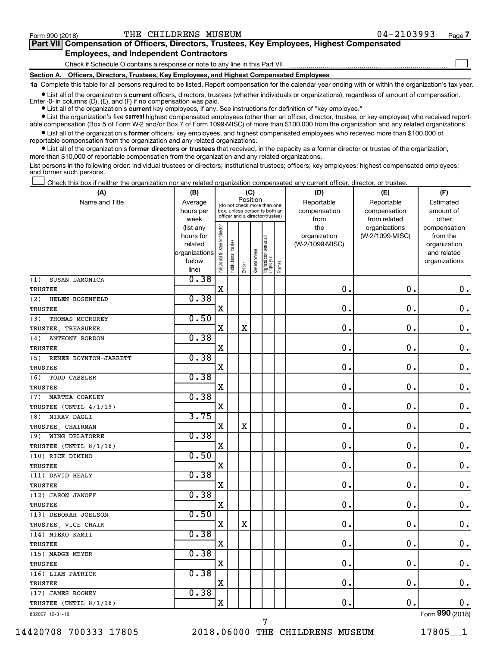$\Box$ 

| Part VII Compensation of Officers, Directors, Trustees, Key Employees, Highest Compensated |  |  |
|--------------------------------------------------------------------------------------------|--|--|
| <b>Employees, and Independent Contractors</b>                                              |  |  |

Check if Schedule O contains a response or note to any line in this Part VII

**Section A. Officers, Directors, Trustees, Key Employees, and Highest Compensated Employees**

**1a**  Complete this table for all persons required to be listed. Report compensation for the calendar year ending with or within the organization's tax year.

**•** List all of the organization's current officers, directors, trustees (whether individuals or organizations), regardless of amount of compensation. Enter -0- in columns  $(D)$ ,  $(E)$ , and  $(F)$  if no compensation was paid.

**•** List all of the organization's **current** key employees, if any. See instructions for definition of "key employee."

**•** List the organization's five current highest compensated employees (other than an officer, director, trustee, or key employee) who received reportable compensation (Box 5 of Form W-2 and/or Box 7 of Form 1099-MISC) of more than \$100,000 from the organization and any related organizations.

**•** List all of the organization's former officers, key employees, and highest compensated employees who received more than \$100,000 of reportable compensation from the organization and any related organizations.

**•** List all of the organization's former directors or trustees that received, in the capacity as a former director or trustee of the organization, more than \$10,000 of reportable compensation from the organization and any related organizations.

List persons in the following order: individual trustees or directors; institutional trustees; officers; key employees; highest compensated employees; and former such persons.

Check this box if neither the organization nor any related organization compensated any current officer, director, or trustee.  $\Box$ 

| (A)                          | (B)                  |                                |                                 | (C)         |              |                                 |        | (D)                             | (E)             | (F)                      |
|------------------------------|----------------------|--------------------------------|---------------------------------|-------------|--------------|---------------------------------|--------|---------------------------------|-----------------|--------------------------|
| Name and Title               | Average              |                                | (do not check more than one     |             | Position     |                                 |        | Reportable                      | Reportable      | Estimated                |
|                              | hours per            |                                | box, unless person is both an   |             |              |                                 |        | compensation                    | compensation    | amount of                |
|                              | week                 |                                | officer and a director/trustee) |             |              |                                 |        | from                            | from related    | other                    |
|                              | (list any            | Individual trustee or director |                                 |             |              |                                 |        | the                             | organizations   | compensation             |
|                              | hours for<br>related |                                |                                 |             |              |                                 |        | organization<br>(W-2/1099-MISC) | (W-2/1099-MISC) | from the<br>organization |
|                              | organizations        |                                |                                 |             |              |                                 |        |                                 |                 | and related              |
|                              | below                |                                |                                 |             |              |                                 |        |                                 |                 | organizations            |
|                              | line)                |                                | Institutional trustee           | Officer     | Key employee | Highest compensated<br>employee | Former |                                 |                 |                          |
| (1)<br>SUSAN LAMONICA        | 0.38                 |                                |                                 |             |              |                                 |        |                                 |                 |                          |
| TRUSTEE                      |                      | $\mathbf X$                    |                                 |             |              |                                 |        | 0.                              | $\mathbf 0$ .   | $\mathbf 0$ .            |
| (2)<br>HELEN ROSENFELD       | 0.38                 |                                |                                 |             |              |                                 |        |                                 |                 |                          |
| <b>TRUSTEE</b>               |                      | $\mathbf X$                    |                                 |             |              |                                 |        | 0.                              | $\mathbf 0$ .   | $\mathbf 0$ .            |
| THOMAS MCCROREY<br>(3)       | 0.50                 |                                |                                 |             |              |                                 |        |                                 |                 |                          |
| TRUSTEE TREASURER            |                      | $\mathbf X$                    |                                 | X           |              |                                 |        | 0.                              | $\mathbf 0$ .   | $\mathbf 0$ .            |
| <b>ANTHONY BORDON</b><br>(4) | 0.38                 |                                |                                 |             |              |                                 |        |                                 |                 |                          |
| TRUSTEE                      |                      | $\mathbf X$                    |                                 |             |              |                                 |        | 0.                              | $\mathbf 0$     | $\mathbf 0$ .            |
| (5)<br>RENEE BOYNTON-JARRETT | 0.38                 |                                |                                 |             |              |                                 |        |                                 |                 |                          |
| TRUSTEE                      |                      | $\mathbf X$                    |                                 |             |              |                                 |        | $\mathbf 0$ .                   | $\mathbf 0$ .   | 0.                       |
| TODD CASSLER<br>(6)          | 0.38                 |                                |                                 |             |              |                                 |        |                                 |                 |                          |
| <b>TRUSTEE</b>               |                      | $\mathbf X$                    |                                 |             |              |                                 |        | 0.                              | 0.              | 0.                       |
| MARTHA COAKLEY<br>(7)        | 0.38                 |                                |                                 |             |              |                                 |        |                                 |                 |                          |
| TRUSTEE (UNTIL 4/1/19)       |                      | $\mathbf X$                    |                                 |             |              |                                 |        | 0.                              | О.              | $\mathbf 0$ .            |
| NIRAV DAGLI<br>(8)           | 3.75                 |                                |                                 |             |              |                                 |        |                                 |                 |                          |
| TRUSTEE CHAIRMAN             |                      | $\mathbf X$                    |                                 | X           |              |                                 |        | $\mathbf 0$ .                   | 0.              | $\mathbf 0$ .            |
| <b>WING DELATORRE</b><br>(9) | 0.38                 |                                |                                 |             |              |                                 |        |                                 |                 |                          |
| TRUSTEE (UNTIL 8/1/18)       |                      | X                              |                                 |             |              |                                 |        | $\mathbf 0$ .                   | $\mathbf 0$ .   | $\mathbf 0$ .            |
| (10) RICK DIMINO             | 0.50                 |                                |                                 |             |              |                                 |        |                                 |                 |                          |
| <b>TRUSTEE</b>               |                      | X                              |                                 |             |              |                                 |        | $\mathbf 0$ .                   | $\mathbf 0$ .   | $\mathbf 0$ .            |
| (11) DAVID HEALY             | 0.38                 |                                |                                 |             |              |                                 |        |                                 |                 |                          |
| <b>TRUSTEE</b>               |                      | $\mathbf X$                    |                                 |             |              |                                 |        | 0.                              | О.              | $\mathbf 0$ .            |
| (12) JASON JANOFF            | 0.38                 |                                |                                 |             |              |                                 |        |                                 |                 |                          |
| <b>TRUSTEE</b>               |                      | X                              |                                 |             |              |                                 |        | $\mathbf 0$ .                   | $\mathbf 0$ .   | $\mathbf 0$ .            |
| (13) DEBORAH JOELSON         | 0.50                 |                                |                                 |             |              |                                 |        |                                 |                 |                          |
| TRUSTEE, VICE CHAIR          |                      | $\mathbf x$                    |                                 | $\mathbf X$ |              |                                 |        | 0.                              | $\mathbf 0$     | $\mathbf 0$ .            |
| (14) MIEKO KAMII             | 0.38                 |                                |                                 |             |              |                                 |        |                                 |                 |                          |
| <b>TRUSTEE</b>               |                      | $\mathbf x$                    |                                 |             |              |                                 |        | $\mathbf 0$ .                   | $\mathbf 0$ .   | $\mathbf 0$ .            |
| (15) MADGE MEYER             | 0.38                 |                                |                                 |             |              |                                 |        |                                 |                 |                          |
| TRUSTEE                      |                      | $\mathbf X$                    |                                 |             |              |                                 |        | 0.                              | $\mathbf 0$ .   | $\mathbf 0$ .            |
| (16) LIAM PATRICK            | 0.38                 |                                |                                 |             |              |                                 |        |                                 |                 |                          |
| TRUSTEE                      |                      | $\mathbf X$                    |                                 |             |              |                                 |        | $\mathbf 0$ .                   | $\mathbf 0$ .   | $\mathbf 0$ .            |
| (17) JAMES ROONEY            | 0.38                 |                                |                                 |             |              |                                 |        |                                 |                 |                          |
| TRUSTEE (UNTIL 8/1/18)       |                      | X                              |                                 |             |              |                                 |        | $\mathbf 0$ .                   | $\mathbf 0$ .   | 0.                       |
| 832007 12-31-18              |                      |                                |                                 |             |              |                                 |        |                                 |                 | Form 990 (2018)          |

14420708 700333 17805 2018.06000 THE CHILDRENS MUSEUM 17805\_\_1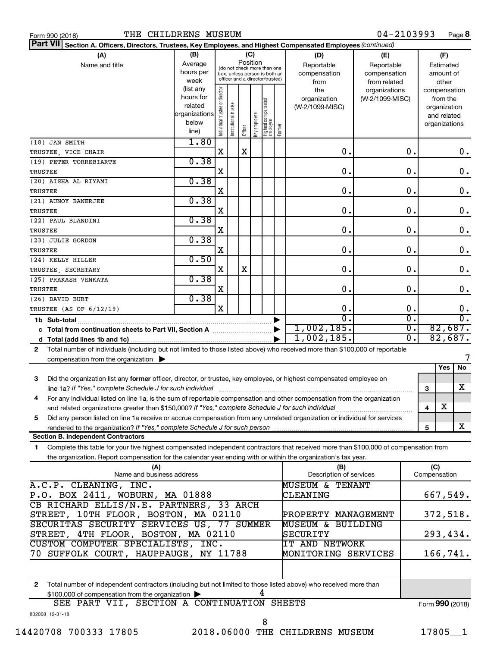| Form 990 (2018)      |  |
|----------------------|--|
| D <sub>2</sub> H VII |  |

| <b>Part VII</b> Section A. Officers, Directors, Trustees, Key Employees, and Highest Compensated Employees (continued)                      |                                                 |                                |                       |             |              |                                                                  |  |                            |                 |    |                 |             |                        |
|---------------------------------------------------------------------------------------------------------------------------------------------|-------------------------------------------------|--------------------------------|-----------------------|-------------|--------------|------------------------------------------------------------------|--|----------------------------|-----------------|----|-----------------|-------------|------------------------|
| (A)                                                                                                                                         | (B)                                             |                                |                       |             | (C)          |                                                                  |  | (D)                        | (E)             |    |                 | (F)         |                        |
| Name and title                                                                                                                              | Average                                         |                                |                       |             | Position     | (do not check more than one                                      |  | Reportable                 | Reportable      |    |                 | Estimated   |                        |
|                                                                                                                                             | hours per                                       |                                |                       |             |              | box, unless person is both an<br>officer and a director/trustee) |  | compensation               | compensation    |    |                 | amount of   |                        |
|                                                                                                                                             | week                                            |                                |                       |             |              |                                                                  |  | from                       | from related    |    |                 | other       |                        |
|                                                                                                                                             | (list any<br>hours for                          |                                |                       |             |              |                                                                  |  | the                        | organizations   |    | compensation    |             |                        |
|                                                                                                                                             | related                                         |                                |                       |             |              |                                                                  |  | organization               | (W-2/1099-MISC) |    |                 | from the    |                        |
|                                                                                                                                             | organizations                                   |                                |                       |             |              |                                                                  |  | (W-2/1099-MISC)            |                 |    | organization    | and related |                        |
|                                                                                                                                             | below                                           |                                |                       |             |              |                                                                  |  |                            |                 |    | organizations   |             |                        |
|                                                                                                                                             | line)                                           | Individual trustee or director | Institutional trustee | Officer     | Key employee | Highest compensated<br>  employee<br>  Former                    |  |                            |                 |    |                 |             |                        |
| (18) JAN SMITH                                                                                                                              | 1.80                                            |                                |                       |             |              |                                                                  |  |                            |                 |    |                 |             |                        |
| TRUSTEE, VICE CHAIR                                                                                                                         |                                                 | $\mathbf X$                    |                       | $\mathbf X$ |              |                                                                  |  | О.                         |                 | О. |                 |             | $0$ .                  |
| (19) PETER TORREBIARTE                                                                                                                      | 0.38                                            |                                |                       |             |              |                                                                  |  |                            |                 |    |                 |             |                        |
| TRUSTEE                                                                                                                                     |                                                 | X                              |                       |             |              |                                                                  |  | 0.                         |                 | 0. |                 |             | 0.                     |
| (20) AISHA AL RIYAMI                                                                                                                        | 0.38                                            |                                |                       |             |              |                                                                  |  |                            |                 |    |                 |             |                        |
| <b>TRUSTEE</b>                                                                                                                              |                                                 | X                              |                       |             |              |                                                                  |  | 0.                         |                 | 0. |                 |             | 0.                     |
| (21) AUNOY BANERJEE                                                                                                                         | 0.38                                            |                                |                       |             |              |                                                                  |  |                            |                 |    |                 |             |                        |
| TRUSTEE                                                                                                                                     |                                                 | X                              |                       |             |              |                                                                  |  | О.                         |                 | О. |                 |             | 0.                     |
| (22) PAUL BLANDINI                                                                                                                          | 0.38                                            |                                |                       |             |              |                                                                  |  |                            |                 |    |                 |             |                        |
| <b>TRUSTEE</b>                                                                                                                              |                                                 | X                              |                       |             |              |                                                                  |  | 0.                         |                 | О. |                 |             | $0$ .                  |
| (23) JULIE GORDON                                                                                                                           | 0.38                                            |                                |                       |             |              |                                                                  |  |                            |                 |    |                 |             |                        |
| <b>TRUSTEE</b>                                                                                                                              |                                                 | X                              |                       |             |              |                                                                  |  | 0.                         |                 | О. |                 |             | 0.                     |
| (24) KELLY HILLER                                                                                                                           | 0.50                                            |                                |                       |             |              |                                                                  |  |                            |                 |    |                 |             |                        |
|                                                                                                                                             |                                                 | X                              |                       | X           |              |                                                                  |  | О.                         |                 | О. |                 |             | 0.                     |
| TRUSTEE, SECRETARY                                                                                                                          | 0.38                                            |                                |                       |             |              |                                                                  |  |                            |                 |    |                 |             |                        |
| (25) PRAKASH VENKATA                                                                                                                        |                                                 |                                |                       |             |              |                                                                  |  | О.                         |                 | О. |                 |             |                        |
| TRUSTEE                                                                                                                                     |                                                 | X                              |                       |             |              |                                                                  |  |                            |                 |    |                 |             | 0.                     |
| (26) DAVID BURT                                                                                                                             | 0.38                                            |                                |                       |             |              |                                                                  |  |                            |                 |    |                 |             |                        |
| TRUSTEE (AS OF 6/12/19)                                                                                                                     |                                                 | $\mathbf X$                    |                       |             |              |                                                                  |  | О.                         |                 | О. |                 |             | 0.<br>$\overline{0}$ . |
|                                                                                                                                             |                                                 |                                |                       |             |              |                                                                  |  | $\overline{0}$ .           |                 | σ. |                 |             |                        |
|                                                                                                                                             |                                                 |                                |                       |             |              |                                                                  |  | 1,002,185.                 |                 | σ. |                 |             | 82,687.                |
|                                                                                                                                             |                                                 |                                |                       |             |              |                                                                  |  | 1,002,185.                 |                 | σ. |                 |             | 82,687.                |
| Total number of individuals (including but not limited to those listed above) who received more than \$100,000 of reportable<br>$2^{\circ}$ |                                                 |                                |                       |             |              |                                                                  |  |                            |                 |    |                 |             |                        |
| compensation from the organization $\blacktriangleright$                                                                                    |                                                 |                                |                       |             |              |                                                                  |  |                            |                 |    |                 |             |                        |
|                                                                                                                                             |                                                 |                                |                       |             |              |                                                                  |  |                            |                 |    |                 | Yes         | No                     |
| 3<br>Did the organization list any former officer, director, or trustee, key employee, or highest compensated employee on                   |                                                 |                                |                       |             |              |                                                                  |  |                            |                 |    |                 |             |                        |
|                                                                                                                                             |                                                 |                                |                       |             |              |                                                                  |  |                            |                 |    | 3               |             | x                      |
| For any individual listed on line 1a, is the sum of reportable compensation and other compensation from the organization<br>4               |                                                 |                                |                       |             |              |                                                                  |  |                            |                 |    |                 |             |                        |
| and related organizations greater than \$150,000? If "Yes," complete Schedule J for such individual                                         |                                                 |                                |                       |             |              |                                                                  |  |                            |                 |    | 4               | X           |                        |
| Did any person listed on line 1a receive or accrue compensation from any unrelated organization or individual for services<br>5             |                                                 |                                |                       |             |              |                                                                  |  |                            |                 |    |                 |             |                        |
|                                                                                                                                             |                                                 |                                |                       |             |              |                                                                  |  |                            |                 |    | 5               |             | x                      |
| <b>Section B. Independent Contractors</b>                                                                                                   |                                                 |                                |                       |             |              |                                                                  |  |                            |                 |    |                 |             |                        |
| Complete this table for your five highest compensated independent contractors that received more than \$100,000 of compensation from<br>1   |                                                 |                                |                       |             |              |                                                                  |  |                            |                 |    |                 |             |                        |
| the organization. Report compensation for the calendar year ending with or within the organization's tax year.                              |                                                 |                                |                       |             |              |                                                                  |  |                            |                 |    |                 |             |                        |
| (A)                                                                                                                                         |                                                 |                                |                       |             |              |                                                                  |  | (B)                        |                 |    | (C)             |             |                        |
| Name and business address                                                                                                                   |                                                 |                                |                       |             |              |                                                                  |  | Description of services    |                 |    | Compensation    |             |                        |
| A.C.P. CLEANING, INC.                                                                                                                       |                                                 |                                |                       |             |              |                                                                  |  | <b>MUSEUM &amp; TENANT</b> |                 |    |                 |             |                        |
| P.O. BOX 2411, WOBURN, MA 01888                                                                                                             |                                                 |                                |                       |             |              |                                                                  |  | CLEANING                   |                 |    | 667,549.        |             |                        |
| CB RICHARD ELLIS/N.E. PARTNERS, 33 ARCH                                                                                                     |                                                 |                                |                       |             |              |                                                                  |  |                            |                 |    |                 |             |                        |
| STREET, 10TH FLOOR, BOSTON, MA 02110                                                                                                        |                                                 |                                |                       |             |              |                                                                  |  | PROPERTY MANAGEMENT        |                 |    | 372,518.        |             |                        |
| SECURITAS SECURITY SERVICES US, 77 SUMMER                                                                                                   |                                                 |                                |                       |             |              |                                                                  |  | MUSEUM & BUILDING          |                 |    |                 |             |                        |
| STREET, 4TH FLOOR, BOSTON, MA 02110                                                                                                         |                                                 |                                |                       |             |              |                                                                  |  | SECURITY                   |                 |    | 293,434.        |             |                        |
| CUSTOM COMPUTER SPECIALISTS, INC.                                                                                                           |                                                 |                                |                       |             |              |                                                                  |  | IT AND NETWORK             |                 |    |                 |             |                        |
| 166,741.<br>70 SUFFOLK COURT, HAUPPAUGE, NY 11788<br>MONITORING SERVICES                                                                    |                                                 |                                |                       |             |              |                                                                  |  |                            |                 |    |                 |             |                        |
|                                                                                                                                             |                                                 |                                |                       |             |              |                                                                  |  |                            |                 |    |                 |             |                        |
|                                                                                                                                             |                                                 |                                |                       |             |              |                                                                  |  |                            |                 |    |                 |             |                        |
| Total number of independent contractors (including but not limited to those listed above) who received more than<br>$\mathbf{2}$            |                                                 |                                |                       |             |              |                                                                  |  |                            |                 |    |                 |             |                        |
|                                                                                                                                             | \$100,000 of compensation from the organization |                                |                       |             |              |                                                                  |  |                            |                 |    |                 |             |                        |
| SEE PART VII, SECTION A CONTINUATION SHEETS                                                                                                 |                                                 |                                |                       |             |              |                                                                  |  |                            |                 |    | Form 990 (2018) |             |                        |
| 832008 12-31-18                                                                                                                             |                                                 |                                |                       |             |              |                                                                  |  |                            |                 |    |                 |             |                        |

14420708 700333 17805 2018.06000 THE CHILDRENS MUSEUM 17805\_1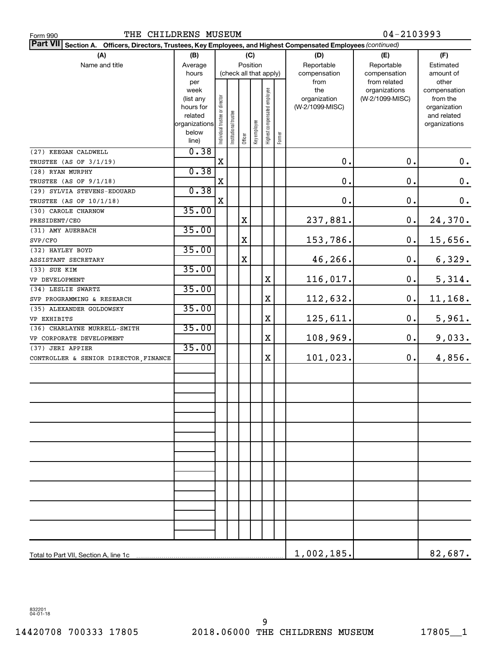| THE CHILDRENS MUSEUM<br>Form 990                                                                                | 04-2103993     |                                |                        |                |              |                              |        |                 |                               |                       |
|-----------------------------------------------------------------------------------------------------------------|----------------|--------------------------------|------------------------|----------------|--------------|------------------------------|--------|-----------------|-------------------------------|-----------------------|
| Part VII Section A. Officers, Directors, Trustees, Key Employees, and Highest Compensated Employees (continued) |                |                                |                        |                |              |                              |        |                 |                               |                       |
| (A)                                                                                                             | (B)<br>(C)     |                                |                        |                |              |                              |        | (D)             | (E)                           | (F)                   |
| Name and title                                                                                                  | Average        |                                |                        | Position       |              |                              |        | Reportable      | Reportable                    | Estimated             |
|                                                                                                                 | hours          |                                | (check all that apply) |                |              |                              |        | compensation    | compensation                  | amount of             |
|                                                                                                                 | per<br>week    |                                |                        |                |              |                              |        | from<br>the     | from related<br>organizations | other<br>compensation |
|                                                                                                                 | (list any      |                                |                        |                |              |                              |        | organization    | (W-2/1099-MISC)               | from the              |
|                                                                                                                 | hours for      |                                |                        |                |              |                              |        | (W-2/1099-MISC) |                               | organization          |
|                                                                                                                 | related        |                                |                        |                |              |                              |        |                 |                               | and related           |
|                                                                                                                 | organizations  |                                |                        |                |              |                              |        |                 |                               | organizations         |
|                                                                                                                 | below<br>line) | Individual trustee or director | Institutional trustee  | <b>Officer</b> | Key employee | Highest compensated employee | Former |                 |                               |                       |
| (27) KEEGAN CALDWELL                                                                                            | 0.38           |                                |                        |                |              |                              |        |                 |                               |                       |
| TRUSTEE (AS OF 3/1/19)                                                                                          |                | $\mathbf X$                    |                        |                |              |                              |        | 0.              | 0.                            | 0.                    |
| (28) RYAN MURPHY                                                                                                | 0.38           |                                |                        |                |              |                              |        |                 |                               |                       |
| TRUSTEE (AS OF 9/1/18)                                                                                          |                | $\mathbf X$                    |                        |                |              |                              |        | 0.              | 0.                            | $\mathbf 0$ .         |
| (29) SYLVIA STEVENS-EDOUARD                                                                                     | 0.38           |                                |                        |                |              |                              |        |                 |                               |                       |
| TRUSTEE (AS OF 10/1/18)                                                                                         |                | $\mathbf X$                    |                        |                |              |                              |        | 0.              | 0.                            | 0.                    |
| (30) CAROLE CHARNOW                                                                                             | 35.00          |                                |                        |                |              |                              |        |                 |                               |                       |
| PRESIDENT/CEO                                                                                                   |                |                                |                        | X              |              |                              |        | 237,881.        | 0.                            | 24,370.               |
| (31) AMY AUERBACH                                                                                               | 35.00          |                                |                        |                |              |                              |        |                 |                               |                       |
| SVP/CFO                                                                                                         |                |                                |                        | $\mathbf X$    |              |                              |        | 153,786.        | 0.                            | 15,656.               |
| (32) HAYLEY BOYD                                                                                                | 35.00          |                                |                        |                |              |                              |        |                 |                               |                       |
| ASSISTANT SECRETARY                                                                                             |                |                                |                        | $\mathbf X$    |              |                              |        | 46,266.         | 0.                            | 6,329.                |
| (33) SUE KIM                                                                                                    | 35.00          |                                |                        |                |              |                              |        |                 |                               |                       |
| VP DEVELOPMENT                                                                                                  |                |                                |                        |                |              | $\mathbf X$                  |        | 116,017.        | 0.                            | 5,314.                |
| (34) LESLIE SWARTZ                                                                                              | 35.00          |                                |                        |                |              |                              |        |                 |                               |                       |
| SVP PROGRAMMING & RESEARCH                                                                                      |                |                                |                        |                |              | $\mathbf X$                  |        | 112,632.        | 0.                            | 11, 168.              |
| (35) ALEXANDER GOLDOWSKY                                                                                        | 35.00          |                                |                        |                |              |                              |        |                 |                               |                       |
| VP EXHIBITS                                                                                                     |                |                                |                        |                |              | $\mathbf X$                  |        | 125,611.        | 0.                            | 5,961.                |
| (36) CHARLAYNE MURRELL-SMITH                                                                                    | 35.00          |                                |                        |                |              |                              |        |                 |                               |                       |
| VP CORPORATE DEVELOPMENT                                                                                        |                |                                |                        |                |              | $\mathbf X$                  |        | 108,969.        | 0.                            | 9,033.                |
| (37) JERI APPIER                                                                                                | 35.00          |                                |                        |                |              |                              |        |                 |                               |                       |
| CONTROLLER & SENIOR DIRECTOR FINANCE                                                                            |                |                                |                        |                |              | $\mathbf X$                  |        | 101,023.        | 0.                            | 4,856.                |
|                                                                                                                 |                |                                |                        |                |              |                              |        |                 |                               |                       |
|                                                                                                                 |                |                                |                        |                |              |                              |        |                 |                               |                       |
|                                                                                                                 |                |                                |                        |                |              |                              |        |                 |                               |                       |
|                                                                                                                 |                |                                |                        |                |              |                              |        |                 |                               |                       |
|                                                                                                                 |                |                                |                        |                |              |                              |        |                 |                               |                       |
|                                                                                                                 |                |                                |                        |                |              |                              |        |                 |                               |                       |
|                                                                                                                 |                |                                |                        |                |              |                              |        |                 |                               |                       |
|                                                                                                                 |                |                                |                        |                |              |                              |        |                 |                               |                       |
|                                                                                                                 |                |                                |                        |                |              |                              |        |                 |                               |                       |
|                                                                                                                 |                |                                |                        |                |              |                              |        |                 |                               |                       |
|                                                                                                                 |                |                                |                        |                |              |                              |        |                 |                               |                       |
|                                                                                                                 |                |                                |                        |                |              |                              |        |                 |                               |                       |
|                                                                                                                 |                |                                |                        |                |              |                              |        |                 |                               |                       |
|                                                                                                                 |                |                                |                        |                |              |                              |        |                 |                               |                       |
|                                                                                                                 |                |                                |                        |                |              |                              |        |                 |                               |                       |
|                                                                                                                 |                |                                |                        |                |              |                              |        |                 |                               |                       |
|                                                                                                                 |                |                                |                        |                |              |                              |        |                 |                               |                       |
|                                                                                                                 |                |                                |                        |                |              |                              |        |                 |                               |                       |
| Total to Part VII, Section A, line 1c                                                                           | 1,002,185.     |                                | 82,687.                |                |              |                              |        |                 |                               |                       |

832201 04-01-18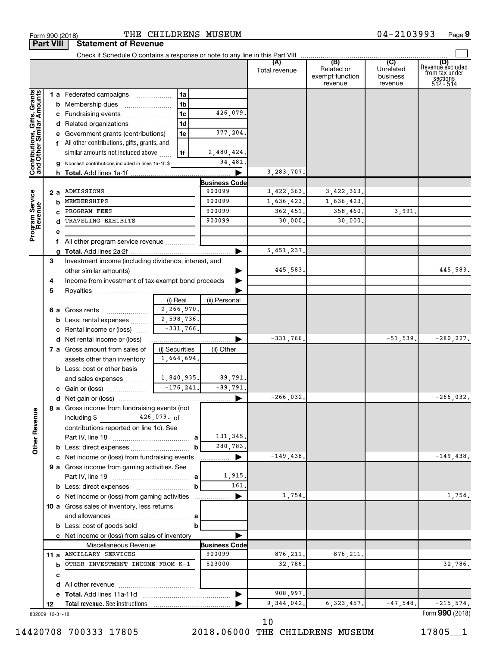|                                                           |    | Check if Schedule O contains a response or note to any line in this Part VIII |                |                       |                      |                                                 |                                         |                                                                    |
|-----------------------------------------------------------|----|-------------------------------------------------------------------------------|----------------|-----------------------|----------------------|-------------------------------------------------|-----------------------------------------|--------------------------------------------------------------------|
|                                                           |    |                                                                               |                |                       | (A)<br>Total revenue | (B)<br>Related or<br>exempt function<br>revenue | (C)<br>Unrelated<br>business<br>revenue | (D)<br>Revenue excluded<br>from tax under<br>sections<br>512 - 514 |
|                                                           |    | 1 a Federated campaigns                                                       | 1a             |                       |                      |                                                 |                                         |                                                                    |
|                                                           |    | <b>b</b> Membership dues                                                      | 1 <sub>b</sub> |                       |                      |                                                 |                                         |                                                                    |
|                                                           |    | c Fundraising events                                                          | 1 <sub>c</sub> | 426,079.              |                      |                                                 |                                         |                                                                    |
|                                                           |    | d Related organizations                                                       | 1 <sub>d</sub> |                       |                      |                                                 |                                         |                                                                    |
|                                                           |    | e Government grants (contributions)                                           | 1e             | 377,204.              |                      |                                                 |                                         |                                                                    |
|                                                           |    | f All other contributions, gifts, grants, and                                 |                |                       |                      |                                                 |                                         |                                                                    |
|                                                           |    | similar amounts not included above                                            | 1f             | 2,480,424.            |                      |                                                 |                                         |                                                                    |
|                                                           |    | <b>g</b> Noncash contributions included in lines 1a-1f: \$                    |                | 94,481                |                      |                                                 |                                         |                                                                    |
| Contributions, Gifts, Grants<br>and Other Similar Amounts |    |                                                                               |                |                       | 3, 283, 707.         |                                                 |                                         |                                                                    |
|                                                           |    |                                                                               |                | <b>Business Code</b>  |                      |                                                 |                                         |                                                                    |
|                                                           | 2а | ADMISSIONS                                                                    |                | 900099                | 3, 422, 363.         | 3, 422, 363.                                    |                                         |                                                                    |
|                                                           | b  | MEMBERSHIPS                                                                   |                | 900099                | 1,636,423.           | 1,636,423.                                      |                                         |                                                                    |
|                                                           |    | PROGRAM FEES                                                                  |                | 900099                | 362,451.             | 358,460.                                        | 3,991.                                  |                                                                    |
|                                                           | d  | TRAVELING EXHIBITS                                                            |                | 900099                | 30,000.              | 30,000.                                         |                                         |                                                                    |
| Program Service<br>Revenue                                | е  |                                                                               |                |                       |                      |                                                 |                                         |                                                                    |
|                                                           | f  | All other program service revenue                                             |                |                       |                      |                                                 |                                         |                                                                    |
|                                                           | a  |                                                                               |                |                       | 5, 451, 237.         |                                                 |                                         |                                                                    |
|                                                           | З  | Investment income (including dividends, interest, and                         |                |                       |                      |                                                 |                                         |                                                                    |
|                                                           |    |                                                                               |                |                       | 445,583.             |                                                 |                                         | 445,583.                                                           |
|                                                           | 4  | Income from investment of tax-exempt bond proceeds                            |                |                       |                      |                                                 |                                         |                                                                    |
|                                                           | 5  |                                                                               |                |                       |                      |                                                 |                                         |                                                                    |
|                                                           |    |                                                                               | (i) Real       | (ii) Personal         |                      |                                                 |                                         |                                                                    |
|                                                           |    | <b>6 a</b> Gross rents                                                        | 2,266,970.     |                       |                      |                                                 |                                         |                                                                    |
|                                                           |    | <b>b</b> Less: rental expenses                                                | 2,598,736.     |                       |                      |                                                 |                                         |                                                                    |
|                                                           |    | <b>c</b> Rental income or (loss)                                              | $-331,766$ .   |                       |                      |                                                 |                                         |                                                                    |
|                                                           |    |                                                                               |                |                       | $-331,766$ .         |                                                 | $-51,539.$                              | $-280, 227.$                                                       |
|                                                           |    | 7 a Gross amount from sales of                                                | (i) Securities | (ii) Other            |                      |                                                 |                                         |                                                                    |
|                                                           |    | assets other than inventory                                                   | 1,664,694.     |                       |                      |                                                 |                                         |                                                                    |
|                                                           |    | <b>b</b> Less: cost or other basis                                            |                |                       |                      |                                                 |                                         |                                                                    |
|                                                           |    | and sales expenses                                                            | 1,840,935.     | 89,791.               |                      |                                                 |                                         |                                                                    |
|                                                           |    |                                                                               | $-176, 241.$   | $-89,791.$            |                      |                                                 |                                         |                                                                    |
|                                                           |    |                                                                               |                | ▶                     | $-266,032.$          |                                                 |                                         | $-266,032.$                                                        |
| ٩P                                                        |    | 8 a Gross income from fundraising events (not                                 |                |                       |                      |                                                 |                                         |                                                                    |
|                                                           |    | including \$ 426,079. of                                                      |                |                       |                      |                                                 |                                         |                                                                    |
|                                                           |    | contributions reported on line 1c). See                                       |                |                       |                      |                                                 |                                         |                                                                    |
| <b>Other Reven</b>                                        |    |                                                                               |                | 131,345.              |                      |                                                 |                                         |                                                                    |
|                                                           |    |                                                                               | $\mathbf b$    | 280,783.              |                      |                                                 |                                         |                                                                    |
|                                                           |    | c Net income or (loss) from fundraising events                                |                | ▶<br>.                | $-149, 438.$         |                                                 |                                         | $-149, 438.$                                                       |
|                                                           |    | 9 a Gross income from gaming activities. See                                  |                |                       |                      |                                                 |                                         |                                                                    |
|                                                           |    |                                                                               |                | 1,915.                |                      |                                                 |                                         |                                                                    |
|                                                           |    |                                                                               | b              | 161                   |                      |                                                 |                                         |                                                                    |
|                                                           |    | c Net income or (loss) from gaming activities                                 |                | $\blacktriangleright$ | 1,754.               |                                                 |                                         | 1,754.                                                             |
|                                                           |    | <b>10 a</b> Gross sales of inventory, less returns                            |                |                       |                      |                                                 |                                         |                                                                    |
|                                                           |    |                                                                               |                |                       |                      |                                                 |                                         |                                                                    |
|                                                           |    |                                                                               | b              |                       |                      |                                                 |                                         |                                                                    |
|                                                           |    | c Net income or (loss) from sales of inventory                                |                |                       |                      |                                                 |                                         |                                                                    |
|                                                           |    | Miscellaneous Revenue                                                         |                | <b>Business Code</b>  |                      |                                                 |                                         |                                                                    |
|                                                           |    | 11 a ANCILLARY SERVICES                                                       |                | 900099                | 876, 211.            | 876, 211.                                       |                                         |                                                                    |
|                                                           |    | <b>b</b> OTHER INVESTMENT INCOME FROM K-1                                     |                | 523000                | 32,786.              |                                                 |                                         | 32,786.                                                            |
|                                                           | с  |                                                                               |                |                       |                      |                                                 |                                         |                                                                    |
|                                                           | d  |                                                                               |                |                       |                      |                                                 |                                         |                                                                    |
|                                                           |    |                                                                               |                |                       | 908,997.             |                                                 |                                         |                                                                    |
|                                                           | 12 |                                                                               |                |                       | 9,344,042.           | 6, 323, 457.                                    | $-47,548.$                              | $-215,574.$<br>$Form$ QQQ $(2019)$                                 |

832009 12-31-18

14420708 700333 17805 2018.06000 THE CHILDRENS MUSEUM 17805\_\_1

10

Form (2018) **990**

 $\overline{\phantom{a}}$ 

**Part VIII Statement of Revenue**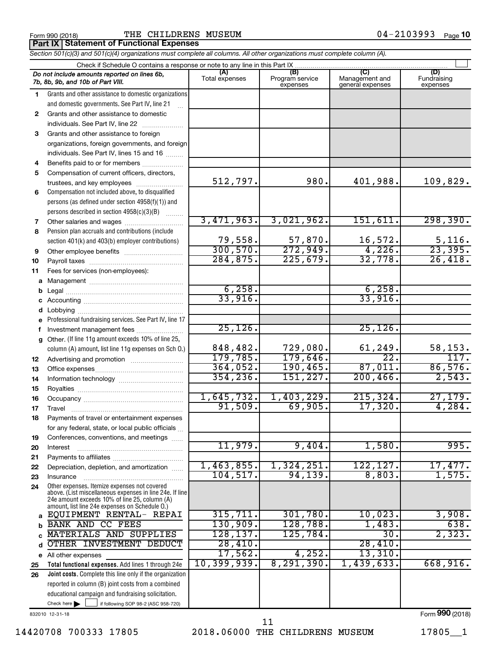Form 990 (2018) Page THE CHILDRENS MUSEUM 04-2103993 **Part IX Statement of Functional Expenses**

*Section 501(c)(3) and 501(c)(4) organizations must complete all columns. All other organizations must complete column (A).*

| Check if Schedule O contains a response or note to any line in this Part IX |                                                                                                           |                       |                                    |                                    |                                |  |  |  |  |
|-----------------------------------------------------------------------------|-----------------------------------------------------------------------------------------------------------|-----------------------|------------------------------------|------------------------------------|--------------------------------|--|--|--|--|
|                                                                             | Do not include amounts reported on lines 6b,<br>7b, 8b, 9b, and 10b of Part VIII.                         | (A)<br>Total expenses | (B)<br>Program service<br>expenses | Management and<br>general expenses | (D)<br>Fundraising<br>expenses |  |  |  |  |
| 1.                                                                          | Grants and other assistance to domestic organizations                                                     |                       |                                    |                                    |                                |  |  |  |  |
|                                                                             | and domestic governments. See Part IV, line 21                                                            |                       |                                    |                                    |                                |  |  |  |  |
| $\mathbf{2}$                                                                | Grants and other assistance to domestic                                                                   |                       |                                    |                                    |                                |  |  |  |  |
|                                                                             | individuals. See Part IV, line 22                                                                         |                       |                                    |                                    |                                |  |  |  |  |
| 3                                                                           | Grants and other assistance to foreign                                                                    |                       |                                    |                                    |                                |  |  |  |  |
|                                                                             | organizations, foreign governments, and foreign                                                           |                       |                                    |                                    |                                |  |  |  |  |
|                                                                             | individuals. See Part IV, lines 15 and 16                                                                 |                       |                                    |                                    |                                |  |  |  |  |
| 4                                                                           | Benefits paid to or for members                                                                           |                       |                                    |                                    |                                |  |  |  |  |
| 5                                                                           | Compensation of current officers, directors,                                                              |                       |                                    |                                    |                                |  |  |  |  |
|                                                                             | trustees, and key employees                                                                               | 512,797.              | 980.                               | 401,988.                           | 109,829.                       |  |  |  |  |
| 6                                                                           | Compensation not included above, to disqualified                                                          |                       |                                    |                                    |                                |  |  |  |  |
|                                                                             | persons (as defined under section 4958(f)(1)) and                                                         |                       |                                    |                                    |                                |  |  |  |  |
|                                                                             | persons described in section 4958(c)(3)(B)                                                                |                       |                                    |                                    |                                |  |  |  |  |
| 7                                                                           | Other salaries and wages                                                                                  | 3,471,963.            | 3,021,962.                         | 151,611.                           | 298,390.                       |  |  |  |  |
| 8                                                                           | Pension plan accruals and contributions (include                                                          |                       |                                    |                                    |                                |  |  |  |  |
|                                                                             | section 401(k) and 403(b) employer contributions)                                                         | 79,558.               | $\frac{57,870}{272,949}$           | 16,572.                            | $\frac{5,116}{23,395}$         |  |  |  |  |
| 9                                                                           | Other employee benefits                                                                                   | 300,570.              |                                    | 4,226.                             |                                |  |  |  |  |
| 10                                                                          |                                                                                                           | 284,875.              | 225,679.                           | 32,778.                            | 26,418.                        |  |  |  |  |
| 11                                                                          | Fees for services (non-employees):                                                                        |                       |                                    |                                    |                                |  |  |  |  |
|                                                                             |                                                                                                           |                       |                                    |                                    |                                |  |  |  |  |
| b                                                                           |                                                                                                           | 6, 258.               |                                    | 6, 258.                            |                                |  |  |  |  |
|                                                                             |                                                                                                           | 33,916.               |                                    | 33,916.                            |                                |  |  |  |  |
|                                                                             |                                                                                                           |                       |                                    |                                    |                                |  |  |  |  |
|                                                                             | Professional fundraising services. See Part IV, line 17                                                   |                       |                                    |                                    |                                |  |  |  |  |
|                                                                             | Investment management fees                                                                                | 25, 126.              |                                    | 25, 126.                           |                                |  |  |  |  |
| a                                                                           | Other. (If line 11g amount exceeds 10% of line 25,                                                        |                       |                                    |                                    |                                |  |  |  |  |
|                                                                             | column (A) amount, list line 11g expenses on Sch O.)                                                      | 848,482.<br>179,785.  | 729,080.<br>179,646.               | 61,249.<br>$\overline{22}$         | <u>58,153.</u><br>117.         |  |  |  |  |
| 12                                                                          |                                                                                                           | 364,052.              | 190, 465.                          | 87,011.                            | 86,576.                        |  |  |  |  |
| 13                                                                          |                                                                                                           | 354, 236.             | 151,227.                           | 200, 466.                          | 2,543.                         |  |  |  |  |
| 14                                                                          |                                                                                                           |                       |                                    |                                    |                                |  |  |  |  |
| 15                                                                          |                                                                                                           | 1,645,732.            | 1,403,229.                         | 215, 324.                          | 27,179.                        |  |  |  |  |
| 16<br>17                                                                    |                                                                                                           | 91,509.               | 69,905.                            | 17,320.                            | 4,284.                         |  |  |  |  |
| 18                                                                          | Payments of travel or entertainment expenses                                                              |                       |                                    |                                    |                                |  |  |  |  |
|                                                                             | for any federal, state, or local public officials                                                         |                       |                                    |                                    |                                |  |  |  |  |
| 19                                                                          | Conferences, conventions, and meetings                                                                    |                       |                                    |                                    |                                |  |  |  |  |
| 20                                                                          | Interest                                                                                                  | 11,979.               | 9,404.                             | 1,580.                             | 995.                           |  |  |  |  |
| 21                                                                          |                                                                                                           |                       |                                    |                                    |                                |  |  |  |  |
| 22                                                                          | Depreciation, depletion, and amortization                                                                 | 1,463,855.            | 1,324,251.                         | 122, 127.                          | 17,477.                        |  |  |  |  |
| 23                                                                          | Insurance                                                                                                 | 104, 517.             | 94, 139.                           | 8,803.                             | 1,575.                         |  |  |  |  |
| 24                                                                          | Other expenses. Itemize expenses not covered                                                              |                       |                                    |                                    |                                |  |  |  |  |
|                                                                             | above. (List miscellaneous expenses in line 24e. If line<br>24e amount exceeds 10% of line 25, column (A) |                       |                                    |                                    |                                |  |  |  |  |
|                                                                             | amount, list line 24e expenses on Schedule O.)                                                            |                       |                                    |                                    |                                |  |  |  |  |
| a                                                                           | EQUIPMENT RENTAL- REPAI                                                                                   | 315,711.              | 301,780.                           | 10,023.                            | 3,908.                         |  |  |  |  |
|                                                                             | <b>BANK AND CC FEES</b>                                                                                   | 130,909.              | 128,788.                           | 1,483.                             | 638.                           |  |  |  |  |
|                                                                             | MATERIALS AND SUPPLIES                                                                                    | 128, 137.             | 125,784.                           | 30 <sub>1</sub>                    | 2,323.                         |  |  |  |  |
| d                                                                           | OTHER INVESTMENT DEDUCT                                                                                   | 28,410.               |                                    | 28,410                             |                                |  |  |  |  |
|                                                                             | e All other expenses                                                                                      | 17,562.               | 4,252.                             | 13,310.                            |                                |  |  |  |  |
| 25                                                                          | Total functional expenses. Add lines 1 through 24e                                                        | 10, 399, 939.         | 8, 291, 390.                       | 1,439,633.                         | 668,916.                       |  |  |  |  |
| 26                                                                          | Joint costs. Complete this line only if the organization                                                  |                       |                                    |                                    |                                |  |  |  |  |
|                                                                             | reported in column (B) joint costs from a combined                                                        |                       |                                    |                                    |                                |  |  |  |  |
|                                                                             | educational campaign and fundraising solicitation.                                                        |                       |                                    |                                    |                                |  |  |  |  |
|                                                                             | Check here $\blacktriangleright$<br>if following SOP 98-2 (ASC 958-720)                                   |                       |                                    |                                    |                                |  |  |  |  |

832010 12-31-18

11

14420708 700333 17805 2018.06000 THE CHILDRENS MUSEUM 17805\_\_1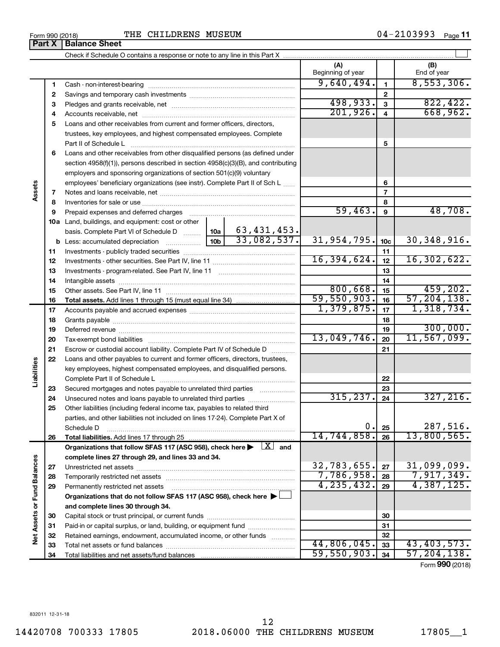12

|                             | $\mathbf{u}$ $\mathbf{v}$ | יטושוטט טווטט                                                                                        |                                 |                          |                |                    |
|-----------------------------|---------------------------|------------------------------------------------------------------------------------------------------|---------------------------------|--------------------------|----------------|--------------------|
|                             |                           |                                                                                                      |                                 |                          |                |                    |
|                             |                           |                                                                                                      |                                 | (A)<br>Beginning of year |                | (B)<br>End of year |
|                             | 1                         |                                                                                                      |                                 | 9,640,494.               | $\mathbf{1}$   | 8,553,306.         |
|                             | 2                         |                                                                                                      |                                 |                          | $\mathbf{2}$   |                    |
|                             | з                         |                                                                                                      |                                 | 498,933.                 | $\mathbf{3}$   | 822, 422.          |
|                             | 4                         |                                                                                                      |                                 | 201,926.                 | 4              | 668,962.           |
|                             | 5                         | Loans and other receivables from current and former officers, directors,                             |                                 |                          |                |                    |
|                             |                           | trustees, key employees, and highest compensated employees. Complete                                 |                                 |                          |                |                    |
|                             |                           | Part II of Schedule L                                                                                |                                 |                          | 5              |                    |
|                             | 6                         | Loans and other receivables from other disqualified persons (as defined under                        |                                 |                          |                |                    |
|                             |                           | section 4958(f)(1)), persons described in section 4958(c)(3)(B), and contributing                    |                                 |                          |                |                    |
|                             |                           | employers and sponsoring organizations of section 501(c)(9) voluntary                                |                                 |                          |                |                    |
|                             |                           | employees' beneficiary organizations (see instr). Complete Part II of Sch L                          |                                 |                          | 6              |                    |
| Assets                      | 7                         |                                                                                                      |                                 |                          | $\overline{7}$ |                    |
|                             | 8                         |                                                                                                      |                                 |                          | 8              |                    |
|                             | 9                         | Prepaid expenses and deferred charges                                                                |                                 | 59,463.                  | 9              | 48,708.            |
|                             |                           | 10a Land, buildings, and equipment: cost or other                                                    |                                 |                          |                |                    |
|                             |                           | basis. Complete Part VI of Schedule D  10a                                                           |                                 |                          |                |                    |
|                             |                           |                                                                                                      | $\frac{63,431,453}{33,082,537}$ | 31,954,795.              | 10c            | 30, 348, 916.      |
|                             | 11                        |                                                                                                      |                                 |                          | 11             |                    |
|                             | 12                        |                                                                                                      |                                 | 16, 394, 624.            | 12             | 16, 302, 622.      |
|                             | 13                        |                                                                                                      |                                 |                          | 13             |                    |
|                             | 14                        |                                                                                                      |                                 | 14                       |                |                    |
|                             | 15                        |                                                                                                      |                                 | 800,668.                 | 15             | 459,202.           |
|                             | 16                        |                                                                                                      |                                 | 59,550,903.              | 16             | 57, 204, 138.      |
|                             | 17                        |                                                                                                      | 1,379,875.                      | 17                       | 1,318,734.     |                    |
|                             | 18                        |                                                                                                      |                                 |                          | 18             |                    |
|                             | 19                        |                                                                                                      |                                 |                          | 19             | 300,000.           |
|                             | 20                        |                                                                                                      |                                 | 13,049,746.              | 20             | 11, 567, 099.      |
|                             | 21                        | Escrow or custodial account liability. Complete Part IV of Schedule D                                |                                 |                          | 21             |                    |
|                             | 22                        | Loans and other payables to current and former officers, directors, trustees,                        |                                 |                          |                |                    |
| Liabilities                 |                           | key employees, highest compensated employees, and disqualified persons.                              |                                 |                          |                |                    |
|                             |                           |                                                                                                      |                                 |                          | 22             |                    |
|                             | 23                        | Secured mortgages and notes payable to unrelated third parties                                       |                                 |                          | 23             |                    |
|                             | 24                        | Unsecured notes and loans payable to unrelated third parties                                         |                                 | 315, 237.                | 24             | 327, 216.          |
|                             | 25                        | Other liabilities (including federal income tax, payables to related third                           |                                 |                          |                |                    |
|                             |                           | parties, and other liabilities not included on lines 17-24). Complete Part X of                      |                                 |                          |                |                    |
|                             |                           | Schedule D                                                                                           |                                 | О.                       | 25             | 287,516.           |
|                             | 26                        |                                                                                                      |                                 | 14,744,858.              | 26             | 13,800,565.        |
|                             |                           | Organizations that follow SFAS 117 (ASC 958), check here $\blacktriangleright \lfloor X \rfloor$ and |                                 |                          |                |                    |
|                             |                           | complete lines 27 through 29, and lines 33 and 34.                                                   |                                 |                          |                |                    |
|                             | 27                        |                                                                                                      |                                 | 32,783,655.              | 27             | 31,099,099.        |
|                             | 28                        |                                                                                                      | 7,786,958.                      | 28                       | 7,917,349.     |                    |
|                             | 29                        | Permanently restricted net assets                                                                    |                                 | 4, 235, 432.             | 29             | 4,387,125.         |
|                             |                           | Organizations that do not follow SFAS 117 (ASC 958), check here ▶ □                                  |                                 |                          |                |                    |
|                             |                           | and complete lines 30 through 34.                                                                    |                                 |                          |                |                    |
|                             | 30                        |                                                                                                      |                                 |                          | 30             |                    |
|                             | 31                        | Paid-in or capital surplus, or land, building, or equipment fund                                     |                                 |                          | 31             |                    |
| Net Assets or Fund Balances | 32                        | Retained earnings, endowment, accumulated income, or other funds                                     |                                 |                          | 32             |                    |
|                             | 33                        |                                                                                                      |                                 | 44,806,045.              | 33             | 43,403,573.        |
|                             | 34                        |                                                                                                      |                                 | 59,550,903.              | 34             | 57, 204, 138.      |

Form (2018) **990**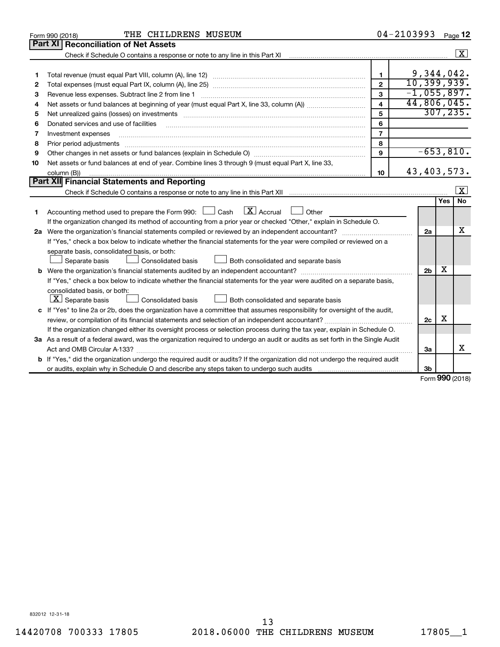|    | THE CHILDRENS MUSEUM<br>Form 990 (2018)                                                                                         |                         | $04 - 2103993$ |     | Page 12                 |
|----|---------------------------------------------------------------------------------------------------------------------------------|-------------------------|----------------|-----|-------------------------|
|    | Part XI<br><b>Reconciliation of Net Assets</b>                                                                                  |                         |                |     |                         |
|    |                                                                                                                                 |                         |                |     | $\overline{\mathbf{X}}$ |
|    |                                                                                                                                 |                         |                |     |                         |
| 1  |                                                                                                                                 | $\mathbf{1}$            | 9,344,042.     |     |                         |
| 2  |                                                                                                                                 | $\overline{2}$          | 10, 399, 939.  |     |                         |
| З  | Revenue less expenses. Subtract line 2 from line 1                                                                              | 3                       | $-1,055,897.$  |     |                         |
| 4  |                                                                                                                                 | $\overline{\mathbf{4}}$ | 44,806,045.    |     |                         |
| 5  |                                                                                                                                 | 5                       | 307, 235.      |     |                         |
| 6  | Donated services and use of facilities                                                                                          | 6                       |                |     |                         |
| 7  | Investment expenses                                                                                                             | $\overline{7}$          |                |     |                         |
| 8  | Prior period adjustments                                                                                                        | 8                       |                |     |                         |
| 9  |                                                                                                                                 | 9                       | $-653, 810.$   |     |                         |
| 10 | Net assets or fund balances at end of year. Combine lines 3 through 9 (must equal Part X, line 33,                              |                         |                |     |                         |
|    | column (B))                                                                                                                     | 10 <sup>10</sup>        | 43, 403, 573.  |     |                         |
|    | <b>Part XII</b> Financial Statements and Reporting                                                                              |                         |                |     |                         |
|    |                                                                                                                                 |                         |                |     | $\overline{\mathbf{X}}$ |
|    |                                                                                                                                 |                         |                | Yes | <b>No</b>               |
| 1  | $\mathbf{X}$ Accrual<br>Accounting method used to prepare the Form 990: [130] Cash<br>$\Box$ Other                              |                         |                |     |                         |
|    | If the organization changed its method of accounting from a prior year or checked "Other," explain in Schedule O.               |                         |                |     |                         |
|    | 2a Were the organization's financial statements compiled or reviewed by an independent accountant?                              |                         | 2a             |     | х                       |
|    | If "Yes," check a box below to indicate whether the financial statements for the year were compiled or reviewed on a            |                         |                |     |                         |
|    | separate basis, consolidated basis, or both:                                                                                    |                         |                |     |                         |
|    | Both consolidated and separate basis<br>Separate basis<br><b>Consolidated basis</b>                                             |                         |                |     |                         |
|    |                                                                                                                                 |                         | 2 <sub>b</sub> | х   |                         |
|    | If "Yes," check a box below to indicate whether the financial statements for the year were audited on a separate basis,         |                         |                |     |                         |
|    | consolidated basis, or both:                                                                                                    |                         |                |     |                         |
|    | $\lfloor \underline{X} \rfloor$ Separate basis<br><b>Consolidated basis</b><br>Both consolidated and separate basis             |                         |                |     |                         |
|    | c If "Yes" to line 2a or 2b, does the organization have a committee that assumes responsibility for oversight of the audit,     |                         |                | X   |                         |
|    |                                                                                                                                 |                         | 2c             |     |                         |
|    | If the organization changed either its oversight process or selection process during the tax year, explain in Schedule O.       |                         |                |     |                         |
|    | 3a As a result of a federal award, was the organization required to undergo an audit or audits as set forth in the Single Audit |                         | За             |     | x                       |
|    | b If "Yes," did the organization undergo the required audit or audits? If the organization did not undergo the required audit   |                         |                |     |                         |
|    |                                                                                                                                 |                         | 3 <sub>b</sub> |     |                         |
|    |                                                                                                                                 |                         |                |     |                         |

Form (2018) **990**

832012 12-31-18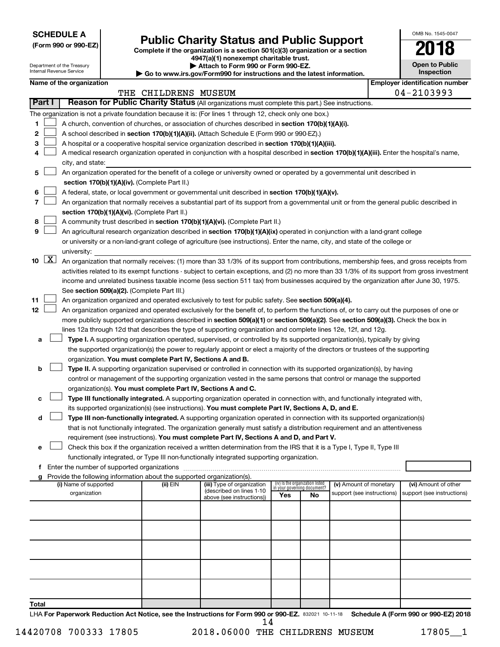**SCHEDULE A**

Department of the Treasury Internal Revenue Service

| (Form 990 or 990-EZ) |  |  |  |  |
|----------------------|--|--|--|--|
|----------------------|--|--|--|--|

# Form 990 or 990-EZ)<br>
Complete if the organization is a section 501(c)(3) organization or a section<br> **Public Charity Status and Public Support**

**4947(a)(1) nonexempt charitable trust. | Attach to Form 990 or Form 990-EZ.** 

| $\blacksquare$                                                           |
|--------------------------------------------------------------------------|
| ▶ Go to www.irs.gov/Form990 for instructions and the latest information. |

| <b>Open to Public</b><br>Inspection   |
|---------------------------------------|
| <b>Employer identification number</b> |

OMB No. 1545-0047

|  | Name of the organization |
|--|--------------------------|
|--|--------------------------|

|             |                                                                                                                                               | THE CHILDRENS MUSEUM                                                                                                                       |                                                        |                                                                |    |                            |  | 04-2103993                 |  |  |  |
|-------------|-----------------------------------------------------------------------------------------------------------------------------------------------|--------------------------------------------------------------------------------------------------------------------------------------------|--------------------------------------------------------|----------------------------------------------------------------|----|----------------------------|--|----------------------------|--|--|--|
| Part I      | Reason for Public Charity Status (All organizations must complete this part.) See instructions.                                               |                                                                                                                                            |                                                        |                                                                |    |                            |  |                            |  |  |  |
|             | The organization is not a private foundation because it is: (For lines 1 through 12, check only one box.)                                     |                                                                                                                                            |                                                        |                                                                |    |                            |  |                            |  |  |  |
| 1           | A church, convention of churches, or association of churches described in section 170(b)(1)(A)(i).                                            |                                                                                                                                            |                                                        |                                                                |    |                            |  |                            |  |  |  |
| 2           | A school described in section 170(b)(1)(A)(ii). (Attach Schedule E (Form 990 or 990-EZ).)                                                     |                                                                                                                                            |                                                        |                                                                |    |                            |  |                            |  |  |  |
| З           | A hospital or a cooperative hospital service organization described in section 170(b)(1)(A)(iii).                                             |                                                                                                                                            |                                                        |                                                                |    |                            |  |                            |  |  |  |
| 4           |                                                                                                                                               | A medical research organization operated in conjunction with a hospital described in section 170(b)(1)(A)(iii). Enter the hospital's name, |                                                        |                                                                |    |                            |  |                            |  |  |  |
|             | city, and state:                                                                                                                              |                                                                                                                                            |                                                        |                                                                |    |                            |  |                            |  |  |  |
| 5           | An organization operated for the benefit of a college or university owned or operated by a governmental unit described in                     |                                                                                                                                            |                                                        |                                                                |    |                            |  |                            |  |  |  |
|             | section 170(b)(1)(A)(iv). (Complete Part II.)                                                                                                 |                                                                                                                                            |                                                        |                                                                |    |                            |  |                            |  |  |  |
| 6           | A federal, state, or local government or governmental unit described in section 170(b)(1)(A)(v).                                              |                                                                                                                                            |                                                        |                                                                |    |                            |  |                            |  |  |  |
|             | An organization that normally receives a substantial part of its support from a governmental unit or from the general public described in     |                                                                                                                                            |                                                        |                                                                |    |                            |  |                            |  |  |  |
|             | section 170(b)(1)(A)(vi). (Complete Part II.)                                                                                                 |                                                                                                                                            |                                                        |                                                                |    |                            |  |                            |  |  |  |
| 8           | A community trust described in section 170(b)(1)(A)(vi). (Complete Part II.)                                                                  |                                                                                                                                            |                                                        |                                                                |    |                            |  |                            |  |  |  |
| 9           | An agricultural research organization described in section 170(b)(1)(A)(ix) operated in conjunction with a land-grant college                 |                                                                                                                                            |                                                        |                                                                |    |                            |  |                            |  |  |  |
|             | or university or a non-land-grant college of agriculture (see instructions). Enter the name, city, and state of the college or                |                                                                                                                                            |                                                        |                                                                |    |                            |  |                            |  |  |  |
|             | university:                                                                                                                                   |                                                                                                                                            |                                                        |                                                                |    |                            |  |                            |  |  |  |
| $10 \mid X$ | An organization that normally receives: (1) more than 33 1/3% of its support from contributions, membership fees, and gross receipts from     |                                                                                                                                            |                                                        |                                                                |    |                            |  |                            |  |  |  |
|             | activities related to its exempt functions - subject to certain exceptions, and (2) no more than 33 1/3% of its support from gross investment |                                                                                                                                            |                                                        |                                                                |    |                            |  |                            |  |  |  |
|             | income and unrelated business taxable income (less section 511 tax) from businesses acquired by the organization after June 30, 1975.         |                                                                                                                                            |                                                        |                                                                |    |                            |  |                            |  |  |  |
|             | See section 509(a)(2). (Complete Part III.)                                                                                                   |                                                                                                                                            |                                                        |                                                                |    |                            |  |                            |  |  |  |
| 11          | An organization organized and operated exclusively to test for public safety. See section 509(a)(4).                                          |                                                                                                                                            |                                                        |                                                                |    |                            |  |                            |  |  |  |
| 12          | An organization organized and operated exclusively for the benefit of, to perform the functions of, or to carry out the purposes of one or    |                                                                                                                                            |                                                        |                                                                |    |                            |  |                            |  |  |  |
|             | more publicly supported organizations described in section 509(a)(1) or section 509(a)(2). See section 509(a)(3). Check the box in            |                                                                                                                                            |                                                        |                                                                |    |                            |  |                            |  |  |  |
|             | lines 12a through 12d that describes the type of supporting organization and complete lines 12e, 12f, and 12g.                                |                                                                                                                                            |                                                        |                                                                |    |                            |  |                            |  |  |  |
| а           | Type I. A supporting organization operated, supervised, or controlled by its supported organization(s), typically by giving                   |                                                                                                                                            |                                                        |                                                                |    |                            |  |                            |  |  |  |
|             | the supported organization(s) the power to regularly appoint or elect a majority of the directors or trustees of the supporting               |                                                                                                                                            |                                                        |                                                                |    |                            |  |                            |  |  |  |
|             | organization. You must complete Part IV, Sections A and B.                                                                                    |                                                                                                                                            |                                                        |                                                                |    |                            |  |                            |  |  |  |
| b           | Type II. A supporting organization supervised or controlled in connection with its supported organization(s), by having                       |                                                                                                                                            |                                                        |                                                                |    |                            |  |                            |  |  |  |
|             | control or management of the supporting organization vested in the same persons that control or manage the supported                          |                                                                                                                                            |                                                        |                                                                |    |                            |  |                            |  |  |  |
|             | organization(s). You must complete Part IV, Sections A and C.                                                                                 |                                                                                                                                            |                                                        |                                                                |    |                            |  |                            |  |  |  |
| с           | Type III functionally integrated. A supporting organization operated in connection with, and functionally integrated with,                    |                                                                                                                                            |                                                        |                                                                |    |                            |  |                            |  |  |  |
|             | its supported organization(s) (see instructions). You must complete Part IV, Sections A, D, and E.                                            |                                                                                                                                            |                                                        |                                                                |    |                            |  |                            |  |  |  |
| d           | Type III non-functionally integrated. A supporting organization operated in connection with its supported organization(s)                     |                                                                                                                                            |                                                        |                                                                |    |                            |  |                            |  |  |  |
|             | that is not functionally integrated. The organization generally must satisfy a distribution requirement and an attentiveness                  |                                                                                                                                            |                                                        |                                                                |    |                            |  |                            |  |  |  |
|             | requirement (see instructions). You must complete Part IV, Sections A and D, and Part V.                                                      |                                                                                                                                            |                                                        |                                                                |    |                            |  |                            |  |  |  |
| е           | Check this box if the organization received a written determination from the IRS that it is a Type I, Type II, Type III                       |                                                                                                                                            |                                                        |                                                                |    |                            |  |                            |  |  |  |
|             | functionally integrated, or Type III non-functionally integrated supporting organization.                                                     |                                                                                                                                            |                                                        |                                                                |    |                            |  |                            |  |  |  |
|             | f Enter the number of supported organizations                                                                                                 |                                                                                                                                            |                                                        |                                                                |    |                            |  |                            |  |  |  |
| g           | Provide the following information about the supported organization(s).                                                                        |                                                                                                                                            |                                                        |                                                                |    |                            |  |                            |  |  |  |
|             | (i) Name of supported                                                                                                                         | (ii) EIN                                                                                                                                   | (iii) Type of organization<br>(described on lines 1-10 | (iv) Is the organization listed<br>in your governing document? |    | (v) Amount of monetary     |  | (vi) Amount of other       |  |  |  |
|             | organization                                                                                                                                  |                                                                                                                                            | above (see instructions))                              | Yes                                                            | No | support (see instructions) |  | support (see instructions) |  |  |  |
|             |                                                                                                                                               |                                                                                                                                            |                                                        |                                                                |    |                            |  |                            |  |  |  |
|             |                                                                                                                                               |                                                                                                                                            |                                                        |                                                                |    |                            |  |                            |  |  |  |
|             |                                                                                                                                               |                                                                                                                                            |                                                        |                                                                |    |                            |  |                            |  |  |  |
|             |                                                                                                                                               |                                                                                                                                            |                                                        |                                                                |    |                            |  |                            |  |  |  |
|             |                                                                                                                                               |                                                                                                                                            |                                                        |                                                                |    |                            |  |                            |  |  |  |
|             |                                                                                                                                               |                                                                                                                                            |                                                        |                                                                |    |                            |  |                            |  |  |  |
|             |                                                                                                                                               |                                                                                                                                            |                                                        |                                                                |    |                            |  |                            |  |  |  |
|             |                                                                                                                                               |                                                                                                                                            |                                                        |                                                                |    |                            |  |                            |  |  |  |
|             |                                                                                                                                               |                                                                                                                                            |                                                        |                                                                |    |                            |  |                            |  |  |  |
|             |                                                                                                                                               |                                                                                                                                            |                                                        |                                                                |    |                            |  |                            |  |  |  |
| Total       |                                                                                                                                               |                                                                                                                                            |                                                        |                                                                |    |                            |  |                            |  |  |  |

LHA For Paperwork Reduction Act Notice, see the Instructions for Form 990 or 990-EZ. 832021 10-11-18 Schedule A (Form 990 or 990-EZ) 2018 14

14420708 700333 17805 2018.06000 THE CHILDRENS MUSEUM 17805\_\_1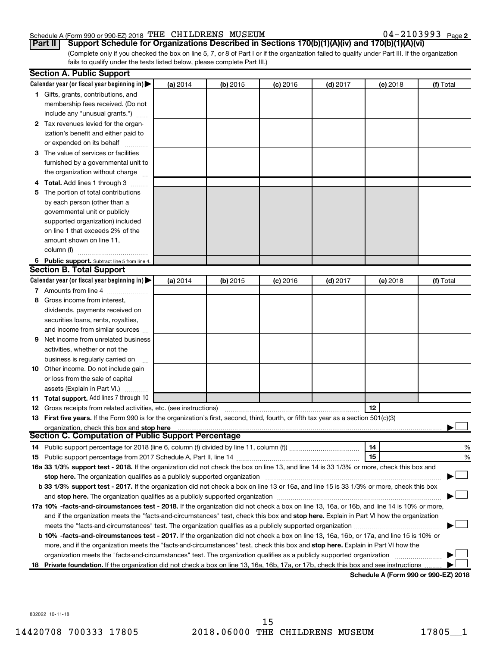#### Schedule A (Form 990 or 990-EZ) 2018 Page THE CHILDRENS MUSEUM 04-2103993

04-2103993 Page 2

(Complete only if you checked the box on line 5, 7, or 8 of Part I or if the organization failed to qualify under Part III. If the organization fails to qualify under the tests listed below, please complete Part III.) **Part II Support Schedule for Organizations Described in Sections 170(b)(1)(A)(iv) and 170(b)(1)(A)(vi)**

|    | <b>Section A. Public Support</b>                                                                                                                                                                                               |          |          |            |            |                 |           |
|----|--------------------------------------------------------------------------------------------------------------------------------------------------------------------------------------------------------------------------------|----------|----------|------------|------------|-----------------|-----------|
|    | Calendar year (or fiscal year beginning in)                                                                                                                                                                                    | (a) 2014 | (b) 2015 | $(c)$ 2016 | $(d)$ 2017 | (e) 2018        | (f) Total |
|    | 1 Gifts, grants, contributions, and                                                                                                                                                                                            |          |          |            |            |                 |           |
|    | membership fees received. (Do not                                                                                                                                                                                              |          |          |            |            |                 |           |
|    | include any "unusual grants.")                                                                                                                                                                                                 |          |          |            |            |                 |           |
|    | 2 Tax revenues levied for the organ-                                                                                                                                                                                           |          |          |            |            |                 |           |
|    | ization's benefit and either paid to                                                                                                                                                                                           |          |          |            |            |                 |           |
|    | or expended on its behalf                                                                                                                                                                                                      |          |          |            |            |                 |           |
| З. | The value of services or facilities                                                                                                                                                                                            |          |          |            |            |                 |           |
|    | furnished by a governmental unit to                                                                                                                                                                                            |          |          |            |            |                 |           |
|    | the organization without charge                                                                                                                                                                                                |          |          |            |            |                 |           |
|    | Total. Add lines 1 through 3                                                                                                                                                                                                   |          |          |            |            |                 |           |
| 5  | The portion of total contributions                                                                                                                                                                                             |          |          |            |            |                 |           |
|    | by each person (other than a                                                                                                                                                                                                   |          |          |            |            |                 |           |
|    | governmental unit or publicly                                                                                                                                                                                                  |          |          |            |            |                 |           |
|    | supported organization) included                                                                                                                                                                                               |          |          |            |            |                 |           |
|    | on line 1 that exceeds 2% of the                                                                                                                                                                                               |          |          |            |            |                 |           |
|    | amount shown on line 11,                                                                                                                                                                                                       |          |          |            |            |                 |           |
|    | column (f)                                                                                                                                                                                                                     |          |          |            |            |                 |           |
|    | 6 Public support. Subtract line 5 from line 4.                                                                                                                                                                                 |          |          |            |            |                 |           |
|    | <b>Section B. Total Support</b>                                                                                                                                                                                                |          |          |            |            |                 |           |
|    | Calendar year (or fiscal year beginning in)                                                                                                                                                                                    | (a) 2014 | (b) 2015 | $(c)$ 2016 | $(d)$ 2017 | (e) 2018        | (f) Total |
|    | 7 Amounts from line 4                                                                                                                                                                                                          |          |          |            |            |                 |           |
| 8  | Gross income from interest,                                                                                                                                                                                                    |          |          |            |            |                 |           |
|    | dividends, payments received on                                                                                                                                                                                                |          |          |            |            |                 |           |
|    | securities loans, rents, royalties,                                                                                                                                                                                            |          |          |            |            |                 |           |
|    | and income from similar sources                                                                                                                                                                                                |          |          |            |            |                 |           |
| 9  | Net income from unrelated business                                                                                                                                                                                             |          |          |            |            |                 |           |
|    | activities, whether or not the                                                                                                                                                                                                 |          |          |            |            |                 |           |
|    | business is regularly carried on                                                                                                                                                                                               |          |          |            |            |                 |           |
|    | 10 Other income. Do not include gain                                                                                                                                                                                           |          |          |            |            |                 |           |
|    | or loss from the sale of capital                                                                                                                                                                                               |          |          |            |            |                 |           |
|    | assets (Explain in Part VI.)                                                                                                                                                                                                   |          |          |            |            |                 |           |
|    | <b>11 Total support.</b> Add lines 7 through 10                                                                                                                                                                                |          |          |            |            |                 |           |
|    | 12 Gross receipts from related activities, etc. (see instructions)                                                                                                                                                             |          |          |            |            | 12 <sup>2</sup> |           |
|    | 13 First five years. If the Form 990 is for the organization's first, second, third, fourth, or fifth tax year as a section 501(c)(3)                                                                                          |          |          |            |            |                 |           |
|    | organization, check this box and stop here contain the contained and state of the contained and stop here contained and stop here contained and stop here and stop here are all the state of the state of the state of the sta |          |          |            |            |                 |           |
|    | Section C. Computation of Public Support Percentage                                                                                                                                                                            |          |          |            |            |                 |           |
|    |                                                                                                                                                                                                                                |          |          |            |            | 14              | %         |
|    |                                                                                                                                                                                                                                |          |          |            |            | 15              | %         |
|    | 16a 33 1/3% support test - 2018. If the organization did not check the box on line 13, and line 14 is 33 1/3% or more, check this box and                                                                                      |          |          |            |            |                 |           |
|    | stop here. The organization qualifies as a publicly supported organization manufaction manufacture or manufacture or the organization manufacture or the organization of the state of the state of the state of the state or m |          |          |            |            |                 |           |
|    | b 33 1/3% support test - 2017. If the organization did not check a box on line 13 or 16a, and line 15 is 33 1/3% or more, check this box                                                                                       |          |          |            |            |                 |           |
|    |                                                                                                                                                                                                                                |          |          |            |            |                 |           |
|    | 17a 10% -facts-and-circumstances test - 2018. If the organization did not check a box on line 13, 16a, or 16b, and line 14 is 10% or more,                                                                                     |          |          |            |            |                 |           |
|    | and if the organization meets the "facts-and-circumstances" test, check this box and stop here. Explain in Part VI how the organization                                                                                        |          |          |            |            |                 |           |
|    |                                                                                                                                                                                                                                |          |          |            |            |                 |           |
|    | b 10% -facts-and-circumstances test - 2017. If the organization did not check a box on line 13, 16a, 16b, or 17a, and line 15 is 10% or                                                                                        |          |          |            |            |                 |           |
|    | more, and if the organization meets the "facts-and-circumstances" test, check this box and stop here. Explain in Part VI how the                                                                                               |          |          |            |            |                 |           |
|    |                                                                                                                                                                                                                                |          |          |            |            |                 |           |
|    | 18 Private foundation. If the organization did not check a box on line 13, 16a, 16b, 17a, or 17b, check this box and see instructions                                                                                          |          |          |            |            |                 |           |

**Schedule A (Form 990 or 990-EZ) 2018**

832022 10-11-18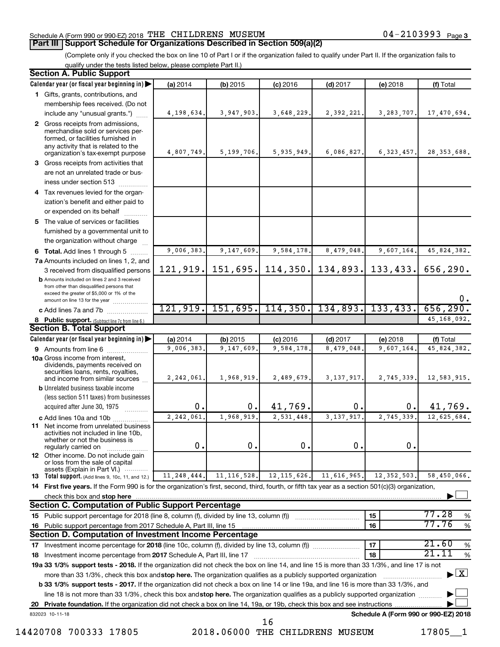## Schedule A (Form 990 or 990-EZ) 2018 Page THE CHILDRENS MUSEUM 04-2103993

(Complete only if you checked the box on line 10 of Part I or if the organization failed to qualify under Part II. If the organization fails to qualify under the tests listed below, please complete Part II.)

|    | <b>Section A. Public Support</b>                                                                                                                                                 |               |                          |                                 |              |                                      |                                          |
|----|----------------------------------------------------------------------------------------------------------------------------------------------------------------------------------|---------------|--------------------------|---------------------------------|--------------|--------------------------------------|------------------------------------------|
|    | Calendar year (or fiscal year beginning in)                                                                                                                                      | (a) 2014      | (b) 2015                 | $(c)$ 2016                      | $(d)$ 2017   | (e) 2018                             | (f) Total                                |
|    | 1 Gifts, grants, contributions, and                                                                                                                                              |               |                          |                                 |              |                                      |                                          |
|    | membership fees received. (Do not                                                                                                                                                |               |                          |                                 |              |                                      |                                          |
|    | include any "unusual grants.")                                                                                                                                                   | 4,198,634.    | 3,947,903.               | 3,648,229.                      | 2,392,221.   | 3,283,707.                           | 17,470,694.                              |
|    | 2 Gross receipts from admissions,<br>merchandise sold or services per-<br>formed, or facilities furnished in<br>any activity that is related to the                              | 4,807,749     | 5, 199, 706.             | 5,935,949.                      | 6,086,827.   | 6, 323, 457.                         | 28, 353, 688.                            |
|    | organization's tax-exempt purpose                                                                                                                                                |               |                          |                                 |              |                                      |                                          |
|    | 3 Gross receipts from activities that                                                                                                                                            |               |                          |                                 |              |                                      |                                          |
|    | are not an unrelated trade or bus-                                                                                                                                               |               |                          |                                 |              |                                      |                                          |
|    | iness under section 513                                                                                                                                                          |               |                          |                                 |              |                                      |                                          |
|    | 4 Tax revenues levied for the organ-<br>ization's benefit and either paid to                                                                                                     |               |                          |                                 |              |                                      |                                          |
|    | or expended on its behalf                                                                                                                                                        |               |                          |                                 |              |                                      |                                          |
|    | 5 The value of services or facilities                                                                                                                                            |               |                          |                                 |              |                                      |                                          |
|    | furnished by a governmental unit to                                                                                                                                              |               |                          |                                 |              |                                      |                                          |
|    | the organization without charge                                                                                                                                                  |               |                          |                                 |              |                                      |                                          |
|    | <b>6 Total.</b> Add lines 1 through 5                                                                                                                                            | 9,006,383.    | 9,147,609.               | 9,584,178.                      | 8,479,048    | 9,607,164.                           | 45,824,382.                              |
|    | 7a Amounts included on lines 1, 2, and                                                                                                                                           |               |                          |                                 |              |                                      |                                          |
|    | 3 received from disqualified persons                                                                                                                                             | 121, 919.     | 151,695.                 | 114, 350.                       | 134,893.     | 133,433.                             | 656,290.                                 |
|    | <b>b</b> Amounts included on lines 2 and 3 received<br>from other than disqualified persons that<br>exceed the greater of \$5,000 or 1% of the<br>amount on line 13 for the year |               |                          |                                 |              |                                      | $0$ .                                    |
|    | c Add lines 7a and 7b                                                                                                                                                            | 121, 919.     |                          | $151, 695.$ 114, 350. 134, 893. |              | 133, 433.                            | 656, 290.                                |
|    | 8 Public support. (Subtract line 7c from line 6.)                                                                                                                                |               |                          |                                 |              |                                      | 45, 168, 092.                            |
|    | <b>Section B. Total Support</b>                                                                                                                                                  |               |                          |                                 |              |                                      |                                          |
|    | Calendar year (or fiscal year beginning in)                                                                                                                                      | (a) 2014      | (b) 2015                 | $(c)$ 2016                      | $(d)$ 2017   | (e) 2018                             | (f) Total                                |
|    | 9 Amounts from line 6                                                                                                                                                            | 9,006,383     | $\overline{9,147,609}$ . | 9,584,178                       | 8,479,048    | 9,607,164.                           | 45, 824, 382.                            |
|    | <b>10a</b> Gross income from interest,<br>dividends, payments received on<br>securities loans, rents, royalties,<br>and income from similar sources                              | 2,242,061.    | 1,968,919.               | 2,489,679.                      | 3, 137, 917. | 2,745,339.                           | 12,583,915.                              |
|    | <b>b</b> Unrelated business taxable income                                                                                                                                       |               |                          |                                 |              |                                      |                                          |
|    | (less section 511 taxes) from businesses<br>acquired after June 30, 1975                                                                                                         | 0.            | 0.                       | 41,769.                         | 0.           | 0.                                   | 41,769.                                  |
|    |                                                                                                                                                                                  | 2,242,061     | 1,968,919.               | $\overline{2,531,448}$          | 3, 137, 917. | $\overline{2,745,339}$               | 12,625,684.                              |
|    | c Add lines 10a and 10b<br><b>11</b> Net income from unrelated business<br>activities not included in line 10b,<br>whether or not the business is<br>regularly carried on        | 0.            | 0.                       | 0.                              | 0.           | 0.                                   |                                          |
|    | 12 Other income. Do not include gain<br>or loss from the sale of capital<br>assets (Explain in Part VI.)                                                                         |               |                          |                                 |              |                                      |                                          |
|    | <b>13</b> Total support. (Add lines 9, 10c, 11, and 12.)                                                                                                                         | 11, 248, 444. | 11, 116, 528.            | 12, 115, 626.                   | 11,616,965.  | 12, 352, 503.                        | 58,450,066.                              |
|    | 14 First five years. If the Form 990 is for the organization's first, second, third, fourth, or fifth tax year as a section 501(c)(3) organization,                              |               |                          |                                 |              |                                      |                                          |
|    | check this box and stop here                                                                                                                                                     |               |                          |                                 |              |                                      |                                          |
|    | <b>Section C. Computation of Public Support Percentage</b>                                                                                                                       |               |                          |                                 |              |                                      |                                          |
|    | 15 Public support percentage for 2018 (line 8, column (f), divided by line 13, column (f) <i>manumeronominium</i>                                                                |               |                          |                                 |              | 15                                   | 77.28<br>%<br>77.76                      |
|    | 16 Public support percentage from 2017 Schedule A, Part III, line 15<br><b>Section D. Computation of Investment Income Percentage</b>                                            |               |                          |                                 |              | 16                                   | $\%$                                     |
|    |                                                                                                                                                                                  |               |                          |                                 |              |                                      | 21.60                                    |
|    | 17 Investment income percentage for 2018 (line 10c, column (f), divided by line 13, column (f))                                                                                  |               |                          |                                 |              | 17                                   | $\%$<br>21.11                            |
|    | 18 Investment income percentage from 2017 Schedule A, Part III, line 17                                                                                                          |               |                          |                                 |              | 18                                   | %                                        |
|    | 19a 33 1/3% support tests - 2018. If the organization did not check the box on line 14, and line 15 is more than 33 1/3%, and line 17 is not                                     |               |                          |                                 |              |                                      |                                          |
|    | more than 33 1/3%, check this box and stop here. The organization qualifies as a publicly supported organization                                                                 |               |                          |                                 |              |                                      | $\blacktriangleright$ $\boxed{\text{X}}$ |
|    | <b>b 33 1/3% support tests - 2017.</b> If the organization did not check a box on line 14 or line 19a, and line 16 is more than 33 1/3%, and                                     |               |                          |                                 |              |                                      |                                          |
|    | line 18 is not more than 33 1/3%, check this box and stop here. The organization qualifies as a publicly supported organization                                                  |               |                          |                                 |              |                                      |                                          |
| 20 |                                                                                                                                                                                  |               |                          |                                 |              |                                      |                                          |
|    | 832023 10-11-18                                                                                                                                                                  |               |                          | 16                              |              | Schedule A (Form 990 or 990-EZ) 2018 |                                          |

14420708 700333 17805 2018.06000 THE CHILDRENS MUSEUM 17805\_\_1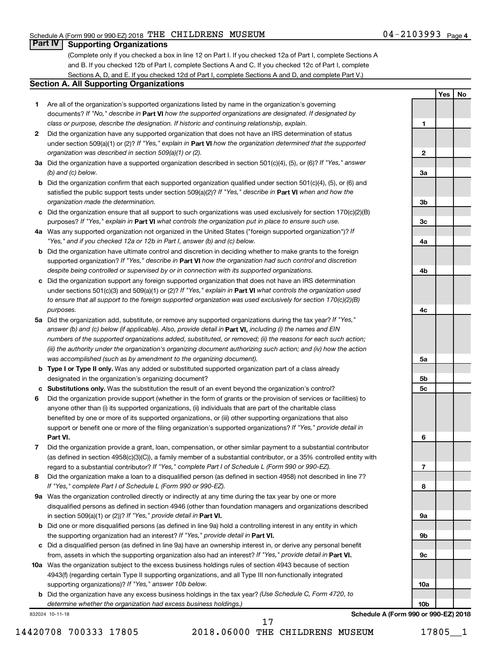**1**

**2**

**3a**

**3b**

**3c**

**4a**

**4b**

**4c**

**5a**

**5b 5c**

**6**

**7**

**8**

**9a**

**9b**

**9c**

**10a**

**10b**

**Yes No**

## **Part IV Supporting Organizations**

(Complete only if you checked a box in line 12 on Part I. If you checked 12a of Part I, complete Sections A and B. If you checked 12b of Part I, complete Sections A and C. If you checked 12c of Part I, complete Sections A, D, and E. If you checked 12d of Part I, complete Sections A and D, and complete Part V.)

#### **Section A. All Supporting Organizations**

- **1** Are all of the organization's supported organizations listed by name in the organization's governing documents? If "No," describe in Part VI how the supported organizations are designated. If designated by *class or purpose, describe the designation. If historic and continuing relationship, explain.*
- **2** Did the organization have any supported organization that does not have an IRS determination of status under section 509(a)(1) or (2)? If "Yes," explain in Part **VI** how the organization determined that the supported *organization was described in section 509(a)(1) or (2).*
- **3a** Did the organization have a supported organization described in section 501(c)(4), (5), or (6)? If "Yes," answer *(b) and (c) below.*
- **b** Did the organization confirm that each supported organization qualified under section 501(c)(4), (5), or (6) and satisfied the public support tests under section 509(a)(2)? If "Yes," describe in Part VI when and how the *organization made the determination.*
- **c** Did the organization ensure that all support to such organizations was used exclusively for section 170(c)(2)(B) purposes? If "Yes," explain in Part VI what controls the organization put in place to ensure such use.
- **4 a** *If* Was any supported organization not organized in the United States ("foreign supported organization")? *"Yes," and if you checked 12a or 12b in Part I, answer (b) and (c) below.*
- **b** Did the organization have ultimate control and discretion in deciding whether to make grants to the foreign supported organization? If "Yes," describe in Part VI how the organization had such control and discretion *despite being controlled or supervised by or in connection with its supported organizations.*
- **c** Did the organization support any foreign supported organization that does not have an IRS determination under sections 501(c)(3) and 509(a)(1) or (2)? If "Yes," explain in Part VI what controls the organization used *to ensure that all support to the foreign supported organization was used exclusively for section 170(c)(2)(B) purposes.*
- **5a** Did the organization add, substitute, or remove any supported organizations during the tax year? If "Yes," answer (b) and (c) below (if applicable). Also, provide detail in **Part VI,** including (i) the names and EIN *numbers of the supported organizations added, substituted, or removed; (ii) the reasons for each such action; (iii) the authority under the organization's organizing document authorizing such action; and (iv) how the action was accomplished (such as by amendment to the organizing document).*
- **b** Type I or Type II only. Was any added or substituted supported organization part of a class already designated in the organization's organizing document?
- **c Substitutions only.**  Was the substitution the result of an event beyond the organization's control?
- **6** Did the organization provide support (whether in the form of grants or the provision of services or facilities) to **Part VI.** support or benefit one or more of the filing organization's supported organizations? If "Yes," provide detail in anyone other than (i) its supported organizations, (ii) individuals that are part of the charitable class benefited by one or more of its supported organizations, or (iii) other supporting organizations that also
- **7** Did the organization provide a grant, loan, compensation, or other similar payment to a substantial contributor regard to a substantial contributor? If "Yes," complete Part I of Schedule L (Form 990 or 990-EZ). (as defined in section 4958(c)(3)(C)), a family member of a substantial contributor, or a 35% controlled entity with
- **8** Did the organization make a loan to a disqualified person (as defined in section 4958) not described in line 7? *If "Yes," complete Part I of Schedule L (Form 990 or 990-EZ).*
- **9 a** Was the organization controlled directly or indirectly at any time during the tax year by one or more in section 509(a)(1) or (2))? If "Yes," provide detail in **Part VI.** disqualified persons as defined in section 4946 (other than foundation managers and organizations described
- **b** Did one or more disqualified persons (as defined in line 9a) hold a controlling interest in any entity in which the supporting organization had an interest? If "Yes," provide detail in Part VI.
- **c** Did a disqualified person (as defined in line 9a) have an ownership interest in, or derive any personal benefit from, assets in which the supporting organization also had an interest? If "Yes," provide detail in Part VI.
- **10 a** Was the organization subject to the excess business holdings rules of section 4943 because of section supporting organizations)? If "Yes," answer 10b below. 4943(f) (regarding certain Type II supporting organizations, and all Type III non-functionally integrated
	- **b** Did the organization have any excess business holdings in the tax year? (Use Schedule C, Form 4720, to *determine whether the organization had excess business holdings.)*

832024 10-11-18

**Schedule A (Form 990 or 990-EZ) 2018**

14420708 700333 17805 2018.06000 THE CHILDRENS MUSEUM 17805\_\_1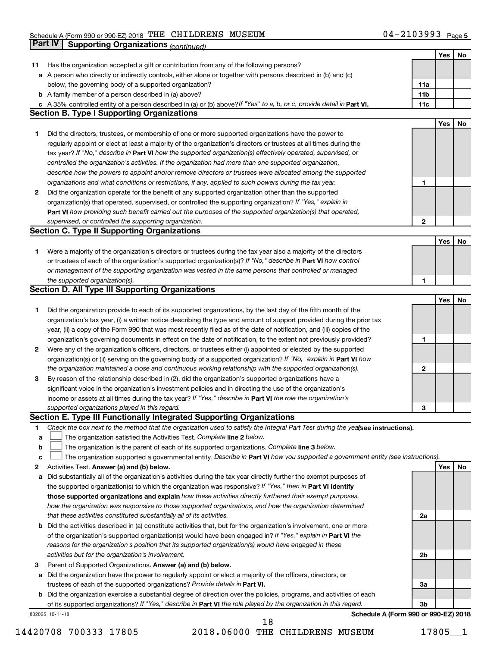|              | Part IV<br><b>Supporting Organizations (continued)</b>                                                                          |                 |            |    |
|--------------|---------------------------------------------------------------------------------------------------------------------------------|-----------------|------------|----|
|              |                                                                                                                                 |                 | Yes        | No |
| 11           | Has the organization accepted a gift or contribution from any of the following persons?                                         |                 |            |    |
|              | a A person who directly or indirectly controls, either alone or together with persons described in (b) and (c)                  |                 |            |    |
|              | below, the governing body of a supported organization?                                                                          | 11a             |            |    |
|              | <b>b</b> A family member of a person described in (a) above?                                                                    | 11 <sub>b</sub> |            |    |
|              | c A 35% controlled entity of a person described in (a) or (b) above? If "Yes" to a, b, or c, provide detail in Part VI.         | 11c             |            |    |
|              | <b>Section B. Type I Supporting Organizations</b>                                                                               |                 |            |    |
|              |                                                                                                                                 |                 | Yes        | No |
| 1            | Did the directors, trustees, or membership of one or more supported organizations have the power to                             |                 |            |    |
|              | regularly appoint or elect at least a majority of the organization's directors or trustees at all times during the              |                 |            |    |
|              | tax year? If "No," describe in Part VI how the supported organization(s) effectively operated, supervised, or                   |                 |            |    |
|              | controlled the organization's activities. If the organization had more than one supported organization,                         |                 |            |    |
|              | describe how the powers to appoint and/or remove directors or trustees were allocated among the supported                       |                 |            |    |
|              | organizations and what conditions or restrictions, if any, applied to such powers during the tax year.                          | 1               |            |    |
| 2            | Did the organization operate for the benefit of any supported organization other than the supported                             |                 |            |    |
|              | organization(s) that operated, supervised, or controlled the supporting organization? If "Yes," explain in                      |                 |            |    |
|              | Part VI how providing such benefit carried out the purposes of the supported organization(s) that operated,                     |                 |            |    |
|              | supervised, or controlled the supporting organization.                                                                          | $\mathbf{2}$    |            |    |
|              | <b>Section C. Type II Supporting Organizations</b>                                                                              |                 |            |    |
|              |                                                                                                                                 |                 | Yes        | No |
| 1.           | Were a majority of the organization's directors or trustees during the tax year also a majority of the directors                |                 |            |    |
|              | or trustees of each of the organization's supported organization(s)? If "No," describe in Part VI how control                   |                 |            |    |
|              | or management of the supporting organization was vested in the same persons that controlled or managed                          |                 |            |    |
|              | the supported organization(s).                                                                                                  | 1               |            |    |
|              | <b>Section D. All Type III Supporting Organizations</b>                                                                         |                 |            |    |
|              |                                                                                                                                 |                 | Yes        | No |
| 1            | Did the organization provide to each of its supported organizations, by the last day of the fifth month of the                  |                 |            |    |
|              | organization's tax year, (i) a written notice describing the type and amount of support provided during the prior tax           |                 |            |    |
|              | year, (ii) a copy of the Form 990 that was most recently filed as of the date of notification, and (iii) copies of the          |                 |            |    |
|              | organization's governing documents in effect on the date of notification, to the extent not previously provided?                | 1               |            |    |
| $\mathbf{2}$ | Were any of the organization's officers, directors, or trustees either (i) appointed or elected by the supported                |                 |            |    |
|              | organization(s) or (ii) serving on the governing body of a supported organization? If "No," explain in Part VI how              |                 |            |    |
|              | the organization maintained a close and continuous working relationship with the supported organization(s).                     | 2               |            |    |
| 3            | By reason of the relationship described in (2), did the organization's supported organizations have a                           |                 |            |    |
|              | significant voice in the organization's investment policies and in directing the use of the organization's                      |                 |            |    |
|              | income or assets at all times during the tax year? If "Yes," describe in Part VI the role the organization's                    |                 |            |    |
|              | supported organizations played in this regard.                                                                                  | з               |            |    |
|              | Section E. Type III Functionally Integrated Supporting Organizations                                                            |                 |            |    |
| 1            | Check the box next to the method that the organization used to satisfy the Integral Part Test during the yealsee instructions). |                 |            |    |
| a            | The organization satisfied the Activities Test. Complete line 2 below.                                                          |                 |            |    |
| b            | The organization is the parent of each of its supported organizations. Complete line 3 below.                                   |                 |            |    |
| с            | The organization supported a governmental entity. Describe in Part VI how you supported a government entity (see instructions). |                 |            |    |
| 2            | Activities Test. Answer (a) and (b) below.                                                                                      |                 | <b>Yes</b> | No |
| а            | Did substantially all of the organization's activities during the tax year directly further the exempt purposes of              |                 |            |    |
|              | the supported organization(s) to which the organization was responsive? If "Yes," then in Part VI identify                      |                 |            |    |
|              | those supported organizations and explain how these activities directly furthered their exempt purposes,                        |                 |            |    |
|              | how the organization was responsive to those supported organizations, and how the organization determined                       |                 |            |    |
|              | that these activities constituted substantially all of its activities.                                                          | 2a              |            |    |
| b            | Did the activities described in (a) constitute activities that, but for the organization's involvement, one or more             |                 |            |    |
|              | of the organization's supported organization(s) would have been engaged in? If "Yes," explain in Part VI the                    |                 |            |    |
|              | reasons for the organization's position that its supported organization(s) would have engaged in these                          |                 |            |    |
|              | activities but for the organization's involvement.                                                                              | 2b              |            |    |
| 3            | Parent of Supported Organizations. Answer (a) and (b) below.                                                                    |                 |            |    |
| а            | Did the organization have the power to regularly appoint or elect a majority of the officers, directors, or                     |                 |            |    |
|              | trustees of each of the supported organizations? Provide details in Part VI.                                                    | За              |            |    |
|              | <b>b</b> Did the organization exercise a substantial degree of direction over the policies, programs, and activities of each    |                 |            |    |
|              | of its supported organizations? If "Yes," describe in Part VI the role played by the organization in this regard.               | Зb              |            |    |
|              | Schedule A (Form 990 or 990-EZ) 2018<br>832025 10-11-18                                                                         |                 |            |    |

14420708 700333 17805 2018.06000 THE CHILDRENS MUSEUM 17805\_\_1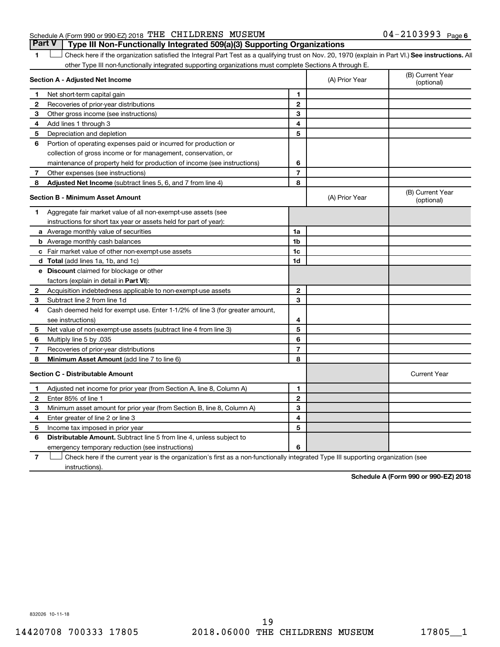## Schedule A (Form 990 or 990-EZ) 2018 Page THE CHILDRENS MUSEUM 04-2103993

1 **Letter See instructions.** All Check here if the organization satisfied the Integral Part Test as a qualifying trust on Nov. 20, 1970 (explain in Part VI.) See instructions. All other Type III non-functionally integrated supporting organizations must complete Sections A through E. **Part V Type III Non-Functionally Integrated 509(a)(3) Supporting Organizations** 

|                | Section A - Adjusted Net Income                                                                                                   |                          | (A) Prior Year | (B) Current Year<br>(optional) |
|----------------|-----------------------------------------------------------------------------------------------------------------------------------|--------------------------|----------------|--------------------------------|
| 1              | Net short-term capital gain                                                                                                       | 1                        |                |                                |
| 2              | Recoveries of prior-year distributions                                                                                            | $\overline{2}$           |                |                                |
| З              | Other gross income (see instructions)                                                                                             | 3                        |                |                                |
| 4              | Add lines 1 through 3                                                                                                             | 4                        |                |                                |
| 5              | Depreciation and depletion                                                                                                        | 5                        |                |                                |
| 6              | Portion of operating expenses paid or incurred for production or                                                                  |                          |                |                                |
|                | collection of gross income or for management, conservation, or                                                                    |                          |                |                                |
|                | maintenance of property held for production of income (see instructions)                                                          | 6                        |                |                                |
| 7              | Other expenses (see instructions)                                                                                                 | $\overline{7}$           |                |                                |
| 8              | Adjusted Net Income (subtract lines 5, 6, and 7 from line 4)                                                                      | 8                        |                |                                |
|                | <b>Section B - Minimum Asset Amount</b>                                                                                           |                          | (A) Prior Year | (B) Current Year<br>(optional) |
| 1              | Aggregate fair market value of all non-exempt-use assets (see                                                                     |                          |                |                                |
|                | instructions for short tax year or assets held for part of year):                                                                 |                          |                |                                |
|                | <b>a</b> Average monthly value of securities                                                                                      | 1a                       |                |                                |
|                | <b>b</b> Average monthly cash balances                                                                                            | 1b                       |                |                                |
|                | c Fair market value of other non-exempt-use assets                                                                                | 1c                       |                |                                |
|                | d Total (add lines 1a, 1b, and 1c)                                                                                                | 1d                       |                |                                |
|                | e Discount claimed for blockage or other                                                                                          |                          |                |                                |
|                | factors (explain in detail in Part VI):                                                                                           |                          |                |                                |
| 2              | Acquisition indebtedness applicable to non-exempt-use assets                                                                      | $\mathbf{2}$             |                |                                |
| 3              | Subtract line 2 from line 1d                                                                                                      | 3                        |                |                                |
| 4              | Cash deemed held for exempt use. Enter 1-1/2% of line 3 (for greater amount,                                                      |                          |                |                                |
|                | see instructions)                                                                                                                 | 4                        |                |                                |
| 5              | Net value of non-exempt-use assets (subtract line 4 from line 3)                                                                  | 5                        |                |                                |
| 6              | 035. Multiply line 5 by                                                                                                           | 6                        |                |                                |
| 7              | Recoveries of prior-year distributions                                                                                            | $\overline{\phantom{a}}$ |                |                                |
| 8              | <b>Minimum Asset Amount (add line 7 to line 6)</b>                                                                                | 8                        |                |                                |
|                | <b>Section C - Distributable Amount</b>                                                                                           |                          |                | <b>Current Year</b>            |
| 1              | Adjusted net income for prior year (from Section A, line 8, Column A)                                                             | 1                        |                |                                |
| 2              | Enter 85% of line 1                                                                                                               | $\mathbf{2}$             |                |                                |
| з              | Minimum asset amount for prior year (from Section B, line 8, Column A)                                                            | 3                        |                |                                |
| 4              | Enter greater of line 2 or line 3                                                                                                 | 4                        |                |                                |
| 5              | Income tax imposed in prior year                                                                                                  | 5                        |                |                                |
| 6              | <b>Distributable Amount.</b> Subtract line 5 from line 4, unless subject to                                                       |                          |                |                                |
|                | emergency temporary reduction (see instructions)                                                                                  | 6                        |                |                                |
| $\overline{7}$ | Check here if the current year is the organization's first as a non-functionally integrated Type III supporting organization (see |                          |                |                                |

instructions).

**Schedule A (Form 990 or 990-EZ) 2018**

832026 10-11-18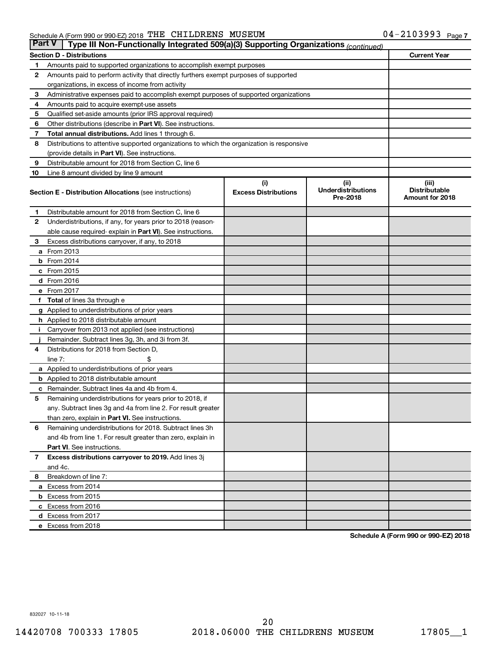| <b>Part V</b>  | Type III Non-Functionally Integrated 509(a)(3) Supporting Organizations (continued)        |                             |                                       |                                                |  |  |  |  |  |
|----------------|--------------------------------------------------------------------------------------------|-----------------------------|---------------------------------------|------------------------------------------------|--|--|--|--|--|
|                | <b>Section D - Distributions</b>                                                           |                             |                                       | <b>Current Year</b>                            |  |  |  |  |  |
| 1              | Amounts paid to supported organizations to accomplish exempt purposes                      |                             |                                       |                                                |  |  |  |  |  |
| $\mathbf{2}$   | Amounts paid to perform activity that directly furthers exempt purposes of supported       |                             |                                       |                                                |  |  |  |  |  |
|                | organizations, in excess of income from activity                                           |                             |                                       |                                                |  |  |  |  |  |
| 3              | Administrative expenses paid to accomplish exempt purposes of supported organizations      |                             |                                       |                                                |  |  |  |  |  |
| 4              | Amounts paid to acquire exempt-use assets                                                  |                             |                                       |                                                |  |  |  |  |  |
| 5              | Qualified set-aside amounts (prior IRS approval required)                                  |                             |                                       |                                                |  |  |  |  |  |
| 6              | Other distributions (describe in Part VI). See instructions.                               |                             |                                       |                                                |  |  |  |  |  |
| 7              | Total annual distributions. Add lines 1 through 6.                                         |                             |                                       |                                                |  |  |  |  |  |
| 8              | Distributions to attentive supported organizations to which the organization is responsive |                             |                                       |                                                |  |  |  |  |  |
|                | (provide details in Part VI). See instructions.                                            |                             |                                       |                                                |  |  |  |  |  |
| 9              | Distributable amount for 2018 from Section C, line 6                                       |                             |                                       |                                                |  |  |  |  |  |
| 10             | Line 8 amount divided by line 9 amount                                                     |                             |                                       |                                                |  |  |  |  |  |
|                |                                                                                            | (i)                         | (ii)                                  | (iii)                                          |  |  |  |  |  |
|                | <b>Section E - Distribution Allocations (see instructions)</b>                             | <b>Excess Distributions</b> | <b>Underdistributions</b><br>Pre-2018 | <b>Distributable</b><br><b>Amount for 2018</b> |  |  |  |  |  |
| 1              | Distributable amount for 2018 from Section C, line 6                                       |                             |                                       |                                                |  |  |  |  |  |
| $\mathbf{2}$   | Underdistributions, if any, for years prior to 2018 (reason-                               |                             |                                       |                                                |  |  |  |  |  |
|                | able cause required- explain in Part VI). See instructions.                                |                             |                                       |                                                |  |  |  |  |  |
| 3              | Excess distributions carryover, if any, to 2018                                            |                             |                                       |                                                |  |  |  |  |  |
|                | a From 2013                                                                                |                             |                                       |                                                |  |  |  |  |  |
|                | <b>b</b> From 2014                                                                         |                             |                                       |                                                |  |  |  |  |  |
|                | c From 2015                                                                                |                             |                                       |                                                |  |  |  |  |  |
|                | d From 2016                                                                                |                             |                                       |                                                |  |  |  |  |  |
|                | e From 2017                                                                                |                             |                                       |                                                |  |  |  |  |  |
|                | f Total of lines 3a through e                                                              |                             |                                       |                                                |  |  |  |  |  |
|                | <b>g</b> Applied to underdistributions of prior years                                      |                             |                                       |                                                |  |  |  |  |  |
|                | h Applied to 2018 distributable amount                                                     |                             |                                       |                                                |  |  |  |  |  |
| Ť.             | Carryover from 2013 not applied (see instructions)                                         |                             |                                       |                                                |  |  |  |  |  |
|                | Remainder. Subtract lines 3g, 3h, and 3i from 3f.                                          |                             |                                       |                                                |  |  |  |  |  |
| 4              | Distributions for 2018 from Section D,                                                     |                             |                                       |                                                |  |  |  |  |  |
|                | line $7:$                                                                                  |                             |                                       |                                                |  |  |  |  |  |
|                | a Applied to underdistributions of prior years                                             |                             |                                       |                                                |  |  |  |  |  |
|                | <b>b</b> Applied to 2018 distributable amount                                              |                             |                                       |                                                |  |  |  |  |  |
| с              | Remainder. Subtract lines 4a and 4b from 4.                                                |                             |                                       |                                                |  |  |  |  |  |
| 5              | Remaining underdistributions for years prior to 2018, if                                   |                             |                                       |                                                |  |  |  |  |  |
|                | any. Subtract lines 3g and 4a from line 2. For result greater                              |                             |                                       |                                                |  |  |  |  |  |
|                | than zero, explain in Part VI. See instructions.                                           |                             |                                       |                                                |  |  |  |  |  |
| 6              | Remaining underdistributions for 2018. Subtract lines 3h                                   |                             |                                       |                                                |  |  |  |  |  |
|                | and 4b from line 1. For result greater than zero, explain in                               |                             |                                       |                                                |  |  |  |  |  |
|                | <b>Part VI.</b> See instructions.                                                          |                             |                                       |                                                |  |  |  |  |  |
| $\overline{7}$ | Excess distributions carryover to 2019. Add lines 3j                                       |                             |                                       |                                                |  |  |  |  |  |
|                | and 4c.                                                                                    |                             |                                       |                                                |  |  |  |  |  |
| 8              | Breakdown of line 7:                                                                       |                             |                                       |                                                |  |  |  |  |  |
|                | a Excess from 2014                                                                         |                             |                                       |                                                |  |  |  |  |  |
|                | <b>b</b> Excess from 2015                                                                  |                             |                                       |                                                |  |  |  |  |  |
|                | c Excess from 2016                                                                         |                             |                                       |                                                |  |  |  |  |  |
|                | d Excess from 2017                                                                         |                             |                                       |                                                |  |  |  |  |  |
|                | e Excess from 2018                                                                         |                             |                                       |                                                |  |  |  |  |  |

**Schedule A (Form 990 or 990-EZ) 2018**

832027 10-11-18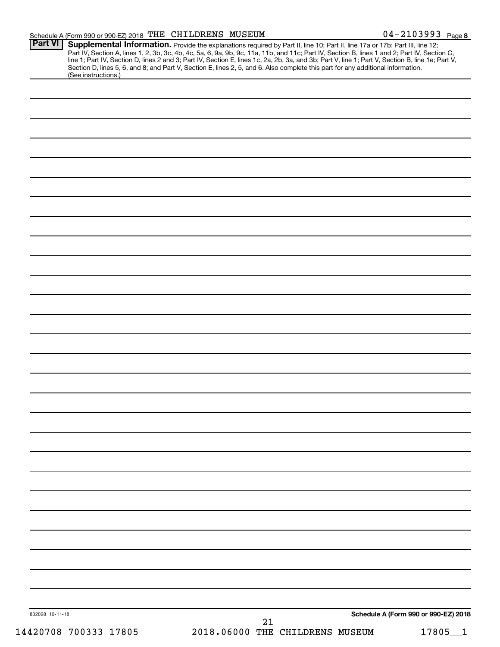#### Schedule A (Form 990 or 990-EZ) 2018 Page THE CHILDRENS MUSEUM 04-2103993

| <b>Part VI</b><br>(See instructions.) | <b>Supplemental Information.</b> Provide the explanations required by Part II, line 10; Part II, line 17a or 17b; Part III, line 12;<br>Part IV, Section A, lines 1, 2, 3b, 3c, 4b, 4c, 5a, 6, 9a, 9b, 9c, 11a, 11b, and 11c; Part IV,<br>Section D, lines 5, 6, and 8; and Part V, Section E, lines 2, 5, and 6. Also complete this part for any additional information. |
|---------------------------------------|---------------------------------------------------------------------------------------------------------------------------------------------------------------------------------------------------------------------------------------------------------------------------------------------------------------------------------------------------------------------------|
|                                       |                                                                                                                                                                                                                                                                                                                                                                           |
|                                       |                                                                                                                                                                                                                                                                                                                                                                           |
|                                       |                                                                                                                                                                                                                                                                                                                                                                           |
|                                       |                                                                                                                                                                                                                                                                                                                                                                           |
|                                       |                                                                                                                                                                                                                                                                                                                                                                           |
|                                       |                                                                                                                                                                                                                                                                                                                                                                           |
|                                       |                                                                                                                                                                                                                                                                                                                                                                           |
|                                       |                                                                                                                                                                                                                                                                                                                                                                           |
|                                       |                                                                                                                                                                                                                                                                                                                                                                           |
|                                       |                                                                                                                                                                                                                                                                                                                                                                           |
|                                       |                                                                                                                                                                                                                                                                                                                                                                           |
|                                       |                                                                                                                                                                                                                                                                                                                                                                           |
|                                       |                                                                                                                                                                                                                                                                                                                                                                           |
|                                       |                                                                                                                                                                                                                                                                                                                                                                           |
|                                       |                                                                                                                                                                                                                                                                                                                                                                           |
|                                       |                                                                                                                                                                                                                                                                                                                                                                           |
|                                       |                                                                                                                                                                                                                                                                                                                                                                           |
|                                       |                                                                                                                                                                                                                                                                                                                                                                           |
|                                       |                                                                                                                                                                                                                                                                                                                                                                           |
|                                       |                                                                                                                                                                                                                                                                                                                                                                           |
|                                       |                                                                                                                                                                                                                                                                                                                                                                           |
|                                       |                                                                                                                                                                                                                                                                                                                                                                           |
|                                       |                                                                                                                                                                                                                                                                                                                                                                           |
|                                       |                                                                                                                                                                                                                                                                                                                                                                           |
|                                       |                                                                                                                                                                                                                                                                                                                                                                           |
|                                       |                                                                                                                                                                                                                                                                                                                                                                           |
|                                       |                                                                                                                                                                                                                                                                                                                                                                           |
|                                       |                                                                                                                                                                                                                                                                                                                                                                           |
|                                       |                                                                                                                                                                                                                                                                                                                                                                           |
|                                       |                                                                                                                                                                                                                                                                                                                                                                           |
|                                       |                                                                                                                                                                                                                                                                                                                                                                           |
|                                       |                                                                                                                                                                                                                                                                                                                                                                           |
|                                       | Schedule A (Form 990 or 990-EZ) 2018                                                                                                                                                                                                                                                                                                                                      |
| 832028 10-11-18                       | 21                                                                                                                                                                                                                                                                                                                                                                        |
| 14420708 700333 17805                 | 2018.06000 THE CHILDRENS MUSEUM<br>17805_1                                                                                                                                                                                                                                                                                                                                |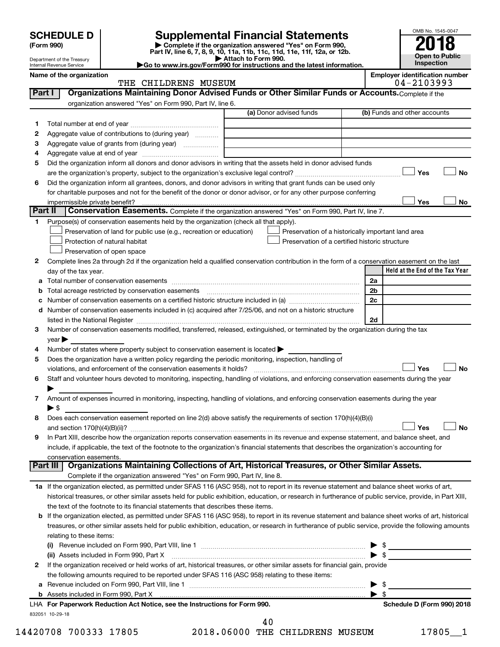| <b>SCHEDULE D</b> |  |  |  |
|-------------------|--|--|--|
|-------------------|--|--|--|

| (Form 990) |
|------------|
|            |

# **SCHEDULE D Supplemental Financial Statements**<br> **Form 990 2018**<br> **Part IV** line 6.7.8.9.10, 11a, 11b, 11d, 11d, 11d, 11d, 11d, 12a, 0r, 12b

**(Form 990) | Complete if the organization answered "Yes" on Form 990, Part IV, line 6, 7, 8, 9, 10, 11a, 11b, 11c, 11d, 11e, 11f, 12a, or 12b.**

**| Attach to Form 990. |Go to www.irs.gov/Form990 for instructions and the latest information.**



Department of the Treasury Internal Revenue Service **Name of the organization <b>Employer is a set of the organization Employer in the organization Employer is a set of the organization Employer in the organization Employer is a set of the organization Employer in t** 

|  |   | ployer identification number |
|--|---|------------------------------|
|  | . |                              |

|         | THE CHILDRENS MUSEUM                                                                                                                                                                  |                                                    |    | 04-2103993                      |
|---------|---------------------------------------------------------------------------------------------------------------------------------------------------------------------------------------|----------------------------------------------------|----|---------------------------------|
| Part I  | Organizations Maintaining Donor Advised Funds or Other Similar Funds or Accounts. Complete if the                                                                                     |                                                    |    |                                 |
|         | organization answered "Yes" on Form 990, Part IV, line 6.                                                                                                                             |                                                    |    |                                 |
|         |                                                                                                                                                                                       | (a) Donor advised funds                            |    | (b) Funds and other accounts    |
| 1       |                                                                                                                                                                                       |                                                    |    |                                 |
| 2       | Aggregate value of contributions to (during year)                                                                                                                                     |                                                    |    |                                 |
| З       | Aggregate value of grants from (during year)                                                                                                                                          |                                                    |    |                                 |
| 4       |                                                                                                                                                                                       |                                                    |    |                                 |
| 5       | Did the organization inform all donors and donor advisors in writing that the assets held in donor advised funds                                                                      |                                                    |    |                                 |
|         |                                                                                                                                                                                       |                                                    |    | Yes<br>No                       |
| 6       | Did the organization inform all grantees, donors, and donor advisors in writing that grant funds can be used only                                                                     |                                                    |    |                                 |
|         | for charitable purposes and not for the benefit of the donor or donor advisor, or for any other purpose conferring                                                                    |                                                    |    |                                 |
|         |                                                                                                                                                                                       |                                                    |    | Yes<br>No                       |
| Part II | <b>Conservation Easements.</b> Complete if the organization answered "Yes" on Form 990, Part IV, line 7.                                                                              |                                                    |    |                                 |
|         |                                                                                                                                                                                       |                                                    |    |                                 |
| 1       | Purpose(s) of conservation easements held by the organization (check all that apply).                                                                                                 |                                                    |    |                                 |
|         | Preservation of land for public use (e.g., recreation or education)                                                                                                                   | Preservation of a historically important land area |    |                                 |
|         | Protection of natural habitat                                                                                                                                                         | Preservation of a certified historic structure     |    |                                 |
|         | Preservation of open space                                                                                                                                                            |                                                    |    |                                 |
| 2       | Complete lines 2a through 2d if the organization held a qualified conservation contribution in the form of a conservation easement on the last                                        |                                                    |    |                                 |
|         | day of the tax year.                                                                                                                                                                  |                                                    |    | Held at the End of the Tax Year |
|         |                                                                                                                                                                                       |                                                    | 2a |                                 |
| b       | Total acreage restricted by conservation easements [11] [12] manufactured acreage restricted by conservation easements [11] manufactured acreage restricted by conservation easements |                                                    | 2b |                                 |
| c       |                                                                                                                                                                                       |                                                    | 2c |                                 |
|         | d Number of conservation easements included in (c) acquired after 7/25/06, and not on a historic structure                                                                            |                                                    |    |                                 |
|         | listed in the National Register [111] [12] The Marian Marian Marian Marian Marian Marian Marian Marian Marian M                                                                       |                                                    | 2d |                                 |
| 3       | Number of conservation easements modified, transferred, released, extinguished, or terminated by the organization during the tax                                                      |                                                    |    |                                 |
|         | year                                                                                                                                                                                  |                                                    |    |                                 |
| 4       | Number of states where property subject to conservation easement is located >                                                                                                         |                                                    |    |                                 |
| 5       | Does the organization have a written policy regarding the periodic monitoring, inspection, handling of                                                                                |                                                    |    |                                 |
|         | violations, and enforcement of the conservation easements it holds?                                                                                                                   |                                                    |    | Yes<br>No                       |
| 6       | Staff and volunteer hours devoted to monitoring, inspecting, handling of violations, and enforcing conservation easements during the year                                             |                                                    |    |                                 |
|         |                                                                                                                                                                                       |                                                    |    |                                 |
| 7       | Amount of expenses incurred in monitoring, inspecting, handling of violations, and enforcing conservation easements during the year                                                   |                                                    |    |                                 |
|         | $\blacktriangleright$ \$                                                                                                                                                              |                                                    |    |                                 |
| 8       | Does each conservation easement reported on line 2(d) above satisfy the requirements of section 170(h)(4)(B)(i)                                                                       |                                                    |    |                                 |
|         |                                                                                                                                                                                       |                                                    |    | Yes<br>No                       |
| 9       | In Part XIII, describe how the organization reports conservation easements in its revenue and expense statement, and balance sheet, and                                               |                                                    |    |                                 |
|         | include, if applicable, the text of the footnote to the organization's financial statements that describes the organization's accounting for                                          |                                                    |    |                                 |
|         | conservation easements.                                                                                                                                                               |                                                    |    |                                 |
|         | Organizations Maintaining Collections of Art, Historical Treasures, or Other Similar Assets.<br>Part III                                                                              |                                                    |    |                                 |
|         | Complete if the organization answered "Yes" on Form 990, Part IV, line 8.                                                                                                             |                                                    |    |                                 |
|         | 1a If the organization elected, as permitted under SFAS 116 (ASC 958), not to report in its revenue statement and balance sheet works of art,                                         |                                                    |    |                                 |
|         | historical treasures, or other similar assets held for public exhibition, education, or research in furtherance of public service, provide, in Part XIII,                             |                                                    |    |                                 |
|         | the text of the footnote to its financial statements that describes these items.                                                                                                      |                                                    |    |                                 |
|         | <b>b</b> If the organization elected, as permitted under SFAS 116 (ASC 958), to report in its revenue statement and balance sheet works of art, historical                            |                                                    |    |                                 |
|         | treasures, or other similar assets held for public exhibition, education, or research in furtherance of public service, provide the following amounts                                 |                                                    |    |                                 |
|         | relating to these items:                                                                                                                                                              |                                                    |    |                                 |
|         |                                                                                                                                                                                       |                                                    |    | $\triangleright$ \$             |
|         | (ii) Assets included in Form 990, Part X                                                                                                                                              |                                                    |    | $\blacktriangleright$ \$        |
| 2       | If the organization received or held works of art, historical treasures, or other similar assets for financial gain, provide                                                          |                                                    |    |                                 |
|         | the following amounts required to be reported under SFAS 116 (ASC 958) relating to these items:                                                                                       |                                                    |    |                                 |
|         |                                                                                                                                                                                       |                                                    | ▶  | - \$                            |
|         |                                                                                                                                                                                       |                                                    |    |                                 |
|         | LHA For Paperwork Reduction Act Notice, see the Instructions for Form 990.                                                                                                            |                                                    |    | Schedule D (Form 990) 2018      |

832051 10-29-18

14420708 700333 17805 2018.06000 THE CHILDRENS MUSEUM 17805\_\_1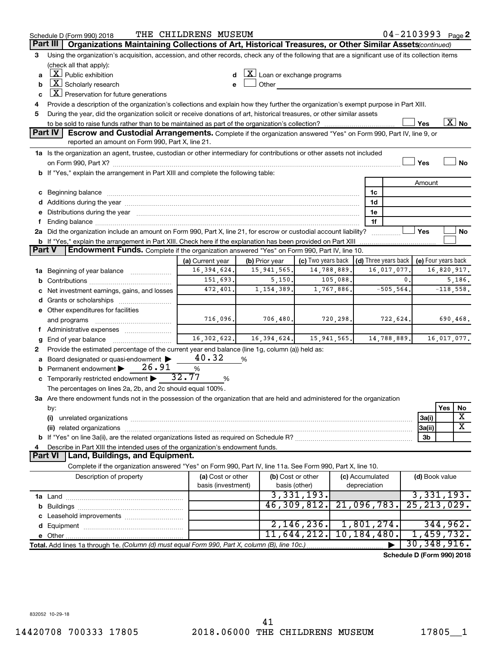|               | Schedule D (Form 990) 2018                                                                                                                                                                                                     | THE CHILDRENS MUSEUM |   |                                                    |                    |             |                 |                                      |                | $04 - 2103993$ Page 2      |  |
|---------------|--------------------------------------------------------------------------------------------------------------------------------------------------------------------------------------------------------------------------------|----------------------|---|----------------------------------------------------|--------------------|-------------|-----------------|--------------------------------------|----------------|----------------------------|--|
|               | Organizations Maintaining Collections of Art, Historical Treasures, or Other Similar Assets(continued)<br>Part III                                                                                                             |                      |   |                                                    |                    |             |                 |                                      |                |                            |  |
| 3             | Using the organization's acquisition, accession, and other records, check any of the following that are a significant use of its collection items                                                                              |                      |   |                                                    |                    |             |                 |                                      |                |                            |  |
|               | (check all that apply):                                                                                                                                                                                                        |                      |   |                                                    |                    |             |                 |                                      |                |                            |  |
| a             | $\lfloor x \rfloor$ Public exhibition                                                                                                                                                                                          |                      |   | $\underline{\mathbf{X}}$ Loan or exchange programs |                    |             |                 |                                      |                |                            |  |
| b             | $\boxed{\textbf{X}}$ Scholarly research                                                                                                                                                                                        |                      |   | Other                                              |                    |             |                 |                                      |                |                            |  |
| C             | $\boxed{\textbf{X}}$ Preservation for future generations                                                                                                                                                                       |                      |   |                                                    |                    |             |                 |                                      |                |                            |  |
| 4             | Provide a description of the organization's collections and explain how they further the organization's exempt purpose in Part XIII.                                                                                           |                      |   |                                                    |                    |             |                 |                                      |                |                            |  |
| 5             | During the year, did the organization solicit or receive donations of art, historical treasures, or other similar assets                                                                                                       |                      |   |                                                    |                    |             |                 |                                      |                |                            |  |
|               |                                                                                                                                                                                                                                |                      |   |                                                    |                    |             |                 |                                      | Yes            | $\overline{\text{X}}$ No   |  |
|               | <b>Part IV</b><br>Escrow and Custodial Arrangements. Complete if the organization answered "Yes" on Form 990, Part IV, line 9, or                                                                                              |                      |   |                                                    |                    |             |                 |                                      |                |                            |  |
|               | reported an amount on Form 990, Part X, line 21.                                                                                                                                                                               |                      |   |                                                    |                    |             |                 |                                      |                |                            |  |
|               | 1a Is the organization an agent, trustee, custodian or other intermediary for contributions or other assets not included                                                                                                       |                      |   |                                                    |                    |             |                 |                                      |                |                            |  |
|               |                                                                                                                                                                                                                                |                      |   |                                                    |                    |             |                 |                                      | Yes            | <b>No</b>                  |  |
|               | b If "Yes," explain the arrangement in Part XIII and complete the following table:                                                                                                                                             |                      |   |                                                    |                    |             |                 |                                      |                |                            |  |
|               |                                                                                                                                                                                                                                |                      |   |                                                    |                    |             |                 |                                      | Amount         |                            |  |
|               | c Beginning balance                                                                                                                                                                                                            |                      |   |                                                    |                    |             | 1c              |                                      |                |                            |  |
|               |                                                                                                                                                                                                                                |                      |   |                                                    |                    |             | 1d              |                                      |                |                            |  |
|               | e Distributions during the year manufactured and continuum and contact the year manufactured and contact the year manufactured and contact the year manufactured and contact the year manufactured and contact the year manufa |                      |   |                                                    |                    |             | 1e              |                                      |                |                            |  |
|               |                                                                                                                                                                                                                                |                      |   |                                                    |                    |             | 1f              |                                      |                |                            |  |
|               | 2a Did the organization include an amount on Form 990, Part X, line 21, for escrow or custodial account liability?                                                                                                             |                      |   |                                                    |                    |             |                 |                                      | Yes            | No                         |  |
|               | <b>b</b> If "Yes," explain the arrangement in Part XIII. Check here if the explanation has been provided on Part XIII                                                                                                          |                      |   |                                                    |                    |             |                 |                                      |                |                            |  |
| <b>Part V</b> | Endowment Funds. Complete if the organization answered "Yes" on Form 990, Part IV, line 10.                                                                                                                                    |                      |   |                                                    |                    |             |                 |                                      |                |                            |  |
|               |                                                                                                                                                                                                                                | (a) Current year     |   | (b) Prior year                                     | (c) Two years back |             |                 | $\vert$ (d) Three years back $\vert$ |                | (e) Four years back        |  |
| 1a            | Beginning of year balance <i>manumman</i>                                                                                                                                                                                      | 16, 394, 624.        |   | 15, 941, 565.                                      |                    | 14,788,889. |                 | 16,017,077                           |                | 16,820,917.                |  |
|               |                                                                                                                                                                                                                                | 151,693.             |   | 5,150.                                             |                    | 105,088.    |                 | 0.                                   |                | 5,186.                     |  |
|               | Net investment earnings, gains, and losses                                                                                                                                                                                     | 472,401.             |   | 1, 154, 389.                                       |                    | 1,767,886.  |                 | $-505, 564.$                         |                | $-118,558.$                |  |
| d             | Grants or scholarships                                                                                                                                                                                                         |                      |   |                                                    |                    |             |                 |                                      |                |                            |  |
|               | e Other expenditures for facilities                                                                                                                                                                                            |                      |   |                                                    |                    |             |                 |                                      |                |                            |  |
|               | and programs                                                                                                                                                                                                                   | 716,096.             |   | 706,480.                                           |                    | 720, 298.   |                 | 722,624.                             |                | 690,468.                   |  |
|               | f Administrative expenses                                                                                                                                                                                                      |                      |   |                                                    |                    |             |                 |                                      |                |                            |  |
|               | End of year balance                                                                                                                                                                                                            | 16, 302, 622.        |   | 16,394,624.                                        |                    | 15,941,565. |                 | 14,788,889.                          |                | 16,017,077.                |  |
| 2             | Provide the estimated percentage of the current year end balance (line 1g, column (a)) held as:                                                                                                                                |                      |   |                                                    |                    |             |                 |                                      |                |                            |  |
|               | Board designated or quasi-endowment                                                                                                                                                                                            | 40.32                | % |                                                    |                    |             |                 |                                      |                |                            |  |
| b             | 26.91<br>Permanent endowment                                                                                                                                                                                                   | %<br>32.77           |   |                                                    |                    |             |                 |                                      |                |                            |  |
| с             | Temporarily restricted endowment                                                                                                                                                                                               | %                    |   |                                                    |                    |             |                 |                                      |                |                            |  |
|               | The percentages on lines 2a, 2b, and 2c should equal 100%.                                                                                                                                                                     |                      |   |                                                    |                    |             |                 |                                      |                |                            |  |
|               | 3a Are there endowment funds not in the possession of the organization that are held and administered for the organization                                                                                                     |                      |   |                                                    |                    |             |                 |                                      |                |                            |  |
|               | by:                                                                                                                                                                                                                            |                      |   |                                                    |                    |             |                 |                                      |                | Yes<br>No<br>X             |  |
|               | (i)                                                                                                                                                                                                                            |                      |   |                                                    |                    |             |                 |                                      | 3a(i)          | х                          |  |
|               | (ii) related organizations                                                                                                                                                                                                     |                      |   |                                                    |                    |             |                 |                                      | 3a(ii)         |                            |  |
|               |                                                                                                                                                                                                                                |                      |   |                                                    |                    |             |                 |                                      | 3b             |                            |  |
|               | Describe in Part XIII the intended uses of the organization's endowment funds.<br>Land, Buildings, and Equipment.<br><b>Part VI</b>                                                                                            |                      |   |                                                    |                    |             |                 |                                      |                |                            |  |
|               | Complete if the organization answered "Yes" on Form 990, Part IV, line 11a. See Form 990, Part X, line 10.                                                                                                                     |                      |   |                                                    |                    |             |                 |                                      |                |                            |  |
|               | Description of property                                                                                                                                                                                                        | (a) Cost or other    |   |                                                    | (b) Cost or other  |             | (c) Accumulated |                                      | (d) Book value |                            |  |
|               |                                                                                                                                                                                                                                | basis (investment)   |   |                                                    | basis (other)      |             | depreciation    |                                      |                |                            |  |
|               |                                                                                                                                                                                                                                |                      |   |                                                    | 3,331,193.         |             |                 |                                      |                | 3,331,193.                 |  |
| b             |                                                                                                                                                                                                                                |                      |   |                                                    | 46,309,812.        |             | 21,096,783.     |                                      |                | 25, 213, 029.              |  |
|               |                                                                                                                                                                                                                                |                      |   |                                                    |                    |             |                 |                                      |                |                            |  |
|               |                                                                                                                                                                                                                                |                      |   |                                                    | 2,146,236.         |             | 1,801,274.      |                                      |                | 344,962.                   |  |
|               | e Other.                                                                                                                                                                                                                       |                      |   |                                                    | 11,644,212.        |             | 10, 184, 480.   |                                      |                | 1,459,732.                 |  |
|               | Total. Add lines 1a through 1e. (Column (d) must equal Form 990, Part X, column (B), line 10c.)                                                                                                                                |                      |   |                                                    |                    |             |                 |                                      |                | 30, 348, 916.              |  |
|               |                                                                                                                                                                                                                                |                      |   |                                                    |                    |             |                 |                                      |                | Schedule D (Form 990) 2018 |  |
|               |                                                                                                                                                                                                                                |                      |   |                                                    |                    |             |                 |                                      |                |                            |  |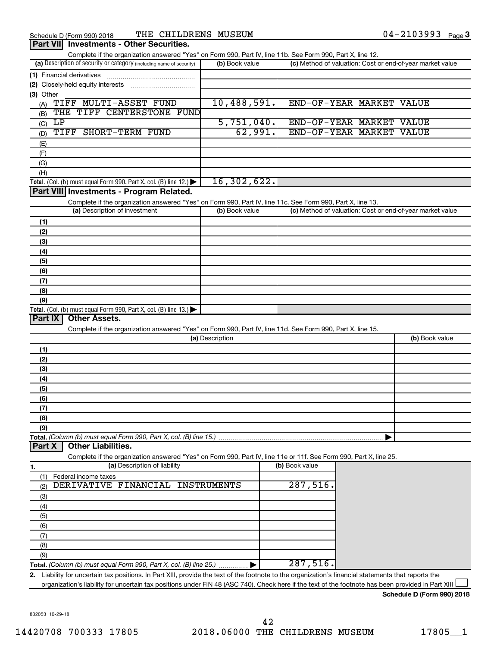| <b>Part VII</b> Investments - Other Securities. |                      |                |        |
|-------------------------------------------------|----------------------|----------------|--------|
| Schedule D (Form 990) 2018                      | THE CHILDRENS MUSEUM | $04 - 2103993$ | Page 3 |

|                                                                                                                                  | Complete if the organization answered "Yes" on Form 990, Part IV, line 11b. See Form 990, Part X, line 12. |                                                                                                                                                                                                                                                                                                            |
|----------------------------------------------------------------------------------------------------------------------------------|------------------------------------------------------------------------------------------------------------|------------------------------------------------------------------------------------------------------------------------------------------------------------------------------------------------------------------------------------------------------------------------------------------------------------|
| (a) Description of security or category (including name of security)                                                             | (b) Book value                                                                                             | (c) Method of valuation: Cost or end-of-year market value                                                                                                                                                                                                                                                  |
|                                                                                                                                  |                                                                                                            |                                                                                                                                                                                                                                                                                                            |
| (2) Closely-held equity interests                                                                                                |                                                                                                            |                                                                                                                                                                                                                                                                                                            |
| (3) Other                                                                                                                        |                                                                                                            |                                                                                                                                                                                                                                                                                                            |
| TIFF MULTI-ASSET FUND<br>(A)                                                                                                     | 10,488,591.                                                                                                | END-OF-YEAR MARKET VALUE                                                                                                                                                                                                                                                                                   |
| THE TIFF CENTERSTONE FUND<br>(B)                                                                                                 |                                                                                                            |                                                                                                                                                                                                                                                                                                            |
| LP<br>(C)                                                                                                                        | 5,751,040.                                                                                                 | END-OF-YEAR MARKET VALUE                                                                                                                                                                                                                                                                                   |
| <b>SHORT-TERM FUND</b><br>TIFF<br>(D)                                                                                            | 62,991.                                                                                                    | END-OF-YEAR MARKET<br>VALUE                                                                                                                                                                                                                                                                                |
| (E)                                                                                                                              |                                                                                                            |                                                                                                                                                                                                                                                                                                            |
| (F)                                                                                                                              |                                                                                                            |                                                                                                                                                                                                                                                                                                            |
| (G)                                                                                                                              |                                                                                                            |                                                                                                                                                                                                                                                                                                            |
| (H)                                                                                                                              |                                                                                                            |                                                                                                                                                                                                                                                                                                            |
| Total. (Col. (b) must equal Form 990, Part X, col. (B) line 12.) $\blacktriangleright$                                           | 16,302,622.                                                                                                |                                                                                                                                                                                                                                                                                                            |
| Part VIII Investments - Program Related.                                                                                         |                                                                                                            |                                                                                                                                                                                                                                                                                                            |
|                                                                                                                                  | Complete if the organization answered "Yes" on Form 990, Part IV, line 11c. See Form 990, Part X, line 13. |                                                                                                                                                                                                                                                                                                            |
| (a) Description of investment                                                                                                    | (b) Book value                                                                                             | (c) Method of valuation: Cost or end-of-year market value                                                                                                                                                                                                                                                  |
| (1)                                                                                                                              |                                                                                                            |                                                                                                                                                                                                                                                                                                            |
| (2)                                                                                                                              |                                                                                                            |                                                                                                                                                                                                                                                                                                            |
| (3)                                                                                                                              |                                                                                                            |                                                                                                                                                                                                                                                                                                            |
| (4)                                                                                                                              |                                                                                                            |                                                                                                                                                                                                                                                                                                            |
| (5)                                                                                                                              |                                                                                                            |                                                                                                                                                                                                                                                                                                            |
| (6)                                                                                                                              |                                                                                                            |                                                                                                                                                                                                                                                                                                            |
| (7)                                                                                                                              |                                                                                                            |                                                                                                                                                                                                                                                                                                            |
| (8)                                                                                                                              |                                                                                                            |                                                                                                                                                                                                                                                                                                            |
| (9)                                                                                                                              |                                                                                                            |                                                                                                                                                                                                                                                                                                            |
| Total. (Col. (b) must equal Form 990, Part X, col. (B) line 13.) $\blacktriangleright$<br><b>Other Assets.</b><br><b>Part IX</b> |                                                                                                            |                                                                                                                                                                                                                                                                                                            |
|                                                                                                                                  | Complete if the organization answered "Yes" on Form 990, Part IV, line 11d. See Form 990, Part X, line 15. |                                                                                                                                                                                                                                                                                                            |
|                                                                                                                                  | (a) Description                                                                                            | (b) Book value                                                                                                                                                                                                                                                                                             |
| (1)                                                                                                                              |                                                                                                            |                                                                                                                                                                                                                                                                                                            |
| (2)                                                                                                                              |                                                                                                            |                                                                                                                                                                                                                                                                                                            |
| (3)                                                                                                                              |                                                                                                            |                                                                                                                                                                                                                                                                                                            |
| (4)                                                                                                                              |                                                                                                            |                                                                                                                                                                                                                                                                                                            |
| (5)                                                                                                                              |                                                                                                            |                                                                                                                                                                                                                                                                                                            |
| (6)                                                                                                                              |                                                                                                            |                                                                                                                                                                                                                                                                                                            |
| (7)                                                                                                                              |                                                                                                            |                                                                                                                                                                                                                                                                                                            |
| (8)                                                                                                                              |                                                                                                            |                                                                                                                                                                                                                                                                                                            |
| (9)                                                                                                                              |                                                                                                            |                                                                                                                                                                                                                                                                                                            |
| Total. (Column (b) must equal Form 990, Part X, col. (B) line 15.)                                                               |                                                                                                            |                                                                                                                                                                                                                                                                                                            |
| <b>Other Liabilities.</b><br>  Part X                                                                                            |                                                                                                            |                                                                                                                                                                                                                                                                                                            |
|                                                                                                                                  |                                                                                                            | Complete if the organization answered "Yes" on Form 990, Part IV, line 11e or 11f. See Form 990, Part X, line 25.                                                                                                                                                                                          |
| (a) Description of liability<br>1.                                                                                               |                                                                                                            | (b) Book value                                                                                                                                                                                                                                                                                             |
| (1)<br>Federal income taxes                                                                                                      |                                                                                                            |                                                                                                                                                                                                                                                                                                            |
| DERIVATIVE FINANCIAL<br>(2)                                                                                                      | <b>INSTRUMENTS</b>                                                                                         | 287,516.                                                                                                                                                                                                                                                                                                   |
| (3)                                                                                                                              |                                                                                                            |                                                                                                                                                                                                                                                                                                            |
| (4)                                                                                                                              |                                                                                                            |                                                                                                                                                                                                                                                                                                            |
| (5)                                                                                                                              |                                                                                                            |                                                                                                                                                                                                                                                                                                            |
| (6)                                                                                                                              |                                                                                                            |                                                                                                                                                                                                                                                                                                            |
|                                                                                                                                  |                                                                                                            |                                                                                                                                                                                                                                                                                                            |
| (7)                                                                                                                              |                                                                                                            |                                                                                                                                                                                                                                                                                                            |
| (8)                                                                                                                              |                                                                                                            |                                                                                                                                                                                                                                                                                                            |
| (9)                                                                                                                              |                                                                                                            |                                                                                                                                                                                                                                                                                                            |
| Total. (Column (b) must equal Form 990, Part X, col. (B) line 25.)                                                               |                                                                                                            | 287,516                                                                                                                                                                                                                                                                                                    |
|                                                                                                                                  |                                                                                                            | 2. Liability for uncertain tax positions. In Part XIII, provide the text of the footnote to the organization's financial statements that reports the<br>organization's liability for uncertain tax positions under FIN 48 (ASC 740). Check here if the text of the footnote has been provided in Part XIII |

**Schedule D (Form 990) 2018**

832053 10-29-18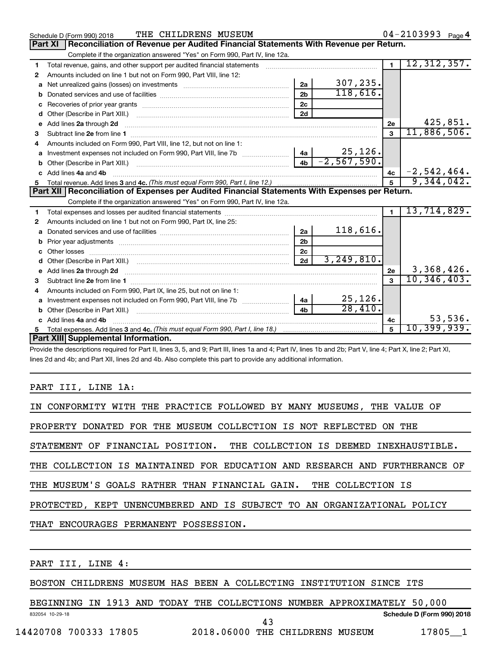|    | THE CHILDRENS MUSEUM<br>Schedule D (Form 990) 2018                                                                       |                |                                                                                                                |                | 04-2103993 $_{Page 4}$ |
|----|--------------------------------------------------------------------------------------------------------------------------|----------------|----------------------------------------------------------------------------------------------------------------|----------------|------------------------|
|    | Reconciliation of Revenue per Audited Financial Statements With Revenue per Return.<br><b>Part XI</b>                    |                |                                                                                                                |                |                        |
|    | Complete if the organization answered "Yes" on Form 990, Part IV, line 12a.                                              |                |                                                                                                                |                |                        |
| 1  | Total revenue, gains, and other support per audited financial statements                                                 |                | and a complete the contract of the complete the complete the complete the complete the complete the complete t | $\blacksquare$ | 12, 312, 357.          |
| 2  | Amounts included on line 1 but not on Form 990, Part VIII, line 12:                                                      |                |                                                                                                                |                |                        |
| a  |                                                                                                                          | 2a             | 307,235.                                                                                                       |                |                        |
|    |                                                                                                                          | 2 <sub>b</sub> | 118,616.                                                                                                       |                |                        |
| с  |                                                                                                                          | 2c             |                                                                                                                |                |                        |
| d  |                                                                                                                          | 2d             |                                                                                                                |                |                        |
| е  | Add lines 2a through 2d <b>must be a constructed as the constant of the constant of the constant of the construction</b> |                |                                                                                                                | 2e             | 425,851.               |
| з  |                                                                                                                          |                |                                                                                                                | 3              | 11,886,506.            |
|    | Amounts included on Form 990, Part VIII, line 12, but not on line 1:                                                     |                |                                                                                                                |                |                        |
|    | Investment expenses not included on Form 990, Part VIII, line 7b [100] [100] 4a                                          |                | 25, 126.                                                                                                       |                |                        |
| b  |                                                                                                                          | 4 <sub>h</sub> | $-2,567,590.$                                                                                                  |                |                        |
| c. | Add lines 4a and 4b                                                                                                      |                |                                                                                                                | 4c             | $-2,542,464.$          |
| 5  |                                                                                                                          |                |                                                                                                                | $\overline{5}$ | 9,344,042.             |
|    |                                                                                                                          |                |                                                                                                                |                |                        |
|    | Part XII   Reconciliation of Expenses per Audited Financial Statements With Expenses per Return.                         |                |                                                                                                                |                |                        |
|    | Complete if the organization answered "Yes" on Form 990, Part IV, line 12a.                                              |                |                                                                                                                |                |                        |
| 1  |                                                                                                                          |                |                                                                                                                | $\mathbf{1}$   | 13, 714, 829.          |
| 2  | Amounts included on line 1 but not on Form 990, Part IX, line 25:                                                        |                |                                                                                                                |                |                        |
| a  |                                                                                                                          | 2a             | 118,616.                                                                                                       |                |                        |
| b  |                                                                                                                          | 2 <sub>b</sub> |                                                                                                                |                |                        |
| c  |                                                                                                                          | 2 <sub>c</sub> |                                                                                                                |                |                        |
|    |                                                                                                                          | 2d             | 3, 249, 810.                                                                                                   |                |                        |
| е  | Add lines 2a through 2d <b>contract and contract and all and all and all and all and all and all and all and all a</b>   |                |                                                                                                                | 2e             | 3,368,426.             |
| 3  |                                                                                                                          |                |                                                                                                                | $\mathbf{a}$   | 10, 346, 403.          |
| 4  | Amounts included on Form 990, Part IX, line 25, but not on line 1:                                                       |                |                                                                                                                |                |                        |
| a  |                                                                                                                          | 4a             | 25, 126.                                                                                                       |                |                        |
|    |                                                                                                                          | 4 <sub>b</sub> | 28,410.                                                                                                        |                |                        |
|    | Add lines 4a and 4b                                                                                                      |                |                                                                                                                | 4c             | 53,536.                |
| 5  | Part XIII Supplemental Information.                                                                                      |                |                                                                                                                | 5              | 10,399,939.            |

Provide the descriptions required for Part II, lines 3, 5, and 9; Part III, lines 1a and 4; Part IV, lines 1b and 2b; Part V, line 4; Part X, line 2; Part XI, lines 2d and 4b; and Part XII, lines 2d and 4b. Also complete this part to provide any additional information.

## PART III, LINE 1A:

| IN CONFORMITY WITH THE PRACTICE FOLLOWED BY MANY MUSEUMS, THE VALUE OF     |
|----------------------------------------------------------------------------|
| PROPERTY DONATED FOR THE MUSEUM COLLECTION IS NOT REFLECTED ON THE         |
| STATEMENT OF FINANCIAL POSITION. THE COLLECTION IS DEEMED INEXHAUSTIBLE.   |
| THE COLLECTION IS MAINTAINED FOR EDUCATION AND RESEARCH AND FURTHERANCE OF |
| THE MUSEUM'S GOALS RATHER THAN FINANCIAL GAIN. THE COLLECTION IS           |
| PROTECTED, KEPT UNENCUMBERED AND IS SUBJECT TO AN ORGANIZATIONAL POLICY    |
| THAT ENCOURAGES PERMANENT POSSESSION.                                      |
|                                                                            |
| PART III, LINE 4:                                                          |
|                                                                            |

BOSTON CHILDRENS MUSEUM HAS BEEN A COLLECTING INSTITUTION SINCE ITS

BEGINNING IN 1913 AND TODAY THE COLLECTIONS NUMBER APPROXIMATELY 50,000

**Schedule D (Form 990) 2018**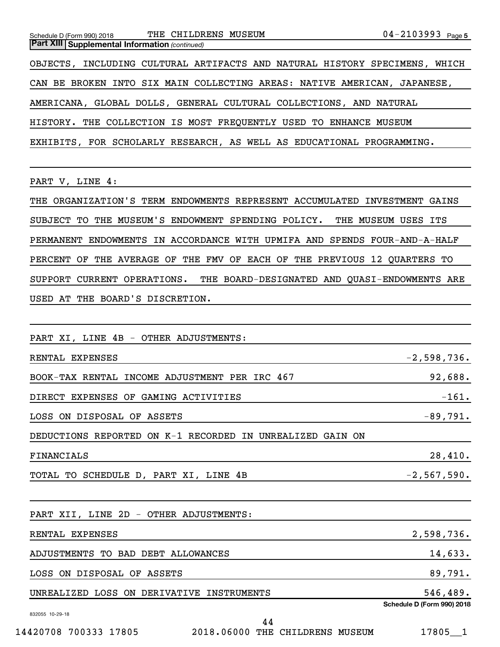| Schedule D (Form 990) 2018 THE CHILDRENS MUSEUM         |                                                                            | $04 - 2103993$ Page 5 |
|---------------------------------------------------------|----------------------------------------------------------------------------|-----------------------|
| <b>Part XIII   Supplemental Information (continued)</b> |                                                                            |                       |
|                                                         | OBJECTS, INCLUDING CULTURAL ARTIFACTS AND NATURAL HISTORY SPECIMENS, WHICH |                       |
|                                                         | CAN BE BROKEN INTO SIX MAIN COLLECTING AREAS: NATIVE AMERICAN, JAPANESE,   |                       |
|                                                         | AMERICANA, GLOBAL DOLLS, GENERAL CULTURAL COLLECTIONS, AND NATURAL         |                       |
|                                                         | HISTORY. THE COLLECTION IS MOST FREQUENTLY USED TO ENHANCE MUSEUM          |                       |
|                                                         | EXHIBITS, FOR SCHOLARLY RESEARCH, AS WELL AS EDUCATIONAL PROGRAMMING.      |                       |
|                                                         |                                                                            |                       |

PART V, LINE 4:

THE ORGANIZATION'S TERM ENDOWMENTS REPRESENT ACCUMULATED INVESTMENT GAINS SUBJECT TO THE MUSEUM'S ENDOWMENT SPENDING POLICY. THE MUSEUM USES ITS PERMANENT ENDOWMENTS IN ACCORDANCE WITH UPMIFA AND SPENDS FOUR-AND-A-HALF PERCENT OF THE AVERAGE OF THE FMV OF EACH OF THE PREVIOUS 12 QUARTERS TO SUPPORT CURRENT OPERATIONS. THE BOARD-DESIGNATED AND QUASI-ENDOWMENTS ARE USED AT THE BOARD'S DISCRETION.

PART XI, LINE 4B - OTHER ADJUSTMENTS:

| RENTAL EXPENSES                               | $-2,598,736$ . |
|-----------------------------------------------|----------------|
| BOOK-TAX RENTAL INCOME ADJUSTMENT PER IRC 467 | 92,688.        |
| DIRECT EXPENSES OF GAMING ACTIVITIES          | $-161$ .       |
| LOSS ON DISPOSAL OF ASSETS                    | $-89,791.$     |
|                                               |                |

DEDUCTIONS REPORTED ON K-1 RECORDED IN UNREALIZED GAIN ON

FINANCIALS 28,410.

TOTAL TO SCHEDULE D, PART XI, LINE  $4B$   $-2,567,590$ .

PART XII, LINE 2D - OTHER ADJUSTMENTS:

RENTAL EXPENSES 2,598,736. ADJUSTMENTS TO BAD DEBT ALLOWANCES 14,633.

LOSS ON DISPOSAL OF ASSETS 89,791.

UNREALIZED LOSS ON DERIVATIVE INSTRUMENTS **1998** S46,489.

832055 10-29-18

**Schedule D (Form 990) 2018**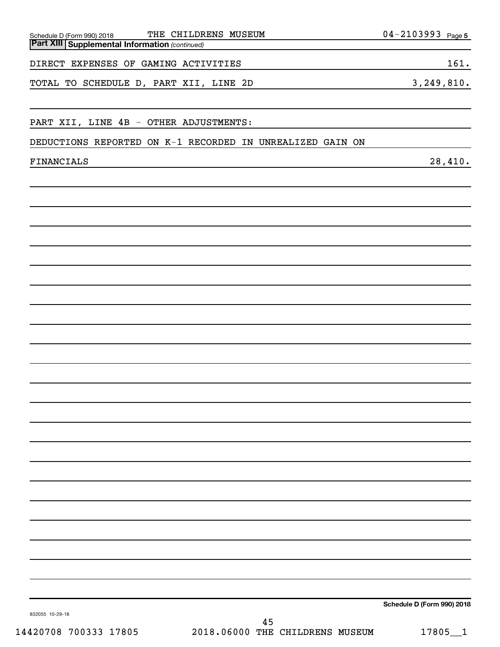| THE CHILDRENS MUSEUM<br>Schedule D (Form 990) 2018<br><b>Part XIII Supplemental Information (continued)</b> | 04-2103993 Page 5          |
|-------------------------------------------------------------------------------------------------------------|----------------------------|
| DIRECT EXPENSES OF GAMING ACTIVITIES                                                                        | 161.                       |
|                                                                                                             |                            |
| TOTAL TO SCHEDULE D, PART XII, LINE 2D<br>the control of the control of the control of                      | 3, 249, 810.               |
|                                                                                                             |                            |
| PART XII, LINE 4B - OTHER ADJUSTMENTS:                                                                      |                            |
| DEDUCTIONS REPORTED ON K-1 RECORDED IN UNREALIZED GAIN ON                                                   |                            |
| FINANCIALS<br><u> 1989 - Johann Barbara, martxa alemaniar arg</u>                                           | 28,410.                    |
|                                                                                                             |                            |
|                                                                                                             |                            |
|                                                                                                             |                            |
|                                                                                                             |                            |
|                                                                                                             |                            |
|                                                                                                             |                            |
|                                                                                                             |                            |
|                                                                                                             |                            |
|                                                                                                             |                            |
|                                                                                                             |                            |
|                                                                                                             |                            |
|                                                                                                             |                            |
|                                                                                                             |                            |
|                                                                                                             |                            |
|                                                                                                             |                            |
|                                                                                                             |                            |
|                                                                                                             |                            |
|                                                                                                             |                            |
|                                                                                                             |                            |
|                                                                                                             |                            |
|                                                                                                             |                            |
|                                                                                                             |                            |
|                                                                                                             |                            |
|                                                                                                             |                            |
|                                                                                                             |                            |
| 832055 10-29-18                                                                                             | Schedule D (Form 990) 2018 |
| 45                                                                                                          |                            |

14420708 700333 17805 2018.06000 THE CHILDRENS MUSEUM 17805\_\_1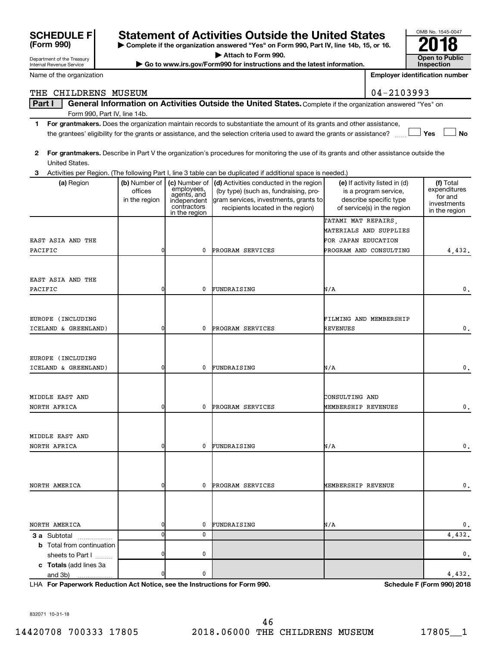| <b>SCHEDULE F</b> |  |
|-------------------|--|
| (Form 990)        |  |

Department of the Treasury

## **Statement of Activities Outside the United States**

**| Complete if the organization answered "Yes" on Form 990, Part IV, line 14b, 15, or 16. | Attach to Form 990.**

 $\triangleright$  Go to www.irs.gov/Form990 for instructions and the latest information.

| OMB No. 1545-0047     |
|-----------------------|
|                       |
|                       |
| <b>Open to Public</b> |
| <b>Inspection</b>     |

Internal Revenue Service Name of the organization

## THE CHILDRENS MUSEUM

**Employer identification number**

|  | $04 - 2103993$ |  |
|--|----------------|--|
|  |                |  |

#### Part I | General Information on Activities Outside the United States. Complete if the organization answered "Yes" on Form 990, Part IV, line 14b.

- **1 For grantmakers.**  Does the organization maintain records to substantiate the amount of its grants and other assistance,  $\Box$  Yes  $\Box$  No the grantees' eligibility for the grants or assistance, and the selection criteria used to award the grants or assistance? ......
- **2 For grantmakers.**  Describe in Part V the organization's procedures for monitoring the use of its grants and other assistance outside the United States.

| 3                                                                              |                                           |                                                                                           | Activities per Region. (The following Part I, line 3 table can be duplicated if additional space is needed.)                                                  |                                                                                                                 |                                                                      |
|--------------------------------------------------------------------------------|-------------------------------------------|-------------------------------------------------------------------------------------------|---------------------------------------------------------------------------------------------------------------------------------------------------------------|-----------------------------------------------------------------------------------------------------------------|----------------------------------------------------------------------|
| (a) Region                                                                     | (b) Number of<br>offices<br>in the region | (c) Number of<br>employees,<br>agents, and<br>independent<br>contractors<br>in the region | (d) Activities conducted in the region<br>(by type) (such as, fundraising, pro-<br>gram services, investments, grants to<br>recipients located in the region) | (e) If activity listed in (d)<br>is a program service,<br>describe specific type<br>of service(s) in the region | (f) Total<br>expenditures<br>for and<br>investments<br>in the region |
| EAST ASIA AND THE<br>PACIFIC                                                   | 0                                         | 0                                                                                         | PROGRAM SERVICES                                                                                                                                              | TATAMI MAT REPAIRS,<br>MATERIALS AND SUPPLIES<br>FOR JAPAN EDUCATION<br>PROGRAM AND CONSULTING                  | 4,432.                                                               |
| EAST ASIA AND THE<br>PACIFIC                                                   | 0                                         | 0                                                                                         | FUNDRAISING                                                                                                                                                   | N/A                                                                                                             | 0.                                                                   |
| EUROPE (INCLUDING<br>ICELAND & GREENLAND)                                      | $\Omega$                                  | 0                                                                                         | PROGRAM SERVICES                                                                                                                                              | FILMING AND MEMBERSHIP<br><b>REVENUES</b>                                                                       | 0.                                                                   |
| EUROPE (INCLUDING<br>ICELAND & GREENLAND)                                      | $\Omega$                                  | 0                                                                                         | FUNDRAISING                                                                                                                                                   | N/A                                                                                                             | 0.                                                                   |
| MIDDLE EAST AND<br>NORTH AFRICA                                                | $\overline{0}$                            | 0                                                                                         | PROGRAM SERVICES                                                                                                                                              | CONSULTING AND<br>MEMBERSHIP REVENUES                                                                           | 0.                                                                   |
| MIDDLE EAST AND<br>NORTH AFRICA                                                | $\overline{0}$                            | $\mathbf{0}$                                                                              | FUNDRAISING                                                                                                                                                   | N/A                                                                                                             | 0.                                                                   |
| NORTH AMERICA                                                                  | 0                                         | 0                                                                                         | PROGRAM SERVICES                                                                                                                                              | MEMBERSHIP REVENUE                                                                                              | 0.                                                                   |
| NORTH AMERICA<br><b>3 a</b> Subtotal<br>.                                      | 0<br>$\mathbf 0$                          | 0<br>$\mathbf{0}$                                                                         | FUNDRAISING                                                                                                                                                   | N/A                                                                                                             | 0.<br>4,432.                                                         |
| <b>b</b> Total from continuation<br>sheets to Part I<br>c Totals (add lines 3a | $\mathbf 0$                               | $\mathbf{0}$                                                                              |                                                                                                                                                               |                                                                                                                 | 0.                                                                   |
| and 3b)<br>.                                                                   | $\overline{0}$<br>.                       | $\mathbf{0}$                                                                              |                                                                                                                                                               |                                                                                                                 | 4,432.                                                               |

**For Paperwork Reduction Act Notice, see the Instructions for Form 990. Schedule F (Form 990) 2018** LHA

832071 10-31-18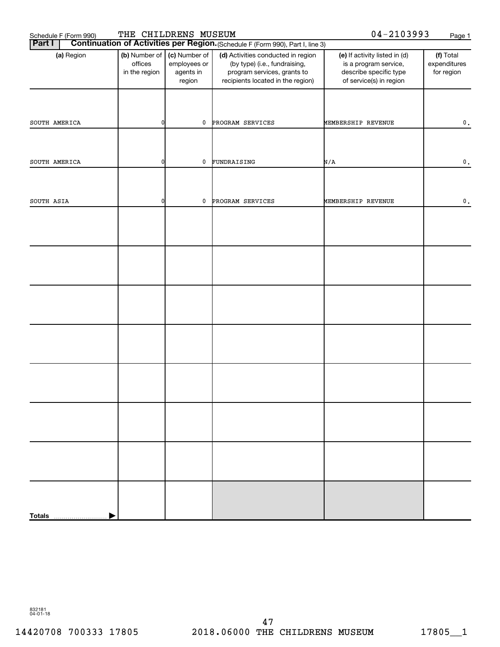| Schedule F (Form 990) | THE CHILDRENS MUSEUM                      | $04 - 2103993$<br>Page 1                             |                                                                                                                                         |                                                                                                             |                                         |
|-----------------------|-------------------------------------------|------------------------------------------------------|-----------------------------------------------------------------------------------------------------------------------------------------|-------------------------------------------------------------------------------------------------------------|-----------------------------------------|
| <b>Part I</b>         |                                           |                                                      | Continuation of Activities per Region. (Schedule F (Form 990), Part I, line 3)                                                          |                                                                                                             |                                         |
| (a) Region            | (b) Number of<br>offices<br>in the region | (c) Number of<br>employees or<br>agents in<br>region | (d) Activities conducted in region<br>(by type) (i.e., fundraising,<br>program services, grants to<br>recipients located in the region) | (e) If activity listed in (d)<br>is a program service,<br>describe specific type<br>of service(s) in region | (f) Total<br>expenditures<br>for region |
|                       |                                           |                                                      |                                                                                                                                         |                                                                                                             |                                         |
| SOUTH AMERICA         | $\Omega$                                  | 0                                                    | PROGRAM SERVICES                                                                                                                        | MEMBERSHIP REVENUE                                                                                          | $\mathbf 0$ .                           |
| SOUTH AMERICA         | 0                                         | 0                                                    | FUNDRAISING                                                                                                                             | N/A                                                                                                         | $\mathbf 0$ .                           |
| SOUTH ASIA            | $\Omega$                                  | 0                                                    | PROGRAM SERVICES                                                                                                                        | MEMBERSHIP REVENUE                                                                                          | $\mathbf 0$ .                           |
|                       |                                           |                                                      |                                                                                                                                         |                                                                                                             |                                         |
|                       |                                           |                                                      |                                                                                                                                         |                                                                                                             |                                         |
|                       |                                           |                                                      |                                                                                                                                         |                                                                                                             |                                         |
|                       |                                           |                                                      |                                                                                                                                         |                                                                                                             |                                         |
|                       |                                           |                                                      |                                                                                                                                         |                                                                                                             |                                         |
|                       |                                           |                                                      |                                                                                                                                         |                                                                                                             |                                         |
|                       |                                           |                                                      |                                                                                                                                         |                                                                                                             |                                         |
|                       |                                           |                                                      |                                                                                                                                         |                                                                                                             |                                         |
| <b>Totals</b>         |                                           |                                                      |                                                                                                                                         |                                                                                                             |                                         |

832181 04-01-18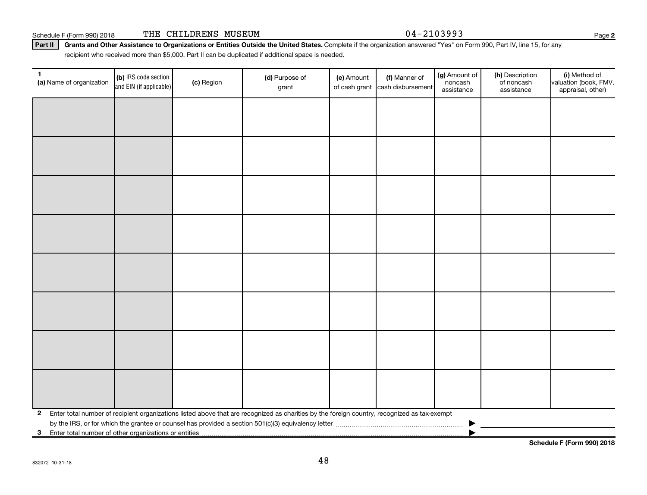#### Schedule F (Form 990) 2018 THE CHILDRENS MUSEUM  $04-2103993$

Part II | Grants and Other Assistance to Organizations or Entities Outside the United States. Complete if the organization answered "Yes" on Form 990, Part IV, line 15, for any recipient who received more than \$5,000. Part II can be duplicated if additional space is needed.

| $\mathbf{1}$<br>(a) Name of organization                              | (b) IRS code section<br>and EIN (if applicable) | (c) Region | (d) Purpose of<br>grant                                                                                                                      | (e) Amount<br>of cash grant | (f) Manner of<br>cash disbursement | (g) Amount of<br>noncash<br>assistance | (h) Description<br>of noncash<br>assistance | (i) Method of<br>valuation (book, FMV,<br>appraisal, other) |
|-----------------------------------------------------------------------|-------------------------------------------------|------------|----------------------------------------------------------------------------------------------------------------------------------------------|-----------------------------|------------------------------------|----------------------------------------|---------------------------------------------|-------------------------------------------------------------|
|                                                                       |                                                 |            |                                                                                                                                              |                             |                                    |                                        |                                             |                                                             |
|                                                                       |                                                 |            |                                                                                                                                              |                             |                                    |                                        |                                             |                                                             |
|                                                                       |                                                 |            |                                                                                                                                              |                             |                                    |                                        |                                             |                                                             |
|                                                                       |                                                 |            |                                                                                                                                              |                             |                                    |                                        |                                             |                                                             |
|                                                                       |                                                 |            |                                                                                                                                              |                             |                                    |                                        |                                             |                                                             |
|                                                                       |                                                 |            |                                                                                                                                              |                             |                                    |                                        |                                             |                                                             |
|                                                                       |                                                 |            |                                                                                                                                              |                             |                                    |                                        |                                             |                                                             |
|                                                                       |                                                 |            |                                                                                                                                              |                             |                                    |                                        |                                             |                                                             |
|                                                                       |                                                 |            |                                                                                                                                              |                             |                                    |                                        |                                             |                                                             |
|                                                                       |                                                 |            |                                                                                                                                              |                             |                                    |                                        |                                             |                                                             |
|                                                                       |                                                 |            |                                                                                                                                              |                             |                                    |                                        |                                             |                                                             |
|                                                                       |                                                 |            |                                                                                                                                              |                             |                                    |                                        |                                             |                                                             |
|                                                                       |                                                 |            |                                                                                                                                              |                             |                                    |                                        |                                             |                                                             |
|                                                                       |                                                 |            |                                                                                                                                              |                             |                                    |                                        |                                             |                                                             |
|                                                                       |                                                 |            |                                                                                                                                              |                             |                                    |                                        |                                             |                                                             |
|                                                                       |                                                 |            |                                                                                                                                              |                             |                                    |                                        |                                             |                                                             |
| $\mathbf{2}$                                                          |                                                 |            | Enter total number of recipient organizations listed above that are recognized as charities by the foreign country, recognized as tax-exempt |                             |                                    |                                        |                                             |                                                             |
|                                                                       |                                                 |            |                                                                                                                                              |                             |                                    |                                        |                                             |                                                             |
| Enter total number of other organizations or entities<br>$\mathbf{3}$ |                                                 |            |                                                                                                                                              |                             |                                    |                                        |                                             |                                                             |
|                                                                       |                                                 |            |                                                                                                                                              |                             |                                    |                                        |                                             |                                                             |

**Schedule F (Form 990) 2018**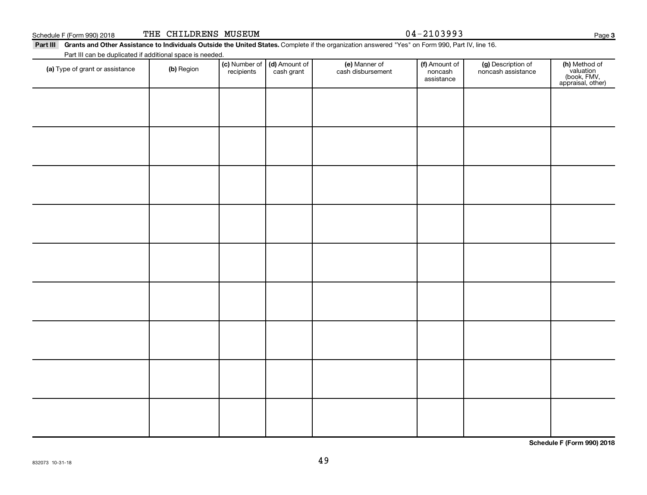#### Schedule F (Form 990) 2018 THE CHILDRENS MUSEUM  $04-2103993$

**3**

Part III Grants and Other Assistance to Individuals Outside the United States. Complete if the organization answered "Yes" on Form 990, Part IV, line 16. Part III can be duplicated if additional space is needed.

| and the bank web adopted to a conditional<br>(a) Type of grant or assistance | (b) Region | (c) Number of<br>recipients | (d) Amount of<br>cash grant | (e) Manner of<br>cash disbursement | (f) Amount of<br>noncash<br>assistance | (g) Description of<br>noncash assistance | (h) Method of<br>valuation<br>(book, FMV,<br>appraisal, other) |
|------------------------------------------------------------------------------|------------|-----------------------------|-----------------------------|------------------------------------|----------------------------------------|------------------------------------------|----------------------------------------------------------------|
|                                                                              |            |                             |                             |                                    |                                        |                                          |                                                                |
|                                                                              |            |                             |                             |                                    |                                        |                                          |                                                                |
|                                                                              |            |                             |                             |                                    |                                        |                                          |                                                                |
|                                                                              |            |                             |                             |                                    |                                        |                                          |                                                                |
|                                                                              |            |                             |                             |                                    |                                        |                                          |                                                                |
|                                                                              |            |                             |                             |                                    |                                        |                                          |                                                                |
|                                                                              |            |                             |                             |                                    |                                        |                                          |                                                                |
|                                                                              |            |                             |                             |                                    |                                        |                                          |                                                                |
|                                                                              |            |                             |                             |                                    |                                        |                                          |                                                                |
|                                                                              |            |                             |                             |                                    |                                        |                                          |                                                                |
|                                                                              |            |                             |                             |                                    |                                        |                                          |                                                                |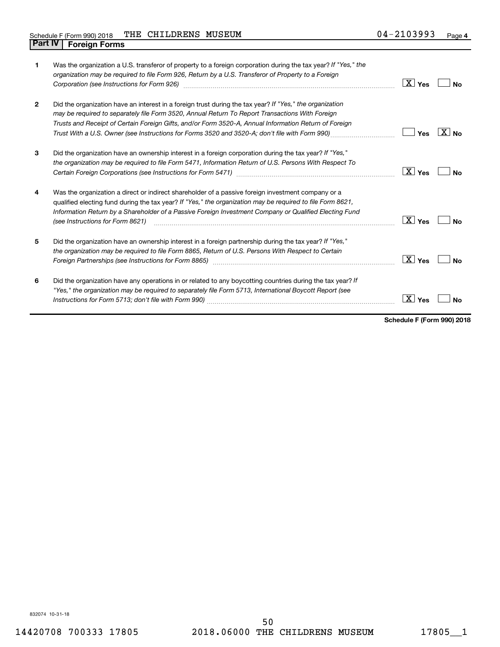| 1            | Was the organization a U.S. transferor of property to a foreign corporation during the tax year? If "Yes," the<br>organization may be required to file Form 926, Return by a U.S. Transferor of Property to a Foreign                                                                                                                                                                                                  |                                  |                   |
|--------------|------------------------------------------------------------------------------------------------------------------------------------------------------------------------------------------------------------------------------------------------------------------------------------------------------------------------------------------------------------------------------------------------------------------------|----------------------------------|-------------------|
|              |                                                                                                                                                                                                                                                                                                                                                                                                                        | $\lfloor \texttt{X} \rfloor$ Yes | Nο                |
| $\mathbf{2}$ | Did the organization have an interest in a foreign trust during the tax year? If "Yes," the organization<br>may be required to separately file Form 3520, Annual Return To Report Transactions With Foreign<br>Trusts and Receipt of Certain Foreign Gifts, and/or Form 3520-A, Annual Information Return of Foreign<br>Trust With a U.S. Owner (see Instructions for Forms 3520 and 3520-A; don't file with Form 990) | Yes                              | ∣X∣ <sub>No</sub> |
| 3            | Did the organization have an ownership interest in a foreign corporation during the tax year? If "Yes,"<br>the organization may be required to file Form 5471, Information Return of U.S. Persons With Respect To                                                                                                                                                                                                      | $\boxed{\text{X}}$ Yes           | Nο                |
| 4            | Was the organization a direct or indirect shareholder of a passive foreign investment company or a<br>qualified electing fund during the tax year? If "Yes," the organization may be required to file Form 8621,<br>Information Return by a Shareholder of a Passive Foreign Investment Company or Qualified Electing Fund<br>(see Instructions for Form 8621)                                                         | $X$ Yes                          | Nο                |
| 5            | Did the organization have an ownership interest in a foreign partnership during the tax year? If "Yes,"<br>the organization may be required to file Form 8865, Return of U.S. Persons With Respect to Certain<br>Foreign Partnerships (see Instructions for Form 8865) manufactured content content and the extension of the st                                                                                        | $\overline{X}$ Yes               | Nο                |
| 6            | Did the organization have any operations in or related to any boycotting countries during the tax year? If<br>"Yes," the organization may be required to separately file Form 5713, International Boycott Report (see                                                                                                                                                                                                  | $X \mid \gamma_{\mathsf{es}}$    | Nο                |

**Schedule F (Form 990) 2018**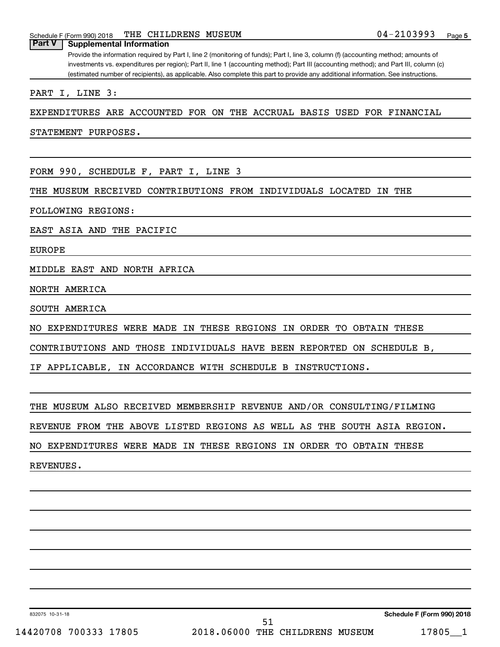#### **Part V Supplemental Information**

Provide the information required by Part I, line 2 (monitoring of funds); Part I, line 3, column (f) (accounting method; amounts of investments vs. expenditures per region); Part II, line 1 (accounting method); Part III (accounting method); and Part III, column (c) (estimated number of recipients), as applicable. Also complete this part to provide any additional information. See instructions.

PART I, LINE 3:

EXPENDITURES ARE ACCOUNTED FOR ON THE ACCRUAL BASIS USED FOR FINANCIAL

STATEMENT PURPOSES.

FORM 990, SCHEDULE F, PART I, LINE 3

THE MUSEUM RECEIVED CONTRIBUTIONS FROM INDIVIDUALS LOCATED IN THE

FOLLOWING REGIONS:

EAST ASIA AND THE PACIFIC

EUROPE

MIDDLE EAST AND NORTH AFRICA

NORTH AMERICA

SOUTH AMERICA

NO EXPENDITURES WERE MADE IN THESE REGIONS IN ORDER TO OBTAIN THESE

CONTRIBUTIONS AND THOSE INDIVIDUALS HAVE BEEN REPORTED ON SCHEDULE B,

IF APPLICABLE, IN ACCORDANCE WITH SCHEDULE B INSTRUCTIONS.

THE MUSEUM ALSO RECEIVED MEMBERSHIP REVENUE AND/OR CONSULTING/FILMING

REVENUE FROM THE ABOVE LISTED REGIONS AS WELL AS THE SOUTH ASIA REGION.

NO EXPENDITURES WERE MADE IN THESE REGIONS IN ORDER TO OBTAIN THESE

REVENUES.

832075 10-31-18

**Schedule F (Form 990) 2018**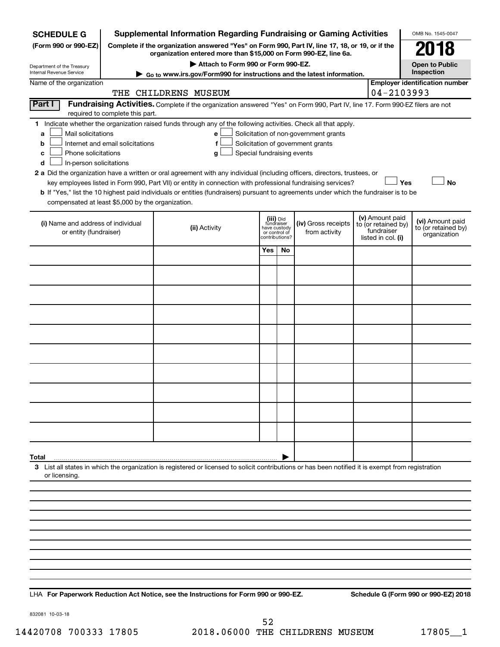| <b>SCHEDULE G</b>                                                                                                                                                                                                                                                                                                                                                                                                                                                                                                                                                                                                                                                                                                                                                                                                                         |                                 | <b>Supplemental Information Regarding Fundraising or Gaming Activities</b>                                                                                          |     |    |                                                                            |                                                         |            | OMB No. 1545-0047                                   |  |  |
|-------------------------------------------------------------------------------------------------------------------------------------------------------------------------------------------------------------------------------------------------------------------------------------------------------------------------------------------------------------------------------------------------------------------------------------------------------------------------------------------------------------------------------------------------------------------------------------------------------------------------------------------------------------------------------------------------------------------------------------------------------------------------------------------------------------------------------------------|---------------------------------|---------------------------------------------------------------------------------------------------------------------------------------------------------------------|-----|----|----------------------------------------------------------------------------|---------------------------------------------------------|------------|-----------------------------------------------------|--|--|
| (Form 990 or 990-EZ)                                                                                                                                                                                                                                                                                                                                                                                                                                                                                                                                                                                                                                                                                                                                                                                                                      |                                 | Complete if the organization answered "Yes" on Form 990, Part IV, line 17, 18, or 19, or if the<br>organization entered more than \$15,000 on Form 990-EZ, line 6a. |     |    |                                                                            |                                                         |            |                                                     |  |  |
| Department of the Treasury                                                                                                                                                                                                                                                                                                                                                                                                                                                                                                                                                                                                                                                                                                                                                                                                                |                                 | Attach to Form 990 or Form 990-EZ.                                                                                                                                  |     |    |                                                                            |                                                         |            | <b>Open to Public</b>                               |  |  |
| Internal Revenue Service                                                                                                                                                                                                                                                                                                                                                                                                                                                                                                                                                                                                                                                                                                                                                                                                                  |                                 | Go to www.irs.gov/Form990 for instructions and the latest information.                                                                                              |     |    |                                                                            |                                                         |            | Inspection<br><b>Employer identification number</b> |  |  |
| Name of the organization                                                                                                                                                                                                                                                                                                                                                                                                                                                                                                                                                                                                                                                                                                                                                                                                                  |                                 | THE CHILDRENS MUSEUM                                                                                                                                                |     |    |                                                                            |                                                         | 04-2103993 |                                                     |  |  |
| Part I                                                                                                                                                                                                                                                                                                                                                                                                                                                                                                                                                                                                                                                                                                                                                                                                                                    | required to complete this part. | Fundraising Activities. Complete if the organization answered "Yes" on Form 990, Part IV, line 17. Form 990-EZ filers are not                                       |     |    |                                                                            |                                                         |            |                                                     |  |  |
| 1 Indicate whether the organization raised funds through any of the following activities. Check all that apply.<br>Mail solicitations<br>Solicitation of non-government grants<br>e<br>a<br>Internet and email solicitations<br>Solicitation of government grants<br>b<br>f<br>Phone solicitations<br>Special fundraising events<br>с<br>g<br>In-person solicitations<br>d<br>2 a Did the organization have a written or oral agreement with any individual (including officers, directors, trustees, or<br><b>No</b><br>Yes<br>key employees listed in Form 990, Part VII) or entity in connection with professional fundraising services?<br>b If "Yes," list the 10 highest paid individuals or entities (fundraisers) pursuant to agreements under which the fundraiser is to be<br>compensated at least \$5,000 by the organization. |                                 |                                                                                                                                                                     |     |    |                                                                            |                                                         |            |                                                     |  |  |
| (iii) Did<br>fundraiser<br>(i) Name and address of individual<br>(iv) Gross receipts<br>(ii) Activity<br>have custody<br>or entity (fundraiser)<br>from activity<br>or control of<br>contributions?                                                                                                                                                                                                                                                                                                                                                                                                                                                                                                                                                                                                                                       |                                 |                                                                                                                                                                     |     |    | (v) Amount paid<br>to (or retained by)<br>fundraiser<br>listed in col. (i) | (vi) Amount paid<br>to (or retained by)<br>organization |            |                                                     |  |  |
|                                                                                                                                                                                                                                                                                                                                                                                                                                                                                                                                                                                                                                                                                                                                                                                                                                           |                                 |                                                                                                                                                                     | Yes | No |                                                                            |                                                         |            |                                                     |  |  |
|                                                                                                                                                                                                                                                                                                                                                                                                                                                                                                                                                                                                                                                                                                                                                                                                                                           |                                 |                                                                                                                                                                     |     |    |                                                                            |                                                         |            |                                                     |  |  |
|                                                                                                                                                                                                                                                                                                                                                                                                                                                                                                                                                                                                                                                                                                                                                                                                                                           |                                 |                                                                                                                                                                     |     |    |                                                                            |                                                         |            |                                                     |  |  |
|                                                                                                                                                                                                                                                                                                                                                                                                                                                                                                                                                                                                                                                                                                                                                                                                                                           |                                 |                                                                                                                                                                     |     |    |                                                                            |                                                         |            |                                                     |  |  |
|                                                                                                                                                                                                                                                                                                                                                                                                                                                                                                                                                                                                                                                                                                                                                                                                                                           |                                 |                                                                                                                                                                     |     |    |                                                                            |                                                         |            |                                                     |  |  |
|                                                                                                                                                                                                                                                                                                                                                                                                                                                                                                                                                                                                                                                                                                                                                                                                                                           |                                 |                                                                                                                                                                     |     |    |                                                                            |                                                         |            |                                                     |  |  |
|                                                                                                                                                                                                                                                                                                                                                                                                                                                                                                                                                                                                                                                                                                                                                                                                                                           |                                 |                                                                                                                                                                     |     |    |                                                                            |                                                         |            |                                                     |  |  |
|                                                                                                                                                                                                                                                                                                                                                                                                                                                                                                                                                                                                                                                                                                                                                                                                                                           |                                 |                                                                                                                                                                     |     |    |                                                                            |                                                         |            |                                                     |  |  |
|                                                                                                                                                                                                                                                                                                                                                                                                                                                                                                                                                                                                                                                                                                                                                                                                                                           |                                 |                                                                                                                                                                     |     |    |                                                                            |                                                         |            |                                                     |  |  |
|                                                                                                                                                                                                                                                                                                                                                                                                                                                                                                                                                                                                                                                                                                                                                                                                                                           |                                 |                                                                                                                                                                     |     |    |                                                                            |                                                         |            |                                                     |  |  |
|                                                                                                                                                                                                                                                                                                                                                                                                                                                                                                                                                                                                                                                                                                                                                                                                                                           |                                 |                                                                                                                                                                     |     |    |                                                                            |                                                         |            |                                                     |  |  |
|                                                                                                                                                                                                                                                                                                                                                                                                                                                                                                                                                                                                                                                                                                                                                                                                                                           |                                 |                                                                                                                                                                     |     |    |                                                                            |                                                         |            |                                                     |  |  |
| Total                                                                                                                                                                                                                                                                                                                                                                                                                                                                                                                                                                                                                                                                                                                                                                                                                                     |                                 |                                                                                                                                                                     |     |    |                                                                            |                                                         |            |                                                     |  |  |
|                                                                                                                                                                                                                                                                                                                                                                                                                                                                                                                                                                                                                                                                                                                                                                                                                                           |                                 | 3 List all states in which the organization is registered or licensed to solicit contributions or has been notified it is exempt from registration                  |     |    |                                                                            |                                                         |            |                                                     |  |  |
| or licensing.                                                                                                                                                                                                                                                                                                                                                                                                                                                                                                                                                                                                                                                                                                                                                                                                                             |                                 |                                                                                                                                                                     |     |    |                                                                            |                                                         |            |                                                     |  |  |
|                                                                                                                                                                                                                                                                                                                                                                                                                                                                                                                                                                                                                                                                                                                                                                                                                                           |                                 |                                                                                                                                                                     |     |    |                                                                            |                                                         |            |                                                     |  |  |
|                                                                                                                                                                                                                                                                                                                                                                                                                                                                                                                                                                                                                                                                                                                                                                                                                                           |                                 |                                                                                                                                                                     |     |    |                                                                            |                                                         |            |                                                     |  |  |
|                                                                                                                                                                                                                                                                                                                                                                                                                                                                                                                                                                                                                                                                                                                                                                                                                                           |                                 |                                                                                                                                                                     |     |    |                                                                            |                                                         |            |                                                     |  |  |
|                                                                                                                                                                                                                                                                                                                                                                                                                                                                                                                                                                                                                                                                                                                                                                                                                                           |                                 |                                                                                                                                                                     |     |    |                                                                            |                                                         |            |                                                     |  |  |
|                                                                                                                                                                                                                                                                                                                                                                                                                                                                                                                                                                                                                                                                                                                                                                                                                                           |                                 |                                                                                                                                                                     |     |    |                                                                            |                                                         |            |                                                     |  |  |
|                                                                                                                                                                                                                                                                                                                                                                                                                                                                                                                                                                                                                                                                                                                                                                                                                                           |                                 |                                                                                                                                                                     |     |    |                                                                            |                                                         |            |                                                     |  |  |
|                                                                                                                                                                                                                                                                                                                                                                                                                                                                                                                                                                                                                                                                                                                                                                                                                                           |                                 |                                                                                                                                                                     |     |    |                                                                            |                                                         |            |                                                     |  |  |
|                                                                                                                                                                                                                                                                                                                                                                                                                                                                                                                                                                                                                                                                                                                                                                                                                                           |                                 |                                                                                                                                                                     |     |    |                                                                            |                                                         |            |                                                     |  |  |

**For Paperwork Reduction Act Notice, see the Instructions for Form 990 or 990-EZ. Schedule G (Form 990 or 990-EZ) 2018** LHA

832081 10-03-18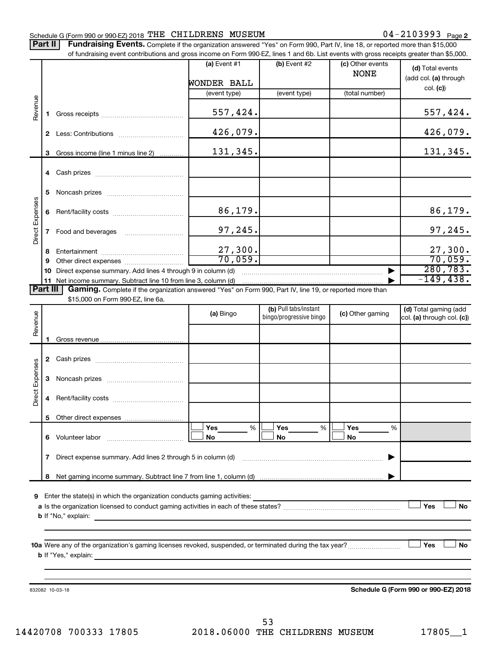|                 | Part II      | Schedule G (Form 990 or 990-EZ) 2018 THE CHILDRENS MUSEUM<br>Fundraising Events. Complete if the organization answered "Yes" on Form 990, Part IV, line 18, or reported more than \$15,000<br>of fundraising event contributions and gross income on Form 990-EZ, lines 1 and 6b. List events with gross receipts greater than \$5,000. |                                               |                         |                                 | $04 - 2103993$ Page 2                     |
|-----------------|--------------|-----------------------------------------------------------------------------------------------------------------------------------------------------------------------------------------------------------------------------------------------------------------------------------------------------------------------------------------|-----------------------------------------------|-------------------------|---------------------------------|-------------------------------------------|
|                 |              |                                                                                                                                                                                                                                                                                                                                         | (a) Event #1                                  | (b) Event #2            | (c) Other events<br><b>NONE</b> | (d) Total events<br>(add col. (a) through |
|                 |              |                                                                                                                                                                                                                                                                                                                                         | WONDER BALL<br>(event type)                   | (event type)            | (total number)                  | col. (c)                                  |
| Revenue         | 1.           |                                                                                                                                                                                                                                                                                                                                         | 557,424.                                      |                         |                                 | 557,424.                                  |
|                 |              |                                                                                                                                                                                                                                                                                                                                         |                                               |                         |                                 |                                           |
|                 |              |                                                                                                                                                                                                                                                                                                                                         | 426,079.                                      |                         |                                 | 426,079.                                  |
|                 | 3            | Gross income (line 1 minus line 2)                                                                                                                                                                                                                                                                                                      | 131,345.                                      |                         |                                 | 131,345.                                  |
|                 |              |                                                                                                                                                                                                                                                                                                                                         |                                               |                         |                                 |                                           |
|                 | 5            |                                                                                                                                                                                                                                                                                                                                         |                                               |                         |                                 |                                           |
| Direct Expenses | 6            |                                                                                                                                                                                                                                                                                                                                         | 86, 179.                                      |                         |                                 | 86,179.                                   |
|                 | $\mathbf{7}$ |                                                                                                                                                                                                                                                                                                                                         | 97, 245.                                      |                         |                                 | 97,245.                                   |
|                 | 8            |                                                                                                                                                                                                                                                                                                                                         |                                               |                         |                                 | 27,300.                                   |
|                 | 9            |                                                                                                                                                                                                                                                                                                                                         | $\frac{27}{70}$ , 300.<br>$\boxed{70}$ , 059. |                         |                                 | 70,059.                                   |
|                 |              | 10 Direct expense summary. Add lines 4 through 9 in column (d)                                                                                                                                                                                                                                                                          |                                               |                         |                                 | 280,783.                                  |
|                 |              | 11 Net income summary. Subtract line 10 from line 3, column (d)                                                                                                                                                                                                                                                                         |                                               |                         |                                 | $-149,438.$                               |
| <b>Part III</b> |              | Gaming. Complete if the organization answered "Yes" on Form 990, Part IV, line 19, or reported more than                                                                                                                                                                                                                                |                                               |                         |                                 |                                           |
|                 |              |                                                                                                                                                                                                                                                                                                                                         |                                               |                         |                                 |                                           |
|                 |              | \$15,000 on Form 990-EZ, line 6a.                                                                                                                                                                                                                                                                                                       |                                               | (b) Pull tabs/instant   |                                 | (d) Total gaming (add                     |
|                 |              |                                                                                                                                                                                                                                                                                                                                         | (a) Bingo                                     | bingo/progressive bingo | (c) Other gaming                | col. (a) through col. (c))                |
| Revenue         |              |                                                                                                                                                                                                                                                                                                                                         |                                               |                         |                                 |                                           |
|                 |              |                                                                                                                                                                                                                                                                                                                                         |                                               |                         |                                 |                                           |
|                 | 2            |                                                                                                                                                                                                                                                                                                                                         |                                               |                         |                                 |                                           |
|                 | 3            |                                                                                                                                                                                                                                                                                                                                         |                                               |                         |                                 |                                           |
| Direct Expenses | 4            |                                                                                                                                                                                                                                                                                                                                         |                                               |                         |                                 |                                           |
|                 | 5.           |                                                                                                                                                                                                                                                                                                                                         |                                               |                         |                                 |                                           |
|                 |              | 6 Volunteer labor                                                                                                                                                                                                                                                                                                                       | Yes<br>%<br>No                                | Yes<br>$\%$<br>No       | Yes<br>%<br>No                  |                                           |
|                 | 7            | Direct expense summary. Add lines 2 through 5 in column (d)                                                                                                                                                                                                                                                                             |                                               |                         | ▶                               |                                           |
|                 | 8            |                                                                                                                                                                                                                                                                                                                                         |                                               |                         |                                 |                                           |
|                 |              |                                                                                                                                                                                                                                                                                                                                         |                                               |                         |                                 |                                           |
|                 |              | <b>9</b> Enter the state(s) in which the organization conducts gaming activities:                                                                                                                                                                                                                                                       |                                               |                         |                                 | Yes<br><b>No</b>                          |

832082 10-03-18

**Schedule G (Form 990 or 990-EZ) 2018**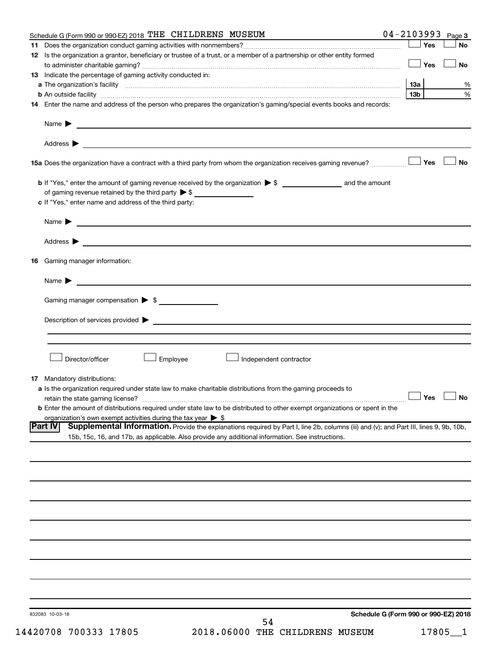| Schedule G (Form 990 or 990-EZ) 2018 THE CHILDRENS MUSEUM                                                                                                                                                                                                          |                 | $04 - 2103993$ Page 3 |
|--------------------------------------------------------------------------------------------------------------------------------------------------------------------------------------------------------------------------------------------------------------------|-----------------|-----------------------|
|                                                                                                                                                                                                                                                                    | 」Yes            | No                    |
| 12 Is the organization a grantor, beneficiary or trustee of a trust, or a member of a partnership or other entity formed                                                                                                                                           |                 |                       |
|                                                                                                                                                                                                                                                                    | <b>」Yes</b>     | No                    |
| 13 Indicate the percentage of gaming activity conducted in:                                                                                                                                                                                                        |                 |                       |
|                                                                                                                                                                                                                                                                    |                 |                       |
|                                                                                                                                                                                                                                                                    | 13a             | %                     |
|                                                                                                                                                                                                                                                                    | 13 <sub>b</sub> | $\%$                  |
| 14 Enter the name and address of the person who prepares the organization's gaming/special events books and records:                                                                                                                                               |                 |                       |
|                                                                                                                                                                                                                                                                    |                 |                       |
| Name $\blacktriangleright$<br><u>and the state of the state of the state of the state of the state of the state of the state of the state of the state of the state of the state of the state of the state of the state of the state of the state of the state</u> |                 |                       |
|                                                                                                                                                                                                                                                                    |                 |                       |
|                                                                                                                                                                                                                                                                    |                 |                       |
|                                                                                                                                                                                                                                                                    |                 |                       |
|                                                                                                                                                                                                                                                                    |                 | <b>No</b>             |
|                                                                                                                                                                                                                                                                    |                 |                       |
|                                                                                                                                                                                                                                                                    |                 |                       |
| of gaming revenue retained by the third party $\triangleright$ \$                                                                                                                                                                                                  |                 |                       |
| c If "Yes," enter name and address of the third party:                                                                                                                                                                                                             |                 |                       |
|                                                                                                                                                                                                                                                                    |                 |                       |
|                                                                                                                                                                                                                                                                    |                 |                       |
| <u> 1980 - Johann Barbara, martin amerikan basal dan berasal dan berasal dalam basal dan berasal dan berasal dan</u><br>Name $\blacktriangleright$                                                                                                                 |                 |                       |
|                                                                                                                                                                                                                                                                    |                 |                       |
|                                                                                                                                                                                                                                                                    |                 |                       |
|                                                                                                                                                                                                                                                                    |                 |                       |
| <b>16</b> Gaming manager information:                                                                                                                                                                                                                              |                 |                       |
|                                                                                                                                                                                                                                                                    |                 |                       |
| Name $\blacktriangleright$                                                                                                                                                                                                                                         |                 |                       |
|                                                                                                                                                                                                                                                                    |                 |                       |
| Gaming manager compensation > \$                                                                                                                                                                                                                                   |                 |                       |
|                                                                                                                                                                                                                                                                    |                 |                       |
| Description of services provided > example and the contract of the contract of the contract of the contract of                                                                                                                                                     |                 |                       |
|                                                                                                                                                                                                                                                                    |                 |                       |
|                                                                                                                                                                                                                                                                    |                 |                       |
|                                                                                                                                                                                                                                                                    |                 |                       |
|                                                                                                                                                                                                                                                                    |                 |                       |
| Director/officer<br>Employee<br>Independent contractor                                                                                                                                                                                                             |                 |                       |
|                                                                                                                                                                                                                                                                    |                 |                       |
| <b>17</b> Mandatory distributions:                                                                                                                                                                                                                                 |                 |                       |
| <b>a</b> Is the organization required under state law to make charitable distributions from the gaming proceeds to                                                                                                                                                 |                 |                       |
|                                                                                                                                                                                                                                                                    |                 | $\Box$ Yes $\Box$ No  |
| <b>b</b> Enter the amount of distributions required under state law to be distributed to other exempt organizations or spent in the                                                                                                                                |                 |                       |
| organization's own exempt activities during the tax year $\triangleright$ \$                                                                                                                                                                                       |                 |                       |
| <b>Part IV</b><br>Supplemental Information. Provide the explanations required by Part I, line 2b, columns (iii) and (v); and Part III, lines 9, 9b, 10b,                                                                                                           |                 |                       |
| 15b, 15c, 16, and 17b, as applicable. Also provide any additional information. See instructions.                                                                                                                                                                   |                 |                       |
|                                                                                                                                                                                                                                                                    |                 |                       |
|                                                                                                                                                                                                                                                                    |                 |                       |
|                                                                                                                                                                                                                                                                    |                 |                       |
|                                                                                                                                                                                                                                                                    |                 |                       |
|                                                                                                                                                                                                                                                                    |                 |                       |
|                                                                                                                                                                                                                                                                    |                 |                       |
|                                                                                                                                                                                                                                                                    |                 |                       |
|                                                                                                                                                                                                                                                                    |                 |                       |
|                                                                                                                                                                                                                                                                    |                 |                       |
|                                                                                                                                                                                                                                                                    |                 |                       |
|                                                                                                                                                                                                                                                                    |                 |                       |
|                                                                                                                                                                                                                                                                    |                 |                       |
|                                                                                                                                                                                                                                                                    |                 |                       |
|                                                                                                                                                                                                                                                                    |                 |                       |
|                                                                                                                                                                                                                                                                    |                 |                       |
|                                                                                                                                                                                                                                                                    |                 |                       |
|                                                                                                                                                                                                                                                                    |                 |                       |
|                                                                                                                                                                                                                                                                    |                 |                       |
| Schedule G (Form 990 or 990-EZ) 2018                                                                                                                                                                                                                               |                 |                       |
| 832083 10-03-18<br>54                                                                                                                                                                                                                                              |                 |                       |
|                                                                                                                                                                                                                                                                    |                 |                       |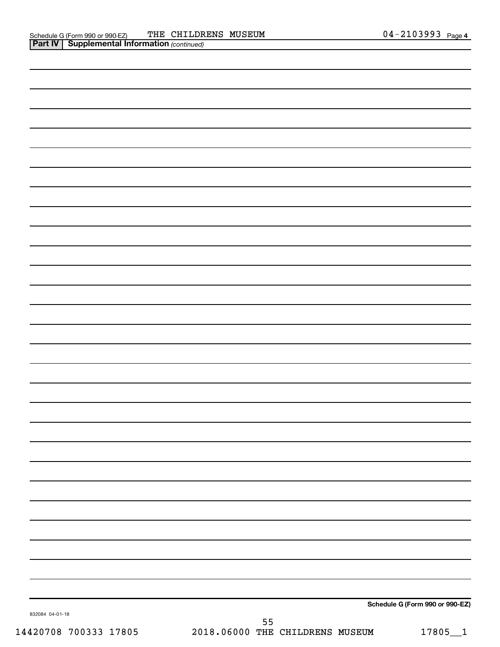|                 |      | Schedule G (Form 990 or 990-EZ) |
|-----------------|------|---------------------------------|
| 832084 04-01-18 | п п. |                                 |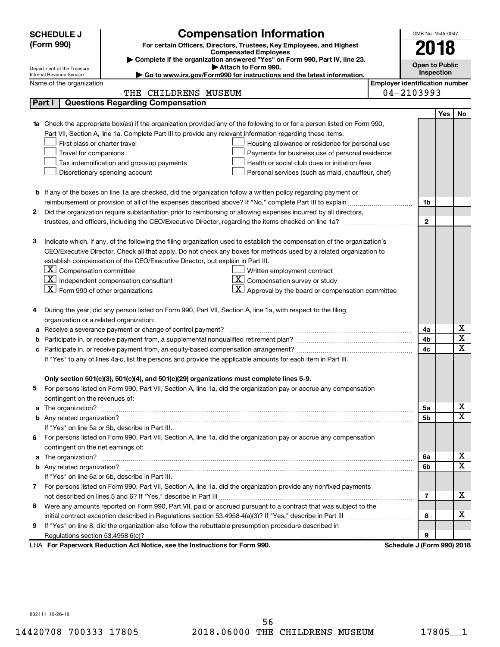|                                                                                                                      | <b>Compensation Information</b><br><b>SCHEDULE J</b>                                                                   |                                                                                                                                                                                                                           |                                       |                            |     |                         |  |  |
|----------------------------------------------------------------------------------------------------------------------|------------------------------------------------------------------------------------------------------------------------|---------------------------------------------------------------------------------------------------------------------------------------------------------------------------------------------------------------------------|---------------------------------------|----------------------------|-----|-------------------------|--|--|
|                                                                                                                      | (Form 990)                                                                                                             | For certain Officers, Directors, Trustees, Key Employees, and Highest                                                                                                                                                     |                                       | 2018                       |     |                         |  |  |
|                                                                                                                      |                                                                                                                        | <b>Compensated Employees</b><br>Complete if the organization answered "Yes" on Form 990, Part IV, line 23.                                                                                                                |                                       |                            |     |                         |  |  |
|                                                                                                                      | Department of the Treasury                                                                                             | Attach to Form 990.                                                                                                                                                                                                       |                                       | <b>Open to Public</b>      |     |                         |  |  |
|                                                                                                                      | Internal Revenue Service                                                                                               | ► Go to www.irs.gov/Form990 for instructions and the latest information.                                                                                                                                                  |                                       | Inspection                 |     |                         |  |  |
|                                                                                                                      | Name of the organization                                                                                               |                                                                                                                                                                                                                           | <b>Employer identification number</b> |                            |     |                         |  |  |
|                                                                                                                      |                                                                                                                        | THE CHILDRENS MUSEUM                                                                                                                                                                                                      |                                       | 04-2103993                 |     |                         |  |  |
|                                                                                                                      | Part I                                                                                                                 | <b>Questions Regarding Compensation</b>                                                                                                                                                                                   |                                       |                            |     |                         |  |  |
|                                                                                                                      |                                                                                                                        |                                                                                                                                                                                                                           |                                       |                            | Yes | No                      |  |  |
| 1a                                                                                                                   |                                                                                                                        | Check the appropriate box(es) if the organization provided any of the following to or for a person listed on Form 990,                                                                                                    |                                       |                            |     |                         |  |  |
|                                                                                                                      |                                                                                                                        | Part VII, Section A, line 1a. Complete Part III to provide any relevant information regarding these items.                                                                                                                |                                       |                            |     |                         |  |  |
|                                                                                                                      | First-class or charter travel                                                                                          | Housing allowance or residence for personal use                                                                                                                                                                           |                                       |                            |     |                         |  |  |
|                                                                                                                      | Travel for companions                                                                                                  | Payments for business use of personal residence                                                                                                                                                                           |                                       |                            |     |                         |  |  |
|                                                                                                                      |                                                                                                                        | Health or social club dues or initiation fees<br>Tax indemnification and gross-up payments                                                                                                                                |                                       |                            |     |                         |  |  |
| Discretionary spending account<br>Personal services (such as maid, chauffeur, chef)                                  |                                                                                                                        |                                                                                                                                                                                                                           |                                       |                            |     |                         |  |  |
|                                                                                                                      |                                                                                                                        |                                                                                                                                                                                                                           |                                       |                            |     |                         |  |  |
|                                                                                                                      | <b>b</b> If any of the boxes on line 1a are checked, did the organization follow a written policy regarding payment or |                                                                                                                                                                                                                           |                                       |                            |     |                         |  |  |
|                                                                                                                      | 1b                                                                                                                     |                                                                                                                                                                                                                           |                                       |                            |     |                         |  |  |
| 2                                                                                                                    |                                                                                                                        | Did the organization require substantiation prior to reimbursing or allowing expenses incurred by all directors,<br>trustees, and officers, including the CEO/Executive Director, regarding the items checked on line 1a? |                                       | $\mathbf{2}$               |     |                         |  |  |
|                                                                                                                      |                                                                                                                        |                                                                                                                                                                                                                           |                                       |                            |     |                         |  |  |
| з                                                                                                                    |                                                                                                                        | Indicate which, if any, of the following the filing organization used to establish the compensation of the organization's                                                                                                 |                                       |                            |     |                         |  |  |
|                                                                                                                      |                                                                                                                        | CEO/Executive Director. Check all that apply. Do not check any boxes for methods used by a related organization to                                                                                                        |                                       |                            |     |                         |  |  |
|                                                                                                                      |                                                                                                                        | establish compensation of the CEO/Executive Director, but explain in Part III.                                                                                                                                            |                                       |                            |     |                         |  |  |
|                                                                                                                      | $\lfloor x \rfloor$ Compensation committee                                                                             | Written employment contract                                                                                                                                                                                               |                                       |                            |     |                         |  |  |
|                                                                                                                      |                                                                                                                        | $\lfloor \underline{x} \rfloor$ Independent compensation consultant<br>$ \mathbf{X} $ Compensation survey or study                                                                                                        |                                       |                            |     |                         |  |  |
|                                                                                                                      | $\boxed{\textbf{X}}$ Form 990 of other organizations                                                                   | $\lfloor \underline{X} \rfloor$ Approval by the board or compensation committee                                                                                                                                           |                                       |                            |     |                         |  |  |
|                                                                                                                      |                                                                                                                        |                                                                                                                                                                                                                           |                                       |                            |     |                         |  |  |
| 4                                                                                                                    |                                                                                                                        | During the year, did any person listed on Form 990, Part VII, Section A, line 1a, with respect to the filing                                                                                                              |                                       |                            |     |                         |  |  |
|                                                                                                                      | organization or a related organization:                                                                                |                                                                                                                                                                                                                           |                                       |                            |     |                         |  |  |
| а                                                                                                                    |                                                                                                                        | Receive a severance payment or change-of-control payment?                                                                                                                                                                 |                                       | 4a                         |     | х                       |  |  |
| b                                                                                                                    |                                                                                                                        |                                                                                                                                                                                                                           |                                       | 4b                         |     | $\overline{\textbf{x}}$ |  |  |
| c                                                                                                                    |                                                                                                                        |                                                                                                                                                                                                                           |                                       | 4c                         |     | $\overline{\textbf{x}}$ |  |  |
|                                                                                                                      |                                                                                                                        | If "Yes" to any of lines 4a-c, list the persons and provide the applicable amounts for each item in Part III.                                                                                                             |                                       |                            |     |                         |  |  |
|                                                                                                                      |                                                                                                                        |                                                                                                                                                                                                                           |                                       |                            |     |                         |  |  |
|                                                                                                                      |                                                                                                                        | Only section 501(c)(3), 501(c)(4), and 501(c)(29) organizations must complete lines 5-9.                                                                                                                                  |                                       |                            |     |                         |  |  |
|                                                                                                                      |                                                                                                                        | For persons listed on Form 990, Part VII, Section A, line 1a, did the organization pay or accrue any compensation                                                                                                         |                                       |                            |     |                         |  |  |
|                                                                                                                      | contingent on the revenues of:                                                                                         |                                                                                                                                                                                                                           |                                       |                            |     |                         |  |  |
|                                                                                                                      |                                                                                                                        |                                                                                                                                                                                                                           |                                       | 5а                         |     | х                       |  |  |
|                                                                                                                      |                                                                                                                        |                                                                                                                                                                                                                           |                                       | 5b                         |     | х                       |  |  |
|                                                                                                                      |                                                                                                                        | If "Yes" on line 5a or 5b, describe in Part III.                                                                                                                                                                          |                                       |                            |     |                         |  |  |
|                                                                                                                      |                                                                                                                        | 6 For persons listed on Form 990, Part VII, Section A, line 1a, did the organization pay or accrue any compensation                                                                                                       |                                       |                            |     |                         |  |  |
|                                                                                                                      | contingent on the net earnings of:                                                                                     |                                                                                                                                                                                                                           |                                       |                            |     |                         |  |  |
|                                                                                                                      |                                                                                                                        |                                                                                                                                                                                                                           |                                       | 6a                         |     | х                       |  |  |
|                                                                                                                      |                                                                                                                        |                                                                                                                                                                                                                           |                                       | 6b                         |     | х                       |  |  |
|                                                                                                                      |                                                                                                                        | If "Yes" on line 6a or 6b, describe in Part III.                                                                                                                                                                          |                                       |                            |     |                         |  |  |
|                                                                                                                      |                                                                                                                        | 7 For persons listed on Form 990, Part VII, Section A, line 1a, did the organization provide any nonfixed payments                                                                                                        |                                       |                            |     |                         |  |  |
|                                                                                                                      |                                                                                                                        |                                                                                                                                                                                                                           |                                       | 7                          |     | х                       |  |  |
| Were any amounts reported on Form 990, Part VII, paid or accrued pursuant to a contract that was subject to the<br>8 |                                                                                                                        |                                                                                                                                                                                                                           |                                       |                            |     |                         |  |  |
|                                                                                                                      |                                                                                                                        |                                                                                                                                                                                                                           |                                       | 8                          |     | х                       |  |  |
| 9.                                                                                                                   |                                                                                                                        | If "Yes" on line 8, did the organization also follow the rebuttable presumption procedure described in                                                                                                                    |                                       |                            |     |                         |  |  |
|                                                                                                                      |                                                                                                                        |                                                                                                                                                                                                                           |                                       | 9                          |     |                         |  |  |
|                                                                                                                      |                                                                                                                        | LHA For Paperwork Reduction Act Notice, see the Instructions for Form 990.                                                                                                                                                |                                       | Schedule J (Form 990) 2018 |     |                         |  |  |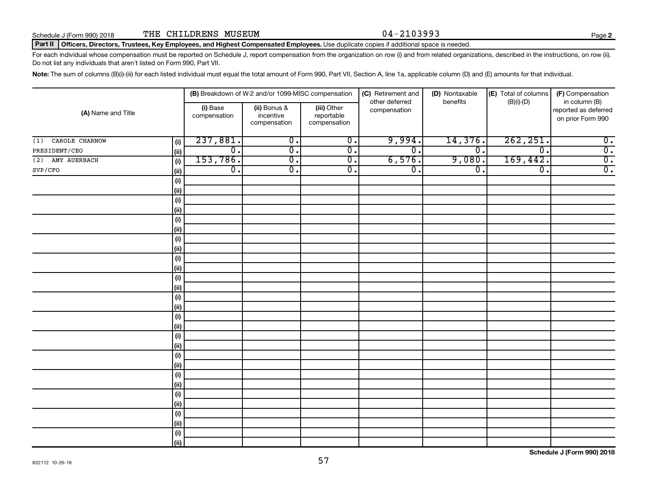#### Part II | Officers, Directors, Trustees, Key Employees, and Highest Compensated Employees. Use duplicate copies if additional space is needed.

For each individual whose compensation must be reported on Schedule J, report compensation from the organization on row (i) and from related organizations, described in the instructions, on row (ii). Do not list any individuals that aren't listed on Form 990, Part VII.

Note: The sum of columns (B)(i)-(iii) for each listed individual must equal the total amount of Form 990, Part VII, Section A, line 1a, applicable column (D) and (E) amounts for that individual.

| (A) Name and Title            |                    |                          | (B) Breakdown of W-2 and/or 1099-MISC compensation |                                           | (C) Retirement and             | (D) Nontaxable   | (E) Total of columns | (F) Compensation                                           |  |
|-------------------------------|--------------------|--------------------------|----------------------------------------------------|-------------------------------------------|--------------------------------|------------------|----------------------|------------------------------------------------------------|--|
|                               |                    | (i) Base<br>compensation | (ii) Bonus &<br>incentive<br>compensation          | (iii) Other<br>reportable<br>compensation | other deferred<br>compensation | benefits         | $(B)(i)$ - $(D)$     | in column (B)<br>reported as deferred<br>on prior Form 990 |  |
| CAROLE CHARNOW<br>(1)         | (i)                | 237,881.                 | $\overline{0}$ .                                   | $\overline{0}$ .                          | 9,994.                         | 14,376.          | 262, 251.            | $\overline{0}$ .                                           |  |
| PRESIDENT/CEO                 | (ii)               | $\overline{0}$ .         | $\overline{0}$ .                                   | $\overline{0}$ .                          | $\overline{0}$ .               | $\overline{0}$ . | $\overline{0}$ .     | $\overline{0}$ .                                           |  |
| AMY AUERBACH<br>(2)           | (i)                | 153,786.                 | $\overline{0}$ .                                   | $\overline{0}$ .                          | 6,576.                         | 9,080.           | 169,442.             | $\overline{0}$ .                                           |  |
| $\mathtt{SVP} / \mathtt{CFO}$ | (ii)               | $\overline{0}$ .         | $\overline{\mathfrak{o}}$ .                        | $\overline{0}$ .                          | $\overline{0}$ .               | $\overline{0}$ . | $\overline{0}$ .     | $\overline{0}$ .                                           |  |
|                               | (i)                |                          |                                                    |                                           |                                |                  |                      |                                                            |  |
|                               | (ii)               |                          |                                                    |                                           |                                |                  |                      |                                                            |  |
|                               | $(\sf{i})$         |                          |                                                    |                                           |                                |                  |                      |                                                            |  |
|                               | (ii)               |                          |                                                    |                                           |                                |                  |                      |                                                            |  |
|                               | (i)                |                          |                                                    |                                           |                                |                  |                      |                                                            |  |
|                               | (ii)               |                          |                                                    |                                           |                                |                  |                      |                                                            |  |
|                               | (i)                |                          |                                                    |                                           |                                |                  |                      |                                                            |  |
|                               | (ii)               |                          |                                                    |                                           |                                |                  |                      |                                                            |  |
|                               | (i)                |                          |                                                    |                                           |                                |                  |                      |                                                            |  |
|                               | (ii)               |                          |                                                    |                                           |                                |                  |                      |                                                            |  |
|                               | (i)                |                          |                                                    |                                           |                                |                  |                      |                                                            |  |
|                               | (ii)               |                          |                                                    |                                           |                                |                  |                      |                                                            |  |
|                               | (i)                |                          |                                                    |                                           |                                |                  |                      |                                                            |  |
|                               | (ii)               |                          |                                                    |                                           |                                |                  |                      |                                                            |  |
|                               | $(\sf{i})$<br>(ii) |                          |                                                    |                                           |                                |                  |                      |                                                            |  |
|                               | (i)                |                          |                                                    |                                           |                                |                  |                      |                                                            |  |
|                               | (ii)               |                          |                                                    |                                           |                                |                  |                      |                                                            |  |
|                               | (i)                |                          |                                                    |                                           |                                |                  |                      |                                                            |  |
|                               | (ii)               |                          |                                                    |                                           |                                |                  |                      |                                                            |  |
|                               | (i)                |                          |                                                    |                                           |                                |                  |                      |                                                            |  |
|                               | (ii)               |                          |                                                    |                                           |                                |                  |                      |                                                            |  |
|                               | (i)                |                          |                                                    |                                           |                                |                  |                      |                                                            |  |
|                               | (ii)               |                          |                                                    |                                           |                                |                  |                      |                                                            |  |
|                               | (i)                |                          |                                                    |                                           |                                |                  |                      |                                                            |  |
|                               | (ii)               |                          |                                                    |                                           |                                |                  |                      |                                                            |  |
|                               | (i)                |                          |                                                    |                                           |                                |                  |                      |                                                            |  |
|                               | (ii)               |                          |                                                    |                                           |                                |                  |                      |                                                            |  |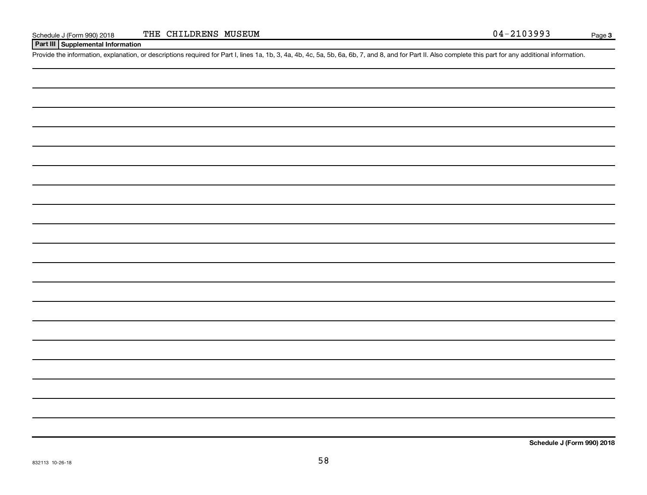**Part III Supplemental Information**

Provide the information, explanation, or descriptions required for Part I, lines 1a, 1b, 3, 4a, 4b, 4c, 5a, 5b, 6a, 6b, 7, and 8, and for Part II. Also complete this part for any additional information.

**Schedule J (Form 990) 2018**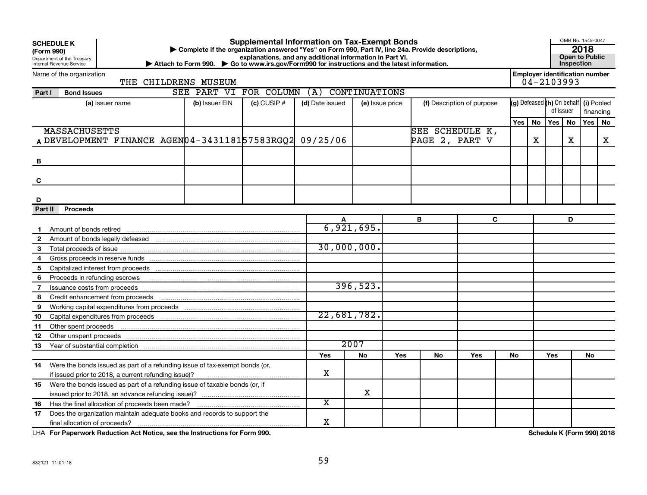|                      | <b>Supplemental Information on Tax-Exempt Bonds</b><br><b>SCHEDULE K</b><br>Complete if the organization answered "Yes" on Form 990, Part IV, line 24a. Provide descriptions,<br>(Form 990)<br>explanations, and any additional information in Part VI.<br>Department of the Treasury<br>▶ Attach to Form 990. ▶ Go to www.irs.gov/Form990 for instructions and the latest information.<br>Internal Revenue Service |                        |                 |                         |                      |     |                 |                            |                                       |          |                                                         |           | OMB No. 1545-0047<br>2018<br>Open to Public<br><b>Inspection</b> |   |
|----------------------|---------------------------------------------------------------------------------------------------------------------------------------------------------------------------------------------------------------------------------------------------------------------------------------------------------------------------------------------------------------------------------------------------------------------|------------------------|-----------------|-------------------------|----------------------|-----|-----------------|----------------------------|---------------------------------------|----------|---------------------------------------------------------|-----------|------------------------------------------------------------------|---|
|                      | Name of the organization<br>THE CHILDRENS MUSEUM                                                                                                                                                                                                                                                                                                                                                                    |                        |                 |                         |                      |     |                 |                            |                                       |          | <b>Employer identification number</b><br>$04 - 2103993$ |           |                                                                  |   |
| Part I               | <b>Bond Issues</b>                                                                                                                                                                                                                                                                                                                                                                                                  | SEE PART VI FOR COLUMN |                 | (A)                     | <b>CONTINUATIONS</b> |     |                 |                            |                                       |          |                                                         |           |                                                                  |   |
|                      | (a) Issuer name                                                                                                                                                                                                                                                                                                                                                                                                     | (b) Issuer EIN         | $(c)$ CUSIP $#$ | (d) Date issued         | (e) Issue price      |     |                 | (f) Description of purpose | (g) Defeased (h) On behalf (i) Pooled |          |                                                         |           |                                                                  |   |
|                      |                                                                                                                                                                                                                                                                                                                                                                                                                     |                        |                 |                         |                      |     |                 |                            |                                       |          | of issuer                                               |           | financing                                                        |   |
|                      |                                                                                                                                                                                                                                                                                                                                                                                                                     |                        |                 |                         |                      |     |                 |                            |                                       | Yes   No | Yes                                                     | <b>No</b> | Yes   No                                                         |   |
| <b>MASSACHUSETTS</b> |                                                                                                                                                                                                                                                                                                                                                                                                                     |                        |                 |                         |                      |     | SEE SCHEDULE K, |                            |                                       |          |                                                         |           |                                                                  |   |
|                      | A DEVELOPMENT FINANCE AGEN04-343118157583RGQ2 09/25/06                                                                                                                                                                                                                                                                                                                                                              |                        |                 |                         |                      |     | PAGE 2, PART V  |                            |                                       | X        |                                                         | X         |                                                                  | X |
|                      |                                                                                                                                                                                                                                                                                                                                                                                                                     |                        |                 |                         |                      |     |                 |                            |                                       |          |                                                         |           |                                                                  |   |
| В                    |                                                                                                                                                                                                                                                                                                                                                                                                                     |                        |                 |                         |                      |     |                 |                            |                                       |          |                                                         |           |                                                                  |   |
|                      |                                                                                                                                                                                                                                                                                                                                                                                                                     |                        |                 |                         |                      |     |                 |                            |                                       |          |                                                         |           |                                                                  |   |
| C                    |                                                                                                                                                                                                                                                                                                                                                                                                                     |                        |                 |                         |                      |     |                 |                            |                                       |          |                                                         |           |                                                                  |   |
|                      |                                                                                                                                                                                                                                                                                                                                                                                                                     |                        |                 |                         |                      |     |                 |                            |                                       |          |                                                         |           |                                                                  |   |
| D                    |                                                                                                                                                                                                                                                                                                                                                                                                                     |                        |                 |                         |                      |     |                 |                            |                                       |          |                                                         |           |                                                                  |   |
| Part II              | Proceeds                                                                                                                                                                                                                                                                                                                                                                                                            |                        |                 |                         |                      |     |                 |                            |                                       |          |                                                         |           |                                                                  |   |
|                      | B<br>C.                                                                                                                                                                                                                                                                                                                                                                                                             |                        |                 |                         |                      |     |                 |                            |                                       |          |                                                         | D         |                                                                  |   |
|                      |                                                                                                                                                                                                                                                                                                                                                                                                                     |                        |                 |                         | 6,921,695.           |     |                 |                            |                                       |          |                                                         |           |                                                                  |   |
| $\mathbf{2}$         |                                                                                                                                                                                                                                                                                                                                                                                                                     |                        |                 |                         |                      |     |                 |                            |                                       |          |                                                         |           |                                                                  |   |
| 3                    |                                                                                                                                                                                                                                                                                                                                                                                                                     |                        |                 | 30,000,000.             |                      |     |                 |                            |                                       |          |                                                         |           |                                                                  |   |
| 4                    |                                                                                                                                                                                                                                                                                                                                                                                                                     |                        |                 |                         |                      |     |                 |                            |                                       |          |                                                         |           |                                                                  |   |
| 5                    |                                                                                                                                                                                                                                                                                                                                                                                                                     |                        |                 |                         |                      |     |                 |                            |                                       |          |                                                         |           |                                                                  |   |
| 6                    | Proceeds in refunding escrows <b>contained and the container and all proceeds</b> in refunding escrows                                                                                                                                                                                                                                                                                                              |                        |                 |                         |                      |     |                 |                            |                                       |          |                                                         |           |                                                                  |   |
| 7                    | Issuance costs from proceeds                                                                                                                                                                                                                                                                                                                                                                                        |                        |                 |                         | 396, 523.            |     |                 |                            |                                       |          |                                                         |           |                                                                  |   |
| 8                    |                                                                                                                                                                                                                                                                                                                                                                                                                     |                        |                 |                         |                      |     |                 |                            |                                       |          |                                                         |           |                                                                  |   |
| 9                    |                                                                                                                                                                                                                                                                                                                                                                                                                     |                        |                 |                         |                      |     |                 |                            |                                       |          |                                                         |           |                                                                  |   |
| 10                   |                                                                                                                                                                                                                                                                                                                                                                                                                     |                        |                 | 22,681,782.             |                      |     |                 |                            |                                       |          |                                                         |           |                                                                  |   |
| 11                   |                                                                                                                                                                                                                                                                                                                                                                                                                     |                        |                 |                         |                      |     |                 |                            |                                       |          |                                                         |           |                                                                  |   |
| 12 <sup>2</sup>      |                                                                                                                                                                                                                                                                                                                                                                                                                     |                        |                 |                         |                      |     |                 |                            |                                       |          |                                                         |           |                                                                  |   |
| 13                   |                                                                                                                                                                                                                                                                                                                                                                                                                     |                        |                 |                         | 2007                 |     |                 |                            |                                       |          |                                                         |           |                                                                  |   |
|                      |                                                                                                                                                                                                                                                                                                                                                                                                                     |                        |                 | Yes                     | No                   | Yes | No              | <b>Yes</b>                 | No                                    |          | <b>Yes</b>                                              |           | No                                                               |   |
| 14                   | Were the bonds issued as part of a refunding issue of tax-exempt bonds (or,                                                                                                                                                                                                                                                                                                                                         |                        |                 |                         |                      |     |                 |                            |                                       |          |                                                         |           |                                                                  |   |
|                      |                                                                                                                                                                                                                                                                                                                                                                                                                     |                        |                 | X                       |                      |     |                 |                            |                                       |          |                                                         |           |                                                                  |   |
| 15                   | Were the bonds issued as part of a refunding issue of taxable bonds (or, if                                                                                                                                                                                                                                                                                                                                         |                        |                 |                         |                      |     |                 |                            |                                       |          |                                                         |           |                                                                  |   |
|                      |                                                                                                                                                                                                                                                                                                                                                                                                                     |                        |                 |                         | X                    |     |                 |                            |                                       |          |                                                         |           |                                                                  |   |
| 16                   |                                                                                                                                                                                                                                                                                                                                                                                                                     |                        |                 | $\overline{\texttt{x}}$ |                      |     |                 |                            |                                       |          |                                                         |           |                                                                  |   |
| 17                   | Does the organization maintain adequate books and records to support the                                                                                                                                                                                                                                                                                                                                            |                        |                 |                         |                      |     |                 |                            |                                       |          |                                                         |           |                                                                  |   |
|                      |                                                                                                                                                                                                                                                                                                                                                                                                                     |                        |                 | x                       |                      |     |                 |                            |                                       |          |                                                         |           |                                                                  |   |

**For Paperwork Reduction Act Notice, see the Instructions for Form 990. Schedule K (Form 990) 2018** LHA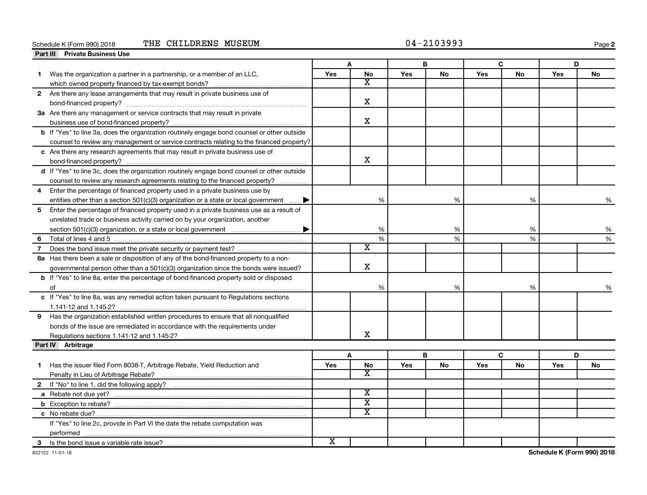#### **Part III Private Business Use** Schedule K (Form 990) 2018 Page THE CHILDRENS MUSEUM 04-2103993

**2**

|   |                                                                                                    |                         | A                       | B   |    |     | C             |            | D         |
|---|----------------------------------------------------------------------------------------------------|-------------------------|-------------------------|-----|----|-----|---------------|------------|-----------|
|   | 1 Was the organization a partner in a partnership, or a member of an LLC,                          | <b>Yes</b>              | No                      | Yes | No | Yes | No            | <b>Yes</b> | <b>No</b> |
|   |                                                                                                    |                         | X                       |     |    |     |               |            |           |
|   | 2 Are there any lease arrangements that may result in private business use of                      |                         |                         |     |    |     |               |            |           |
|   |                                                                                                    |                         | X                       |     |    |     |               |            |           |
|   | 3a Are there any management or service contracts that may result in private                        |                         |                         |     |    |     |               |            |           |
|   |                                                                                                    |                         | $\mathbf X$             |     |    |     |               |            |           |
|   | <b>b</b> If "Yes" to line 3a, does the organization routinely engage bond counsel or other outside |                         |                         |     |    |     |               |            |           |
|   | counsel to review any management or service contracts relating to the financed property?           |                         |                         |     |    |     |               |            |           |
|   | c Are there any research agreements that may result in private business use of                     |                         |                         |     |    |     |               |            |           |
|   |                                                                                                    |                         | $\mathbf X$             |     |    |     |               |            |           |
|   | d If "Yes" to line 3c, does the organization routinely engage bond counsel or other outside        |                         |                         |     |    |     |               |            |           |
|   | counsel to review any research agreements relating to the financed property?                       |                         |                         |     |    |     |               |            |           |
|   | Enter the percentage of financed property used in a private business use by                        |                         |                         |     |    |     |               |            |           |
|   | entities other than a section 501(c)(3) organization or a state or local government                |                         | %                       |     | %  |     | %             |            | %         |
| 5 | Enter the percentage of financed property used in a private business use as a result of            |                         |                         |     |    |     |               |            |           |
|   | unrelated trade or business activity carried on by your organization, another                      |                         |                         |     |    |     |               |            |           |
|   |                                                                                                    |                         | %                       |     | %  |     | %             |            | %         |
|   |                                                                                                    |                         | %                       |     | %  |     | $\frac{0}{6}$ |            | %         |
|   |                                                                                                    |                         | $\overline{\texttt{x}}$ |     |    |     |               |            |           |
|   | 8a Has there been a sale or disposition of any of the bond-financed property to a non-             |                         |                         |     |    |     |               |            |           |
|   | governmental person other than a 501(c)(3) organization since the bonds were issued?               |                         | X                       |     |    |     |               |            |           |
|   | <b>b</b> If "Yes" to line 8a, enter the percentage of bond-financed property sold or disposed      |                         |                         |     |    |     |               |            |           |
|   |                                                                                                    |                         | %                       |     | %  |     | %             |            | ℅         |
|   | c If "Yes" to line 8a, was any remedial action taken pursuant to Regulations sections              |                         |                         |     |    |     |               |            |           |
|   |                                                                                                    |                         |                         |     |    |     |               |            |           |
| 9 | Has the organization established written procedures to ensure that all nonqualified                |                         |                         |     |    |     |               |            |           |
|   | bonds of the issue are remediated in accordance with the requirements under                        |                         |                         |     |    |     |               |            |           |
|   |                                                                                                    |                         | x                       |     |    |     |               |            |           |
|   | Part IV Arbitrage                                                                                  |                         |                         |     |    |     |               |            |           |
|   |                                                                                                    |                         | A                       |     | B  |     | C             |            | D         |
| 1 | Has the issuer filed Form 8038-T, Arbitrage Rebate, Yield Reduction and                            | Yes                     | No                      | Yes | No | Yes | No            | Yes        | No        |
|   |                                                                                                    |                         | $\overline{\mathbf{X}}$ |     |    |     |               |            |           |
|   |                                                                                                    |                         |                         |     |    |     |               |            |           |
|   |                                                                                                    |                         | X                       |     |    |     |               |            |           |
|   |                                                                                                    |                         | $\overline{\textbf{x}}$ |     |    |     |               |            |           |
|   |                                                                                                    |                         | X                       |     |    |     |               |            |           |
|   | If "Yes" to line 2c, provide in Part VI the date the rebate computation was                        |                         |                         |     |    |     |               |            |           |
|   |                                                                                                    |                         |                         |     |    |     |               |            |           |
| 3 | Is the bond issue a variable rate issue?                                                           | $\overline{\textbf{x}}$ |                         |     |    |     |               |            |           |

**Schedule K (Form 990) 2018**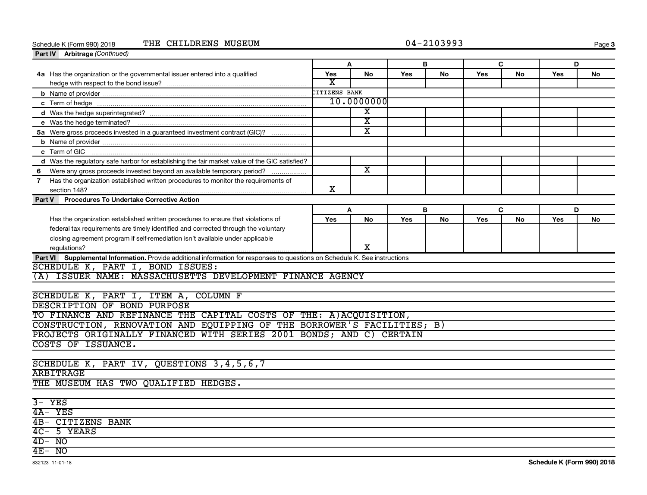#### Schedule K (Form 990) 2018 Page THE CHILDRENS MUSEUM 04-2103993

| <b>Part IV</b> Arbitrage (Continued)                                                                                        |                         |                             |            |    |            |    |                            |    |
|-----------------------------------------------------------------------------------------------------------------------------|-------------------------|-----------------------------|------------|----|------------|----|----------------------------|----|
|                                                                                                                             |                         | A                           |            | В  |            | C  | D                          |    |
| 4a Has the organization or the governmental issuer entered into a qualified                                                 | Yes                     | <b>No</b>                   | <b>Yes</b> | No | <b>Yes</b> | No | Yes                        | No |
|                                                                                                                             | $\overline{\mathbf{x}}$ |                             |            |    |            |    |                            |    |
|                                                                                                                             | CITIZENS BANK           |                             |            |    |            |    |                            |    |
|                                                                                                                             |                         | 10.0000000                  |            |    |            |    |                            |    |
|                                                                                                                             |                         | $\overline{\textbf{x}}$     |            |    |            |    |                            |    |
|                                                                                                                             |                         | $\overline{\text{x}}$       |            |    |            |    |                            |    |
| 5a Were gross proceeds invested in a guaranteed investment contract (GIC)?                                                  |                         | $\overline{\textnormal{x}}$ |            |    |            |    |                            |    |
|                                                                                                                             |                         |                             |            |    |            |    |                            |    |
| c Term of GIC                                                                                                               |                         |                             |            |    |            |    |                            |    |
| d Was the regulatory safe harbor for establishing the fair market value of the GIC satisfied?                               |                         |                             |            |    |            |    |                            |    |
| Were any gross proceeds invested beyond an available temporary period?                                                      |                         | $\overline{\mathbf{X}}$     |            |    |            |    |                            |    |
| Has the organization established written procedures to monitor the requirements of<br>$\overline{7}$                        |                         |                             |            |    |            |    |                            |    |
| section 148?                                                                                                                | X                       |                             |            |    |            |    |                            |    |
| <b>Procedures To Undertake Corrective Action</b><br>Part V                                                                  |                         |                             |            |    |            |    |                            |    |
|                                                                                                                             |                         | A                           |            | B  |            | C  | D                          |    |
| Has the organization established written procedures to ensure that violations of                                            | Yes                     | <b>No</b>                   | Yes        | No | Yes        | No | Yes                        | No |
| federal tax requirements are timely identified and corrected through the voluntary                                          |                         |                             |            |    |            |    |                            |    |
| closing agreement program if self-remediation isn't available under applicable                                              |                         |                             |            |    |            |    |                            |    |
| regulations?                                                                                                                |                         | X                           |            |    |            |    |                            |    |
| Part VI Supplemental Information. Provide additional information for responses to questions on Schedule K. See instructions |                         |                             |            |    |            |    |                            |    |
| SCHEDULE K, PART I, BOND ISSUES:                                                                                            |                         |                             |            |    |            |    |                            |    |
| (A) ISSUER NAME: MASSACHUSETTS DEVELOPMENT FINANCE AGENCY                                                                   |                         |                             |            |    |            |    |                            |    |
|                                                                                                                             |                         |                             |            |    |            |    |                            |    |
| SCHEDULE K, PART I, ITEM A, COLUMN F                                                                                        |                         |                             |            |    |            |    |                            |    |
| DESCRIPTION OF BOND PURPOSE                                                                                                 |                         |                             |            |    |            |    |                            |    |
| TO FINANCE AND REFINANCE THE CAPITAL COSTS OF THE: A)ACQUISITION,                                                           |                         |                             |            |    |            |    |                            |    |
| CONSTRUCTION, RENOVATION AND EQUIPPING OF THE BORROWER'S FACILITIES; B)                                                     |                         |                             |            |    |            |    |                            |    |
| PROJECTS ORIGINALLY FINANCED WITH SERIES 2001 BONDS; AND C) CERTAIN                                                         |                         |                             |            |    |            |    |                            |    |
| COSTS OF ISSUANCE.                                                                                                          |                         |                             |            |    |            |    |                            |    |
|                                                                                                                             |                         |                             |            |    |            |    |                            |    |
| SCHEDULE K, PART IV, QUESTIONS 3, 4, 5, 6, 7                                                                                |                         |                             |            |    |            |    |                            |    |
| <b>ARBITRAGE</b>                                                                                                            |                         |                             |            |    |            |    |                            |    |
| THE MUSEUM HAS TWO QUALIFIED HEDGES.                                                                                        |                         |                             |            |    |            |    |                            |    |
|                                                                                                                             |                         |                             |            |    |            |    |                            |    |
| $3 - YES$                                                                                                                   |                         |                             |            |    |            |    |                            |    |
| $4A - YES$                                                                                                                  |                         |                             |            |    |            |    |                            |    |
| 4B- CITIZENS BANK                                                                                                           |                         |                             |            |    |            |    |                            |    |
| $4C - 5$ YEARS                                                                                                              |                         |                             |            |    |            |    |                            |    |
| $4D - NO$                                                                                                                   |                         |                             |            |    |            |    |                            |    |
| $4E-NO$                                                                                                                     |                         |                             |            |    |            |    |                            |    |
|                                                                                                                             |                         |                             |            |    |            |    | Cabadule V (Faum 000) 0040 |    |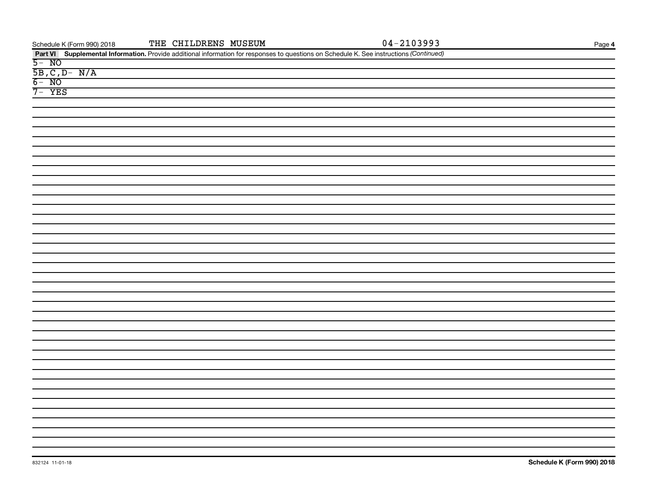| Schedule K (Form 990) 2018 | THE CHILDRENS MUSEUM                                                                                                                              | $04 - 2103993$ | Page 4 |
|----------------------------|---------------------------------------------------------------------------------------------------------------------------------------------------|----------------|--------|
|                            | Part VI Supplemental Information. Provide additional information for responses to questions on Schedule K. See instructions (Continued)<br>5 - NO |                |        |
|                            |                                                                                                                                                   |                |        |
| $\frac{5B,C,D-N/A}{6-NO}$  |                                                                                                                                                   |                |        |
|                            |                                                                                                                                                   |                |        |
| $7 - YES$                  |                                                                                                                                                   |                |        |
|                            |                                                                                                                                                   |                |        |
|                            |                                                                                                                                                   |                |        |
|                            |                                                                                                                                                   |                |        |
|                            |                                                                                                                                                   |                |        |
|                            |                                                                                                                                                   |                |        |
|                            |                                                                                                                                                   |                |        |
|                            |                                                                                                                                                   |                |        |
|                            |                                                                                                                                                   |                |        |
|                            |                                                                                                                                                   |                |        |
|                            |                                                                                                                                                   |                |        |
|                            |                                                                                                                                                   |                |        |
|                            |                                                                                                                                                   |                |        |
|                            |                                                                                                                                                   |                |        |
|                            |                                                                                                                                                   |                |        |
|                            |                                                                                                                                                   |                |        |
|                            |                                                                                                                                                   |                |        |
|                            |                                                                                                                                                   |                |        |
|                            |                                                                                                                                                   |                |        |
|                            |                                                                                                                                                   |                |        |
|                            |                                                                                                                                                   |                |        |
|                            |                                                                                                                                                   |                |        |
|                            |                                                                                                                                                   |                |        |
|                            |                                                                                                                                                   |                |        |
|                            |                                                                                                                                                   |                |        |
|                            |                                                                                                                                                   |                |        |
|                            |                                                                                                                                                   |                |        |
|                            |                                                                                                                                                   |                |        |
|                            |                                                                                                                                                   |                |        |
|                            |                                                                                                                                                   |                |        |
|                            |                                                                                                                                                   |                |        |
|                            |                                                                                                                                                   |                |        |
|                            |                                                                                                                                                   |                |        |
|                            |                                                                                                                                                   |                |        |
|                            |                                                                                                                                                   |                |        |
|                            |                                                                                                                                                   |                |        |
|                            |                                                                                                                                                   |                |        |
|                            |                                                                                                                                                   |                |        |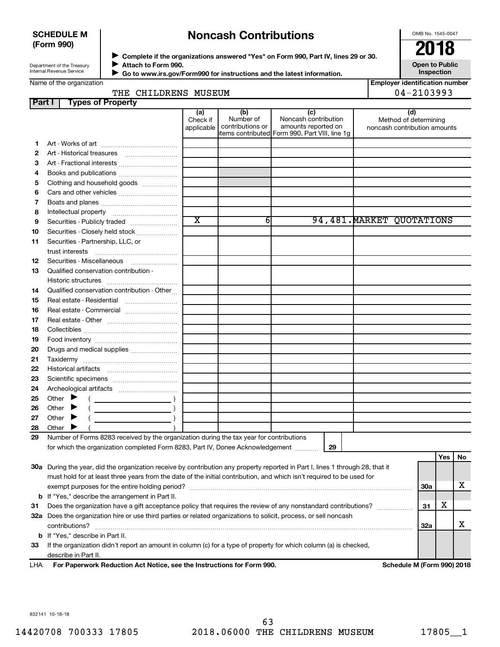## **SCHEDULE M (Form 990)**

## **Noncash Contributions**

OMB No. 1545-0047

**Open to Public**

| Department of the Treasury |  |
|----------------------------|--|
| Internal Revenue Service   |  |

◆ Complete if the organizations answered "Yes" on Form 990, Part IV, lines 29 or 30.<br>▶ Complete if the organizations answered "Yes" on Form 990, Part IV, lines 29 or 30. **Attach to Form 990.**  $\blacktriangleright$ 

 **Go to www.irs.gov/Form990 for instructions and the latest information.** J

**Inspection Employer identification number**

| THE CHILDRENS MUSEUM | 04-2103993 |
|----------------------|------------|
|----------------------|------------|

| <b>Part I</b> | <b>Types of Property</b>                                                                                                       |                               |                                      |                                                                                                      |                                                              |     |     |    |
|---------------|--------------------------------------------------------------------------------------------------------------------------------|-------------------------------|--------------------------------------|------------------------------------------------------------------------------------------------------|--------------------------------------------------------------|-----|-----|----|
|               |                                                                                                                                | (a)<br>Check if<br>applicable | (b)<br>Number of<br>contributions or | (c)<br>Noncash contribution<br>amounts reported on<br>items contributed Form 990, Part VIII, line 1g | (d)<br>Method of determining<br>noncash contribution amounts |     |     |    |
| 1             |                                                                                                                                |                               |                                      |                                                                                                      |                                                              |     |     |    |
| 2             |                                                                                                                                |                               |                                      |                                                                                                      |                                                              |     |     |    |
| з             | Art - Fractional interests                                                                                                     |                               |                                      |                                                                                                      |                                                              |     |     |    |
| 4             |                                                                                                                                |                               |                                      |                                                                                                      |                                                              |     |     |    |
| 5             | Clothing and household goods                                                                                                   |                               |                                      |                                                                                                      |                                                              |     |     |    |
| 6             | Cars and other vehicles                                                                                                        |                               |                                      |                                                                                                      |                                                              |     |     |    |
| 7             |                                                                                                                                |                               |                                      |                                                                                                      |                                                              |     |     |    |
| 8             |                                                                                                                                |                               |                                      |                                                                                                      |                                                              |     |     |    |
| 9             | Securities - Publicly traded                                                                                                   | $\overline{\text{x}}$         | 61                                   |                                                                                                      | 94,481. MARKET QUOTATIONS                                    |     |     |    |
| 10            | Securities - Closely held stock                                                                                                |                               |                                      |                                                                                                      |                                                              |     |     |    |
| 11            | Securities - Partnership, LLC, or                                                                                              |                               |                                      |                                                                                                      |                                                              |     |     |    |
|               | trust interests                                                                                                                |                               |                                      |                                                                                                      |                                                              |     |     |    |
| 12            | Securities - Miscellaneous                                                                                                     |                               |                                      |                                                                                                      |                                                              |     |     |    |
| 13            | Qualified conservation contribution -                                                                                          |                               |                                      |                                                                                                      |                                                              |     |     |    |
|               |                                                                                                                                |                               |                                      |                                                                                                      |                                                              |     |     |    |
| 14            | Qualified conservation contribution - Other                                                                                    |                               |                                      |                                                                                                      |                                                              |     |     |    |
| 15            | Real estate - Residential                                                                                                      |                               |                                      |                                                                                                      |                                                              |     |     |    |
| 16            | Real estate - Commercial                                                                                                       |                               |                                      |                                                                                                      |                                                              |     |     |    |
| 17            |                                                                                                                                |                               |                                      |                                                                                                      |                                                              |     |     |    |
| 18            |                                                                                                                                |                               |                                      |                                                                                                      |                                                              |     |     |    |
| 19            |                                                                                                                                |                               |                                      |                                                                                                      |                                                              |     |     |    |
| 20            | Drugs and medical supplies                                                                                                     |                               |                                      |                                                                                                      |                                                              |     |     |    |
| 21            |                                                                                                                                |                               |                                      |                                                                                                      |                                                              |     |     |    |
| 22<br>23      |                                                                                                                                |                               |                                      |                                                                                                      |                                                              |     |     |    |
| 24            |                                                                                                                                |                               |                                      |                                                                                                      |                                                              |     |     |    |
| 25            | Other $\blacktriangleright$                                                                                                    |                               |                                      |                                                                                                      |                                                              |     |     |    |
| 26            | Other                                                                                                                          |                               |                                      |                                                                                                      |                                                              |     |     |    |
| 27            | Other                                                                                                                          |                               |                                      |                                                                                                      |                                                              |     |     |    |
| 28            | Other $\blacktriangleright$                                                                                                    |                               |                                      |                                                                                                      |                                                              |     |     |    |
| 29            | Number of Forms 8283 received by the organization during the tax year for contributions                                        |                               |                                      |                                                                                                      |                                                              |     |     |    |
|               | for which the organization completed Form 8283, Part IV, Donee Acknowledgement                                                 |                               |                                      | 29                                                                                                   |                                                              |     |     |    |
|               |                                                                                                                                |                               |                                      |                                                                                                      |                                                              |     | Yes | No |
|               | 30a During the year, did the organization receive by contribution any property reported in Part I, lines 1 through 28, that it |                               |                                      |                                                                                                      |                                                              |     |     |    |
|               | must hold for at least three years from the date of the initial contribution, and which isn't required to be used for          |                               |                                      |                                                                                                      |                                                              |     |     |    |
|               |                                                                                                                                |                               |                                      |                                                                                                      |                                                              | 30a |     | х  |
|               | <b>b</b> If "Yes," describe the arrangement in Part II.                                                                        |                               |                                      |                                                                                                      |                                                              |     |     |    |
| 31            | Does the organization have a gift acceptance policy that requires the review of any nonstandard contributions?                 |                               |                                      |                                                                                                      |                                                              | 31  | х   |    |
|               | 32a Does the organization hire or use third parties or related organizations to solicit, process, or sell noncash              |                               |                                      |                                                                                                      |                                                              |     |     |    |
|               | contributions?                                                                                                                 |                               |                                      |                                                                                                      |                                                              | 32a |     | х  |
|               | <b>b</b> If "Yes," describe in Part II.                                                                                        |                               |                                      |                                                                                                      |                                                              |     |     |    |
| 33            | If the organization didn't report an amount in column (c) for a type of property for which column (a) is checked,              |                               |                                      |                                                                                                      |                                                              |     |     |    |
|               | describe in Part II.                                                                                                           |                               |                                      |                                                                                                      |                                                              |     |     |    |

**For Paperwork Reduction Act Notice, see the Instructions for Form 990. Schedule M (Form 990) 2018** LHA

832141 10-18-18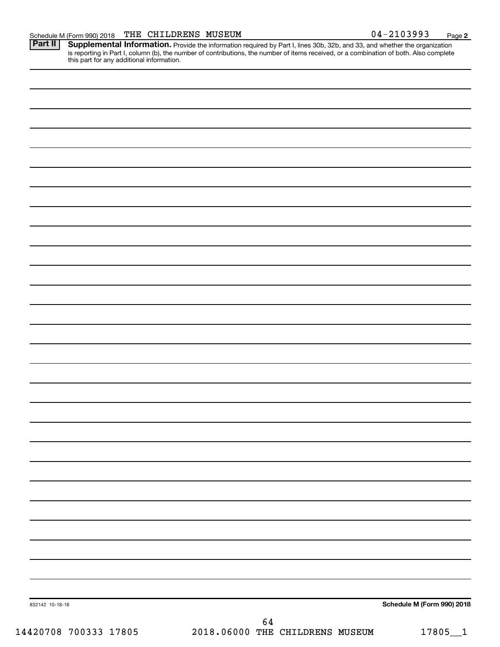Provide the information required by Part I, lines 30b, 32b, and 33, and whether the organization is reporting in Part I, column (b), the number of contributions, the number of items received, or a combination of both. Also complete this part for any additional information. **Part II Supplemental Information.** 

| 832142 10-18-18 | Schedule M (Form 990) 2018 |
|-----------------|----------------------------|
| 64              |                            |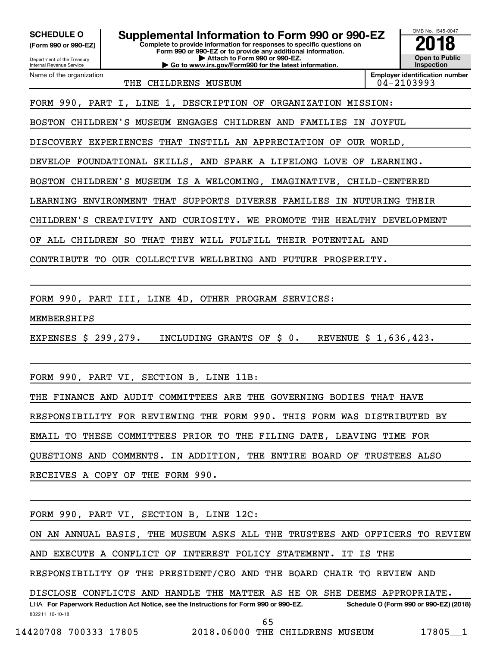**(Form 990 or 990-EZ)**

**Complete to provide information for responses to specific questions on Form 990 or 990-EZ or to provide any additional information. | Attach to Form 990 or 990-EZ.** SCHEDULE O **Supplemental Information to Form 990 or 990-EZ 2018**<br>(Form 990 or 990-EZ) Complete to provide information for responses to specific questions on

**| Go to www.irs.gov/Form990 for the latest information.**

Department of the Treasury Internal Revenue Service Name of the organization

THE CHILDRENS MUSEUM **1998 1998** 

**Employer identification number**

OMB No. 1545-0047

**Open to Public Inspection**

FORM 990, PART I, LINE 1, DESCRIPTION OF ORGANIZATION MISSION:

BOSTON CHILDREN'S MUSEUM ENGAGES CHILDREN AND FAMILIES IN JOYFUL

DISCOVERY EXPERIENCES THAT INSTILL AN APPRECIATION OF OUR WORLD,

DEVELOP FOUNDATIONAL SKILLS, AND SPARK A LIFELONG LOVE OF LEARNING.

BOSTON CHILDREN'S MUSEUM IS A WELCOMING, IMAGINATIVE, CHILD-CENTERED

LEARNING ENVIRONMENT THAT SUPPORTS DIVERSE FAMILIES IN NUTURING THEIR

CHILDREN'S CREATIVITY AND CURIOSITY. WE PROMOTE THE HEALTHY DEVELOPMENT

OF ALL CHILDREN SO THAT THEY WILL FULFILL THEIR POTENTIAL AND

CONTRIBUTE TO OUR COLLECTIVE WELLBEING AND FUTURE PROSPERITY.

FORM 990, PART III, LINE 4D, OTHER PROGRAM SERVICES:

MEMBERSHIPS

EXPENSES \$ 299,279. INCLUDING GRANTS OF \$ 0. REVENUE \$ 1,636,423.

FORM 990, PART VI, SECTION B, LINE 11B:

THE FINANCE AND AUDIT COMMITTEES ARE THE GOVERNING BODIES THAT HAVE

RESPONSIBILITY FOR REVIEWING THE FORM 990. THIS FORM WAS DISTRIBUTED BY

EMAIL TO THESE COMMITTEES PRIOR TO THE FILING DATE, LEAVING TIME FOR

QUESTIONS AND COMMENTS. IN ADDITION, THE ENTIRE BOARD OF TRUSTEES ALSO

RECEIVES A COPY OF THE FORM 990.

FORM 990, PART VI, SECTION B, LINE 12C:

ON AN ANNUAL BASIS, THE MUSEUM ASKS ALL THE TRUSTEES AND OFFICERS TO REVIEW

AND EXECUTE A CONFLICT OF INTEREST POLICY STATEMENT. IT IS THE

RESPONSIBILITY OF THE PRESIDENT/CEO AND THE BOARD CHAIR TO REVIEW AND

832211 10-10-18 LHA For Paperwork Reduction Act Notice, see the Instructions for Form 990 or 990-EZ. Schedule O (Form 990 or 990-EZ) (2018) DISCLOSE CONFLICTS AND HANDLE THE MATTER AS HE OR SHE DEEMS APPROPRIATE.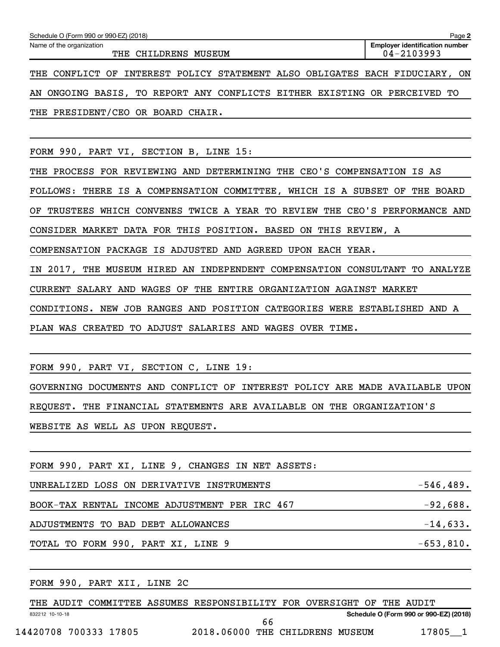| Schedule O (Form 990 or 990-EZ) (2018)                                             | Page 2                                                  |
|------------------------------------------------------------------------------------|---------------------------------------------------------|
| Name of the organization<br>THE CHILDRENS MUSEUM                                   | <b>Employer identification number</b><br>$04 - 2103993$ |
| INTEREST POLICY STATEMENT ALSO OBLIGATES EACH FIDUCIARY, ON<br>CONFLICT OF<br>THE  |                                                         |
| ONGOING BASIS, TO REPORT ANY CONFLICTS EITHER EXISTING OR PERCEIVED<br>AN          | TО                                                      |
| PRESIDENT/CEO OR BOARD CHAIR.<br>THE                                               |                                                         |
|                                                                                    |                                                         |
| FORM 990, PART VI, SECTION B, LINE 15:                                             |                                                         |
| THE PROCESS FOR REVIEWING AND DETERMINING THE CEO'S COMPENSATION IS AS             |                                                         |
| THERE IS A COMPENSATION COMMITTEE.<br>WHICH IS A SUBSET<br><b>FOLLOWS:</b>         | OF<br>THE<br>BOARD                                      |
| CONVENES TWICE A YEAR TO REVIEW THE CEO'S PERFORMANCE AND<br>TRUSTEES WHICH<br>OF. |                                                         |

CONSIDER MARKET DATA FOR THIS POSITION. BASED ON THIS REVIEW, A

COMPENSATION PACKAGE IS ADJUSTED AND AGREED UPON EACH YEAR.

IN 2017, THE MUSEUM HIRED AN INDEPENDENT COMPENSATION CONSULTANT TO ANALYZE CURRENT SALARY AND WAGES OF THE ENTIRE ORGANIZATION AGAINST MARKET

CONDITIONS. NEW JOB RANGES AND POSITION CATEGORIES WERE ESTABLISHED AND A

PLAN WAS CREATED TO ADJUST SALARIES AND WAGES OVER TIME.

FORM 990, PART VI, SECTION C, LINE 19:

GOVERNING DOCUMENTS AND CONFLICT OF INTEREST POLICY ARE MADE AVAILABLE UPON REQUEST. THE FINANCIAL STATEMENTS ARE AVAILABLE ON THE ORGANIZATION'S WEBSITE AS WELL AS UPON REQUEST.

| FORM 990, PART XI, LINE 9, CHANGES IN NET ASSETS: |             |
|---------------------------------------------------|-------------|
| UNREALIZED LOSS ON DERIVATIVE INSTRUMENTS         | $-546,489.$ |
| BOOK-TAX RENTAL INCOME ADJUSTMENT PER IRC 467     | $-92,688.$  |
| ADJUSTMENTS TO BAD DEBT ALLOWANCES                | $-14,633.$  |
| TOTAL TO FORM 990, PART XI, LINE 9                | $-653,810.$ |

FORM 990, PART XII, LINE 2C

832212 10-10-18 **Schedule O (Form 990 or 990-EZ) (2018)** THE AUDIT COMMITTEE ASSUMES RESPONSIBILITY FOR OVERSIGHT OF THE AUDIT